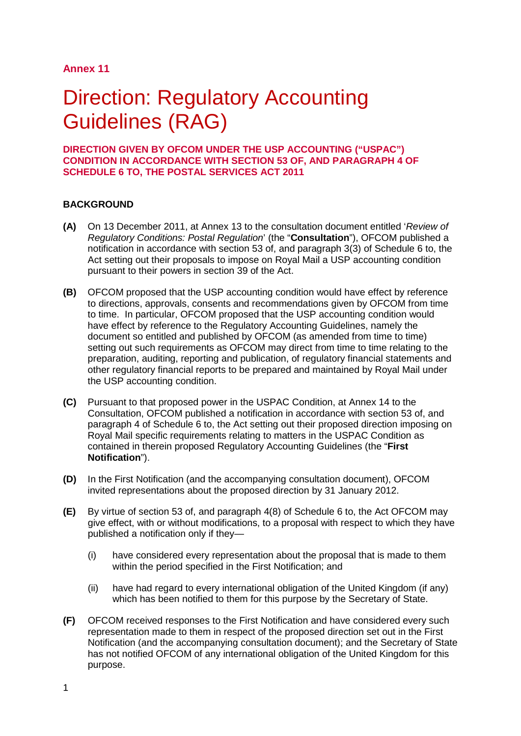### **Annex 11**

# Direction: Regulatory Accounting Guidelines (RAG)

#### **DIRECTION GIVEN BY OFCOM UNDER THE USP ACCOUNTING ("USPAC") CONDITION IN ACCORDANCE WITH SECTION 53 OF, AND PARAGRAPH 4 OF SCHEDULE 6 TO, THE POSTAL SERVICES ACT 2011**

#### **BACKGROUND**

- **(A)** On 13 December 2011, at Annex 13 to the consultation document entitled '*Review of Regulatory Conditions: Postal Regulation*' (the "**Consultation**"), OFCOM published a notification in accordance with section 53 of, and paragraph 3(3) of Schedule 6 to, the Act setting out their proposals to impose on Royal Mail a USP accounting condition pursuant to their powers in section 39 of the Act.
- **(B)** OFCOM proposed that the USP accounting condition would have effect by reference to directions, approvals, consents and recommendations given by OFCOM from time to time. In particular, OFCOM proposed that the USP accounting condition would have effect by reference to the Regulatory Accounting Guidelines, namely the document so entitled and published by OFCOM (as amended from time to time) setting out such requirements as OFCOM may direct from time to time relating to the preparation, auditing, reporting and publication, of regulatory financial statements and other regulatory financial reports to be prepared and maintained by Royal Mail under the USP accounting condition.
- **(C)** Pursuant to that proposed power in the USPAC Condition, at Annex 14 to the Consultation, OFCOM published a notification in accordance with section 53 of, and paragraph 4 of Schedule 6 to, the Act setting out their proposed direction imposing on Royal Mail specific requirements relating to matters in the USPAC Condition as contained in therein proposed Regulatory Accounting Guidelines (the "**First Notification**").
- **(D)** In the First Notification (and the accompanying consultation document), OFCOM invited representations about the proposed direction by 31 January 2012.
- **(E)** By virtue of section 53 of, and paragraph 4(8) of Schedule 6 to, the Act OFCOM may give effect, with or without modifications, to a proposal with respect to which they have published a notification only if they—
	- (i) have considered every representation about the proposal that is made to them within the period specified in the First Notification; and
	- (ii) have had regard to every international obligation of the United Kingdom (if any) which has been notified to them for this purpose by the Secretary of State.
- **(F)** OFCOM received responses to the First Notification and have considered every such representation made to them in respect of the proposed direction set out in the First Notification (and the accompanying consultation document); and the Secretary of State has not notified OFCOM of any international obligation of the United Kingdom for this purpose.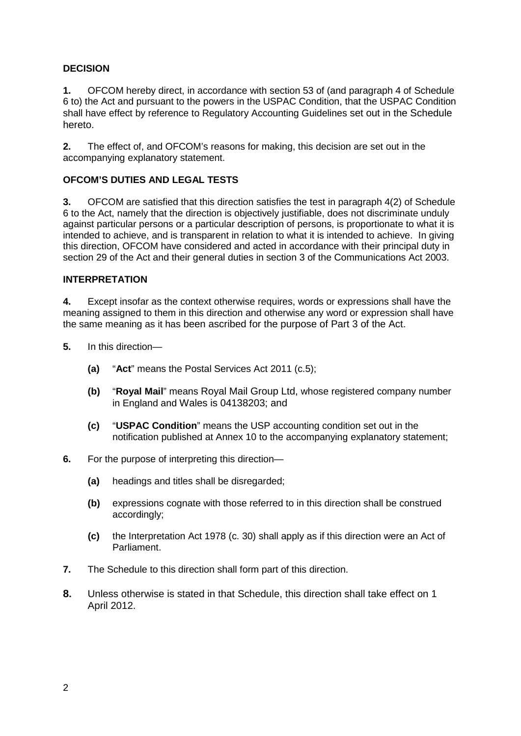### **DECISION**

**1.** OFCOM hereby direct, in accordance with section 53 of (and paragraph 4 of Schedule 6 to) the Act and pursuant to the powers in the USPAC Condition, that the USPAC Condition shall have effect by reference to Regulatory Accounting Guidelines set out in the Schedule hereto.

**2.** The effect of, and OFCOM's reasons for making, this decision are set out in the accompanying explanatory statement.

#### **OFCOM'S DUTIES AND LEGAL TESTS**

**3.** OFCOM are satisfied that this direction satisfies the test in paragraph 4(2) of Schedule 6 to the Act, namely that the direction is objectively justifiable, does not discriminate unduly against particular persons or a particular description of persons, is proportionate to what it is intended to achieve, and is transparent in relation to what it is intended to achieve. In giving this direction, OFCOM have considered and acted in accordance with their principal duty in section 29 of the Act and their general duties in section 3 of the Communications Act 2003.

#### **INTERPRETATION**

**4.** Except insofar as the context otherwise requires, words or expressions shall have the meaning assigned to them in this direction and otherwise any word or expression shall have the same meaning as it has been ascribed for the purpose of Part 3 of the Act.

- **5.** In this direction—
	- **(a)** "**Act**" means the Postal Services Act 2011 (c.5);
	- **(b)** "**Royal Mail**" means Royal Mail Group Ltd, whose registered company number in England and Wales is 04138203; and
	- **(c)** "**USPAC Condition**" means the USP accounting condition set out in the notification published at Annex 10 to the accompanying explanatory statement;
- **6.** For the purpose of interpreting this direction—
	- **(a)** headings and titles shall be disregarded;
	- **(b)** expressions cognate with those referred to in this direction shall be construed accordingly;
	- **(c)** the Interpretation Act 1978 (c. 30) shall apply as if this direction were an Act of Parliament.
- **7.** The Schedule to this direction shall form part of this direction.
- **8.** Unless otherwise is stated in that Schedule, this direction shall take effect on 1 April 2012.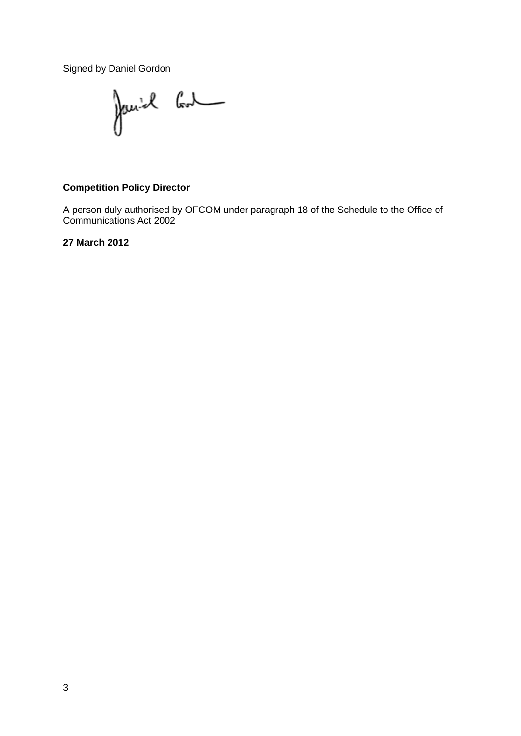Signed by Daniel Gordon

Janich Cont

### **Competition Policy Director**

A person duly authorised by OFCOM under paragraph 18 of the Schedule to the Office of Communications Act 2002

**27 March 2012**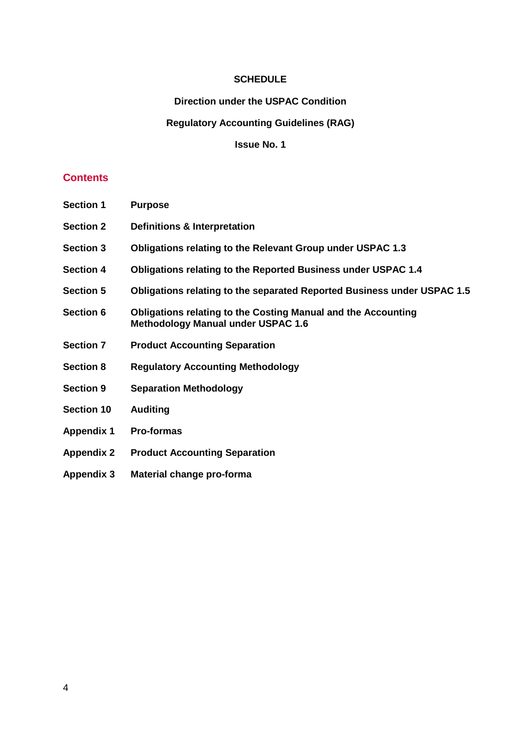#### **SCHEDULE**

#### **Direction under the USPAC Condition**

#### **Regulatory Accounting Guidelines (RAG)**

**Issue No. 1**

### **Contents**

- **Section 1 Purpose**
- **Section 2 Definitions & Interpretation**
- **Section 3 Obligations relating to the Relevant Group under USPAC 1.3**
- **Section 4 Obligations relating to the Reported Business under USPAC 1.4**
- **Section 5 Obligations relating to the separated Reported Business under USPAC 1.5**
- **Section 6 Obligations relating to the Costing Manual and the Accounting Methodology Manual under USPAC 1.6**
- **Section 7 Product Accounting Separation**
- **Section 8 Regulatory Accounting Methodology**
- **Section 9 Separation Methodology**
- **Section 10 Auditing**
- **Appendix 1 Pro-formas**
- **Appendix 2 Product Accounting Separation**
- **Appendix 3 Material change pro-forma**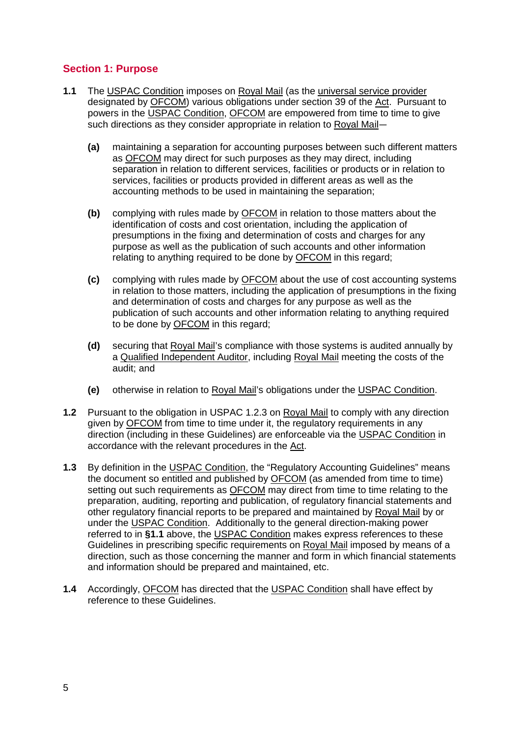### **Section 1: Purpose**

- **1.1** The USPAC Condition imposes on Royal Mail (as the universal service provider designated by OFCOM) various obligations under section 39 of the Act. Pursuant to powers in the USPAC Condition, OFCOM are empowered from time to time to give such directions as they consider appropriate in relation to Royal Mail—
	- **(a)** maintaining a separation for accounting purposes between such different matters as OFCOM may direct for such purposes as they may direct, including separation in relation to different services, facilities or products or in relation to services, facilities or products provided in different areas as well as the accounting methods to be used in maintaining the separation;
	- **(b)** complying with rules made by OFCOM in relation to those matters about the identification of costs and cost orientation, including the application of presumptions in the fixing and determination of costs and charges for any purpose as well as the publication of such accounts and other information relating to anything required to be done by OFCOM in this regard;
	- **(c)** complying with rules made by OFCOM about the use of cost accounting systems in relation to those matters, including the application of presumptions in the fixing and determination of costs and charges for any purpose as well as the publication of such accounts and other information relating to anything required to be done by OFCOM in this regard;
	- **(d)** securing that Royal Mail's compliance with those systems is audited annually by a Qualified Independent Auditor, including Royal Mail meeting the costs of the audit; and
	- **(e)** otherwise in relation to Royal Mail's obligations under the USPAC Condition.
- **1.2** Pursuant to the obligation in USPAC 1.2.3 on Royal Mail to comply with any direction given by OFCOM from time to time under it, the regulatory requirements in any direction (including in these Guidelines) are enforceable via the USPAC Condition in accordance with the relevant procedures in the Act.
- **1.3** By definition in the USPAC Condition, the "Regulatory Accounting Guidelines" means the document so entitled and published by OFCOM (as amended from time to time) setting out such requirements as OFCOM may direct from time to time relating to the preparation, auditing, reporting and publication, of regulatory financial statements and other regulatory financial reports to be prepared and maintained by Royal Mail by or under the USPAC Condition. Additionally to the general direction-making power referred to in **§1.1** above, the USPAC Condition makes express references to these Guidelines in prescribing specific requirements on Royal Mail imposed by means of a direction, such as those concerning the manner and form in which financial statements and information should be prepared and maintained, etc.
- **1.4** Accordingly, OFCOM has directed that the USPAC Condition shall have effect by reference to these Guidelines.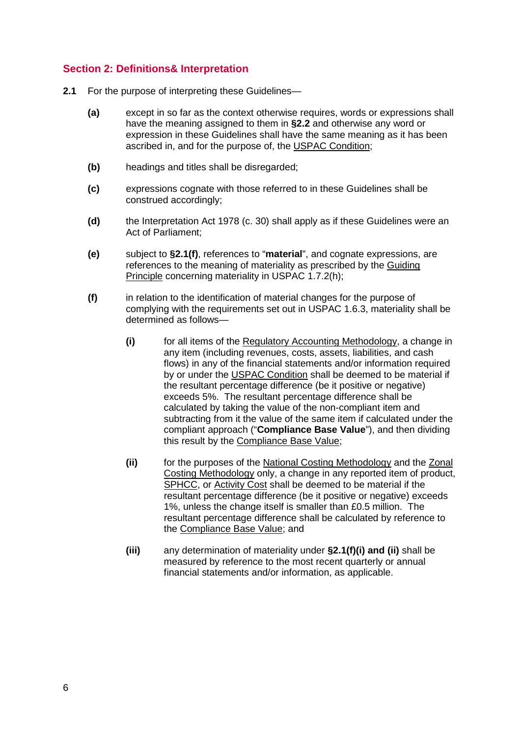### **Section 2: Definitions& Interpretation**

- **2.1** For the purpose of interpreting these Guidelines—
	- **(a)** except in so far as the context otherwise requires, words or expressions shall have the meaning assigned to them in **§2.2** and otherwise any word or expression in these Guidelines shall have the same meaning as it has been ascribed in, and for the purpose of, the USPAC Condition;
	- **(b)** headings and titles shall be disregarded;
	- **(c)** expressions cognate with those referred to in these Guidelines shall be construed accordingly;
	- **(d)** the Interpretation Act 1978 (c. 30) shall apply as if these Guidelines were an Act of Parliament;
	- **(e)** subject to **§2.1(f)**, references to "**material**", and cognate expressions, are references to the meaning of materiality as prescribed by the Guiding Principle concerning materiality in USPAC 1.7.2(h);
	- **(f)** in relation to the identification of material changes for the purpose of complying with the requirements set out in USPAC 1.6.3, materiality shall be determined as follows—
		- **(i)** for all items of the Regulatory Accounting Methodology, a change in any item (including revenues, costs, assets, liabilities, and cash flows) in any of the financial statements and/or information required by or under the USPAC Condition shall be deemed to be material if the resultant percentage difference (be it positive or negative) exceeds 5%. The resultant percentage difference shall be calculated by taking the value of the non-compliant item and subtracting from it the value of the same item if calculated under the compliant approach ("**Compliance Base Value**"), and then dividing this result by the Compliance Base Value;
		- **(ii)** for the purposes of the National Costing Methodology and the Zonal Costing Methodology only, a change in any reported item of product, SPHCC, or Activity Cost shall be deemed to be material if the resultant percentage difference (be it positive or negative) exceeds 1%, unless the change itself is smaller than £0.5 million. The resultant percentage difference shall be calculated by reference to the Compliance Base Value; and
		- **(iii)** any determination of materiality under **§2.1(f)(i) and (ii)** shall be measured by reference to the most recent quarterly or annual financial statements and/or information, as applicable.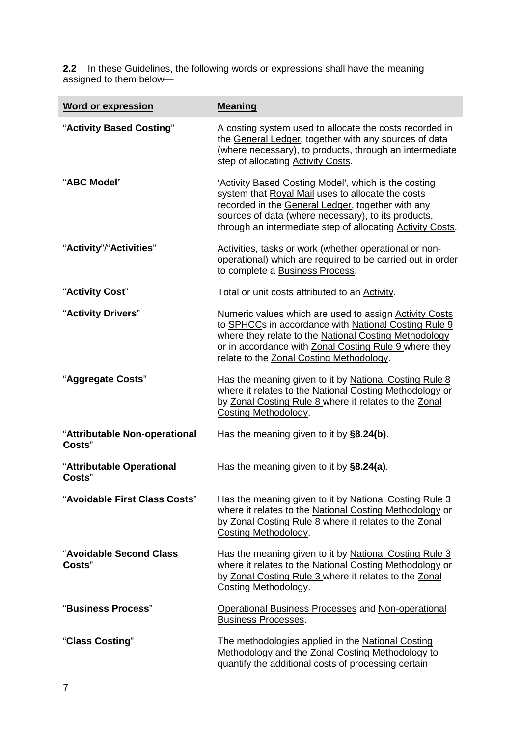**2.2** In these Guidelines, the following words or expressions shall have the meaning assigned to them below—

| <b>Word or expression</b>               | <b>Meaning</b>                                                                                                                                                                                                                                                                              |
|-----------------------------------------|---------------------------------------------------------------------------------------------------------------------------------------------------------------------------------------------------------------------------------------------------------------------------------------------|
| "Activity Based Costing"                | A costing system used to allocate the costs recorded in<br>the General Ledger, together with any sources of data<br>(where necessary), to products, through an intermediate<br>step of allocating <b>Activity Costs</b> .                                                                   |
| "ABC Model"                             | 'Activity Based Costing Model', which is the costing<br>system that Royal Mail uses to allocate the costs<br>recorded in the General Ledger, together with any<br>sources of data (where necessary), to its products,<br>through an intermediate step of allocating <b>Activity Costs</b> . |
| "Activity"/"Activities"                 | Activities, tasks or work (whether operational or non-<br>operational) which are required to be carried out in order<br>to complete a Business Process.                                                                                                                                     |
| "Activity Cost"                         | Total or unit costs attributed to an Activity.                                                                                                                                                                                                                                              |
| "Activity Drivers"                      | Numeric values which are used to assign Activity Costs<br>to SPHCCs in accordance with National Costing Rule 9<br>where they relate to the National Costing Methodology<br>or in accordance with Zonal Costing Rule 9 where they<br>relate to the Zonal Costing Methodology.                |
| "Aggregate Costs"                       | Has the meaning given to it by National Costing Rule 8<br>where it relates to the National Costing Methodology or<br>by Zonal Costing Rule 8 where it relates to the Zonal<br><b>Costing Methodology.</b>                                                                                   |
| "Attributable Non-operational<br>Costs" | Has the meaning given to it by §8.24(b).                                                                                                                                                                                                                                                    |
| "Attributable Operational<br>Costs"     | Has the meaning given to it by §8.24(a).                                                                                                                                                                                                                                                    |
| "Avoidable First Class Costs"           | Has the meaning given to it by National Costing Rule 3<br>where it relates to the National Costing Methodology or<br>by Zonal Costing Rule 8 where it relates to the Zonal<br><b>Costing Methodology.</b>                                                                                   |
| "Avoidable Second Class<br>Costs"       | Has the meaning given to it by National Costing Rule 3<br>where it relates to the National Costing Methodology or<br>by Zonal Costing Rule 3 where it relates to the Zonal<br>Costing Methodology.                                                                                          |
| "Business Process"                      | <b>Operational Business Processes and Non-operational</b><br><b>Business Processes.</b>                                                                                                                                                                                                     |
| "Class Costing"                         | The methodologies applied in the National Costing<br>Methodology and the Zonal Costing Methodology to<br>quantify the additional costs of processing certain                                                                                                                                |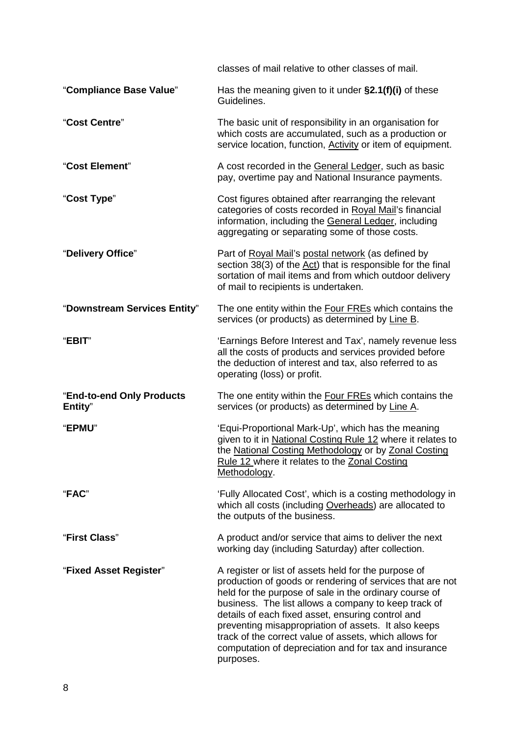|                                      | classes of mail relative to other classes of mail.                                                                                                                                                                                                                                                                                                                                                                                                                               |
|--------------------------------------|----------------------------------------------------------------------------------------------------------------------------------------------------------------------------------------------------------------------------------------------------------------------------------------------------------------------------------------------------------------------------------------------------------------------------------------------------------------------------------|
| "Compliance Base Value"              | Has the meaning given to it under $\S2.1(f)(i)$ of these<br>Guidelines.                                                                                                                                                                                                                                                                                                                                                                                                          |
| "Cost Centre"                        | The basic unit of responsibility in an organisation for<br>which costs are accumulated, such as a production or<br>service location, function, Activity or item of equipment.                                                                                                                                                                                                                                                                                                    |
| "Cost Element"                       | A cost recorded in the General Ledger, such as basic<br>pay, overtime pay and National Insurance payments.                                                                                                                                                                                                                                                                                                                                                                       |
| "Cost Type"                          | Cost figures obtained after rearranging the relevant<br>categories of costs recorded in Royal Mail's financial<br>information, including the General Ledger, including<br>aggregating or separating some of those costs.                                                                                                                                                                                                                                                         |
| "Delivery Office"                    | Part of Royal Mail's postal network (as defined by<br>section 38(3) of the Act) that is responsible for the final<br>sortation of mail items and from which outdoor delivery<br>of mail to recipients is undertaken.                                                                                                                                                                                                                                                             |
| "Downstream Services Entity"         | The one entity within the <b>Four FREs</b> which contains the<br>services (or products) as determined by Line B.                                                                                                                                                                                                                                                                                                                                                                 |
| "EBIT"                               | 'Earnings Before Interest and Tax', namely revenue less<br>all the costs of products and services provided before<br>the deduction of interest and tax, also referred to as<br>operating (loss) or profit.                                                                                                                                                                                                                                                                       |
| "End-to-end Only Products<br>Entity" | The one entity within the Four FREs which contains the<br>services (or products) as determined by Line A.                                                                                                                                                                                                                                                                                                                                                                        |
| "EPMU"                               | 'Equi-Proportional Mark-Up', which has the meaning<br>given to it in National Costing Rule 12 where it relates to<br>the National Costing Methodology or by Zonal Costing<br>Rule 12 where it relates to the Zonal Costing<br>Methodology.                                                                                                                                                                                                                                       |
| "FAC"                                | 'Fully Allocated Cost', which is a costing methodology in<br>which all costs (including Overheads) are allocated to<br>the outputs of the business.                                                                                                                                                                                                                                                                                                                              |
| "First Class"                        | A product and/or service that aims to deliver the next<br>working day (including Saturday) after collection.                                                                                                                                                                                                                                                                                                                                                                     |
| "Fixed Asset Register"               | A register or list of assets held for the purpose of<br>production of goods or rendering of services that are not<br>held for the purpose of sale in the ordinary course of<br>business. The list allows a company to keep track of<br>details of each fixed asset, ensuring control and<br>preventing misappropriation of assets. It also keeps<br>track of the correct value of assets, which allows for<br>computation of depreciation and for tax and insurance<br>purposes. |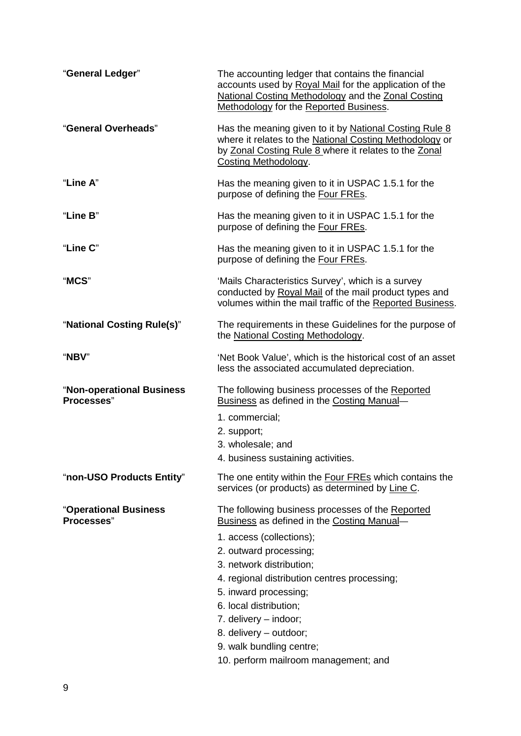| "General Ledger"                        | The accounting ledger that contains the financial<br>accounts used by Royal Mail for the application of the<br>National Costing Methodology and the Zonal Costing<br><b>Methodology for the Reported Business.</b> |
|-----------------------------------------|--------------------------------------------------------------------------------------------------------------------------------------------------------------------------------------------------------------------|
| "General Overheads"                     | Has the meaning given to it by National Costing Rule 8<br>where it relates to the National Costing Methodology or<br>by Zonal Costing Rule 8 where it relates to the Zonal<br><b>Costing Methodology.</b>          |
| "Line A"                                | Has the meaning given to it in USPAC 1.5.1 for the<br>purpose of defining the Four FREs.                                                                                                                           |
| "Line B"                                | Has the meaning given to it in USPAC 1.5.1 for the<br>purpose of defining the Four FREs.                                                                                                                           |
| "Line C"                                | Has the meaning given to it in USPAC 1.5.1 for the<br>purpose of defining the Four FREs.                                                                                                                           |
| "MCS"                                   | 'Mails Characteristics Survey', which is a survey<br>conducted by Royal Mail of the mail product types and<br>volumes within the mail traffic of the Reported Business.                                            |
| "National Costing Rule(s)"              | The requirements in these Guidelines for the purpose of<br>the National Costing Methodology.                                                                                                                       |
| "NBV"                                   | 'Net Book Value', which is the historical cost of an asset<br>less the associated accumulated depreciation.                                                                                                        |
| "Non-operational Business<br>Processes" | The following business processes of the Reported<br>Business as defined in the Costing Manual-                                                                                                                     |
|                                         | 1. commercial:                                                                                                                                                                                                     |
|                                         | 2. support;                                                                                                                                                                                                        |
|                                         | 3. wholesale; and                                                                                                                                                                                                  |
|                                         | 4. business sustaining activities.                                                                                                                                                                                 |
| "non-USO Products Entity"               | The one entity within the Four FREs which contains the<br>services (or products) as determined by Line C.                                                                                                          |
| "Operational Business<br>Processes"     | The following business processes of the Reported<br>Business as defined in the Costing Manual-                                                                                                                     |
|                                         | 1. access (collections);                                                                                                                                                                                           |
|                                         | 2. outward processing;                                                                                                                                                                                             |
|                                         | 3. network distribution;                                                                                                                                                                                           |
|                                         | 4. regional distribution centres processing;<br>5. inward processing;                                                                                                                                              |
|                                         | 6. local distribution;                                                                                                                                                                                             |
|                                         | 7. delivery - indoor;                                                                                                                                                                                              |
|                                         | 8. delivery - outdoor;                                                                                                                                                                                             |
|                                         | 9. walk bundling centre;                                                                                                                                                                                           |
|                                         | 10. perform mailroom management; and                                                                                                                                                                               |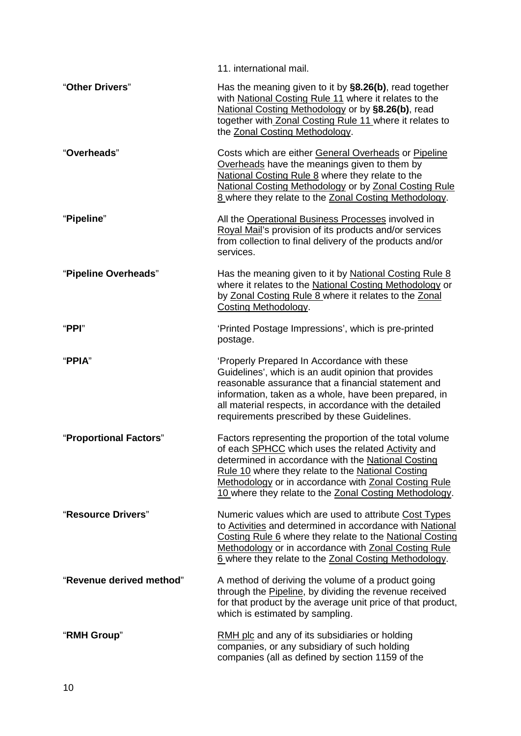|                          | 11. international mail.                                                                                                                                                                                                                                                                                                                                 |
|--------------------------|---------------------------------------------------------------------------------------------------------------------------------------------------------------------------------------------------------------------------------------------------------------------------------------------------------------------------------------------------------|
| "Other Drivers"          | Has the meaning given to it by §8.26(b), read together<br>with National Costing Rule 11 where it relates to the<br>National Costing Methodology or by §8.26(b), read<br>together with Zonal Costing Rule 11 where it relates to<br>the Zonal Costing Methodology.                                                                                       |
| "Overheads"              | Costs which are either General Overheads or Pipeline<br>Overheads have the meanings given to them by<br>National Costing Rule 8 where they relate to the<br>National Costing Methodology or by Zonal Costing Rule<br>8 where they relate to the Zonal Costing Methodology.                                                                              |
| "Pipeline"               | All the Operational Business Processes involved in<br>Royal Mail's provision of its products and/or services<br>from collection to final delivery of the products and/or<br>services.                                                                                                                                                                   |
| "Pipeline Overheads"     | Has the meaning given to it by National Costing Rule 8<br>where it relates to the National Costing Methodology or<br>by Zonal Costing Rule 8 where it relates to the Zonal<br>Costing Methodology.                                                                                                                                                      |
| " $PPI"$                 | 'Printed Postage Impressions', which is pre-printed<br>postage.                                                                                                                                                                                                                                                                                         |
| "PPIA"                   | 'Properly Prepared In Accordance with these<br>Guidelines', which is an audit opinion that provides<br>reasonable assurance that a financial statement and<br>information, taken as a whole, have been prepared, in<br>all material respects, in accordance with the detailed<br>requirements prescribed by these Guidelines.                           |
| "Proportional Factors"   | Factors representing the proportion of the total volume<br>of each <b>SPHCC</b> which uses the related <b>Activity</b> and<br>determined in accordance with the National Costing<br>Rule 10 where they relate to the National Costing<br>Methodology or in accordance with Zonal Costing Rule<br>10 where they relate to the Zonal Costing Methodology. |
| "Resource Drivers"       | Numeric values which are used to attribute Cost Types<br>to Activities and determined in accordance with National<br>Costing Rule 6 where they relate to the National Costing<br>Methodology or in accordance with Zonal Costing Rule<br>6 where they relate to the Zonal Costing Methodology.                                                          |
| "Revenue derived method" | A method of deriving the volume of a product going<br>through the Pipeline, by dividing the revenue received<br>for that product by the average unit price of that product,<br>which is estimated by sampling.                                                                                                                                          |
| "RMH Group"              | RMH plc and any of its subsidiaries or holding<br>companies, or any subsidiary of such holding<br>companies (all as defined by section 1159 of the                                                                                                                                                                                                      |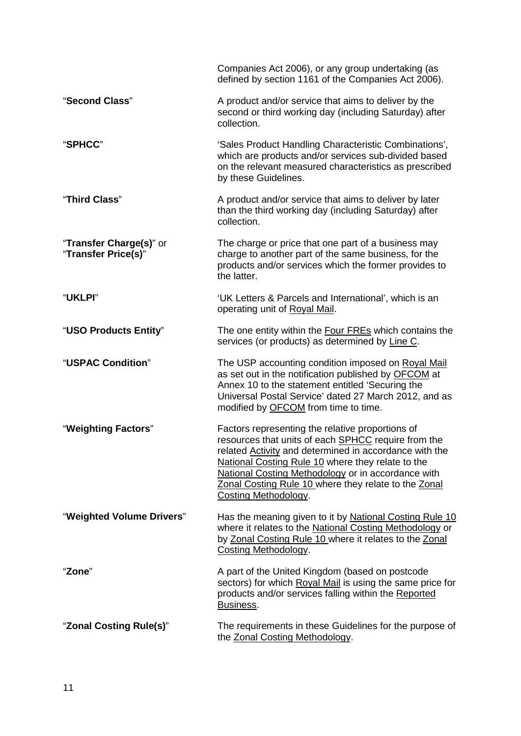|                                                | Companies Act 2006), or any group undertaking (as<br>defined by section 1161 of the Companies Act 2006).                                                                                                                                                                                                                                                                   |
|------------------------------------------------|----------------------------------------------------------------------------------------------------------------------------------------------------------------------------------------------------------------------------------------------------------------------------------------------------------------------------------------------------------------------------|
| "Second Class"                                 | A product and/or service that aims to deliver by the<br>second or third working day (including Saturday) after<br>collection.                                                                                                                                                                                                                                              |
| "SPHCC"                                        | 'Sales Product Handling Characteristic Combinations',<br>which are products and/or services sub-divided based<br>on the relevant measured characteristics as prescribed<br>by these Guidelines.                                                                                                                                                                            |
| "Third Class"                                  | A product and/or service that aims to deliver by later<br>than the third working day (including Saturday) after<br>collection.                                                                                                                                                                                                                                             |
| "Transfer Charge(s)" or<br>"Transfer Price(s)" | The charge or price that one part of a business may<br>charge to another part of the same business, for the<br>products and/or services which the former provides to<br>the latter.                                                                                                                                                                                        |
| "UKLPI"                                        | 'UK Letters & Parcels and International', which is an<br>operating unit of Royal Mail.                                                                                                                                                                                                                                                                                     |
| "USO Products Entity"                          | The one entity within the <b>Four FREs</b> which contains the<br>services (or products) as determined by Line C.                                                                                                                                                                                                                                                           |
| "USPAC Condition"                              | The USP accounting condition imposed on Royal Mail<br>as set out in the notification published by OFCOM at<br>Annex 10 to the statement entitled 'Securing the<br>Universal Postal Service' dated 27 March 2012, and as<br>modified by <b>OFCOM</b> from time to time.                                                                                                     |
| "Weighting Factors"                            | Factors representing the relative proportions of<br>resources that units of each <b>SPHCC</b> require from the<br>related <b>Activity</b> and determined in accordance with the<br>National Costing Rule 10 where they relate to the<br>National Costing Methodology or in accordance with<br>Zonal Costing Rule 10 where they relate to the Zonal<br>Costing Methodology. |
| "Weighted Volume Drivers"                      | Has the meaning given to it by National Costing Rule 10<br>where it relates to the National Costing Methodology or<br>by Zonal Costing Rule 10 where it relates to the Zonal<br><b>Costing Methodology.</b>                                                                                                                                                                |
| "Zone"                                         | A part of the United Kingdom (based on postcode<br>sectors) for which Royal Mail is using the same price for<br>products and/or services falling within the Reported<br>Business.                                                                                                                                                                                          |
| "Zonal Costing Rule(s)"                        | The requirements in these Guidelines for the purpose of<br>the Zonal Costing Methodology.                                                                                                                                                                                                                                                                                  |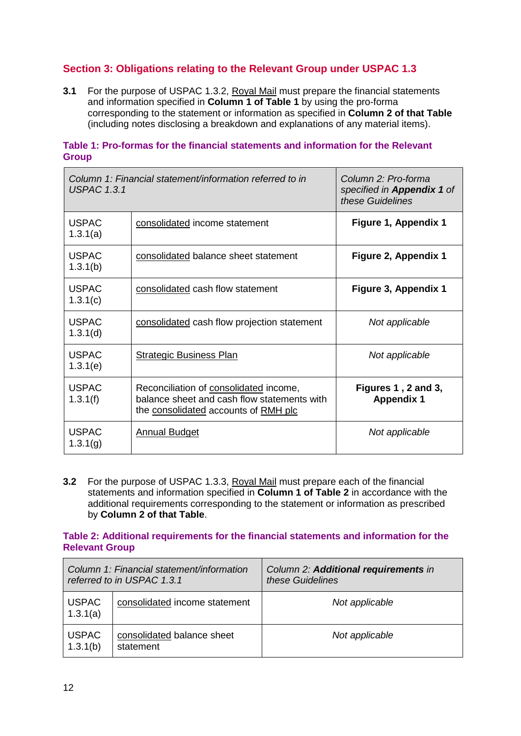### **Section 3: Obligations relating to the Relevant Group under USPAC 1.3**

**3.1** For the purpose of USPAC 1.3.2, Royal Mail must prepare the financial statements and information specified in **Column 1 of Table 1** by using the pro-forma corresponding to the statement or information as specified in **Column 2 of that Table** (including notes disclosing a breakdown and explanations of any material items).

#### **Table 1: Pro-formas for the financial statements and information for the Relevant Group**

| Column 1: Financial statement/information referred to in<br><b>USPAC 1.3.1</b> |                                                                                                                               | Column 2: Pro-forma<br>specified in Appendix 1 of<br>these Guidelines |
|--------------------------------------------------------------------------------|-------------------------------------------------------------------------------------------------------------------------------|-----------------------------------------------------------------------|
| <b>USPAC</b><br>1.3.1(a)                                                       | consolidated income statement                                                                                                 | Figure 1, Appendix 1                                                  |
| <b>USPAC</b><br>1.3.1(b)                                                       | consolidated balance sheet statement                                                                                          | Figure 2, Appendix 1                                                  |
| <b>USPAC</b><br>1.3.1(c)                                                       | consolidated cash flow statement                                                                                              | Figure 3, Appendix 1                                                  |
| <b>USPAC</b><br>1.3.1(d)                                                       | consolidated cash flow projection statement                                                                                   | Not applicable                                                        |
| <b>USPAC</b><br>1.3.1(e)                                                       | <b>Strategic Business Plan</b>                                                                                                | Not applicable                                                        |
| <b>USPAC</b><br>1.3.1(f)                                                       | Reconciliation of consolidated income,<br>balance sheet and cash flow statements with<br>the consolidated accounts of RMH plc | Figures 1, 2 and 3,<br><b>Appendix 1</b>                              |
| <b>USPAC</b><br>1.3.1(g)                                                       | <b>Annual Budget</b>                                                                                                          | Not applicable                                                        |

**3.2** For the purpose of USPAC 1.3.3, Royal Mail must prepare each of the financial statements and information specified in **Column 1 of Table 2** in accordance with the additional requirements corresponding to the statement or information as prescribed by **Column 2 of that Table**.

#### **Table 2: Additional requirements for the financial statements and information for the Relevant Group**

|                          | Column 1: Financial statement/information<br>referred to in USPAC 1.3.1 | Column 2: Additional requirements in<br>these Guidelines |
|--------------------------|-------------------------------------------------------------------------|----------------------------------------------------------|
| <b>USPAC</b><br>1.3.1(a) | consolidated income statement                                           | Not applicable                                           |
| <b>USPAC</b><br>1.3.1(b) | consolidated balance sheet<br>statement                                 | Not applicable                                           |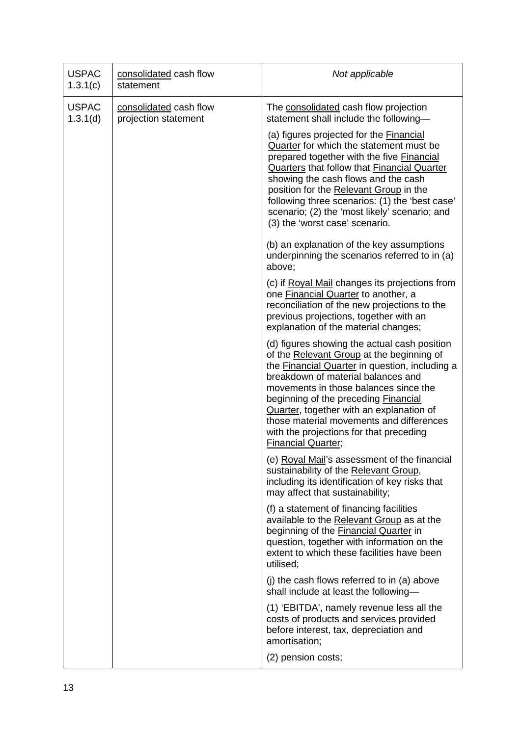| <b>USPAC</b><br>1.3.1(c) | consolidated cash flow<br>statement            | Not applicable                                                                                                                                                                                                                                                                                                                                                                                                                            |
|--------------------------|------------------------------------------------|-------------------------------------------------------------------------------------------------------------------------------------------------------------------------------------------------------------------------------------------------------------------------------------------------------------------------------------------------------------------------------------------------------------------------------------------|
| <b>USPAC</b><br>1.3.1(d) | consolidated cash flow<br>projection statement | The consolidated cash flow projection<br>statement shall include the following-                                                                                                                                                                                                                                                                                                                                                           |
|                          |                                                | (a) figures projected for the Financial<br>Quarter for which the statement must be<br>prepared together with the five Financial<br>Quarters that follow that Financial Quarter<br>showing the cash flows and the cash<br>position for the Relevant Group in the<br>following three scenarios: (1) the 'best case'<br>scenario; (2) the 'most likely' scenario; and<br>(3) the 'worst case' scenario.                                      |
|                          |                                                | (b) an explanation of the key assumptions<br>underpinning the scenarios referred to in (a)<br>above;                                                                                                                                                                                                                                                                                                                                      |
|                          |                                                | (c) if Royal Mail changes its projections from<br>one Financial Quarter to another, a<br>reconciliation of the new projections to the<br>previous projections, together with an<br>explanation of the material changes;                                                                                                                                                                                                                   |
|                          |                                                | (d) figures showing the actual cash position<br>of the Relevant Group at the beginning of<br>the Financial Quarter in question, including a<br>breakdown of material balances and<br>movements in those balances since the<br>beginning of the preceding <b>Financial</b><br>Quarter, together with an explanation of<br>those material movements and differences<br>with the projections for that preceding<br><b>Financial Quarter;</b> |
|                          |                                                | (e) Royal Mail's assessment of the financial<br>sustainability of the Relevant Group,<br>including its identification of key risks that<br>may affect that sustainability;                                                                                                                                                                                                                                                                |
|                          |                                                | (f) a statement of financing facilities<br>available to the Relevant Group as at the<br>beginning of the Financial Quarter in<br>question, together with information on the<br>extent to which these facilities have been<br>utilised;                                                                                                                                                                                                    |
|                          |                                                | (j) the cash flows referred to in $(a)$ above<br>shall include at least the following-                                                                                                                                                                                                                                                                                                                                                    |
|                          |                                                | (1) 'EBITDA', namely revenue less all the<br>costs of products and services provided<br>before interest, tax, depreciation and<br>amortisation;                                                                                                                                                                                                                                                                                           |
|                          |                                                | (2) pension costs;                                                                                                                                                                                                                                                                                                                                                                                                                        |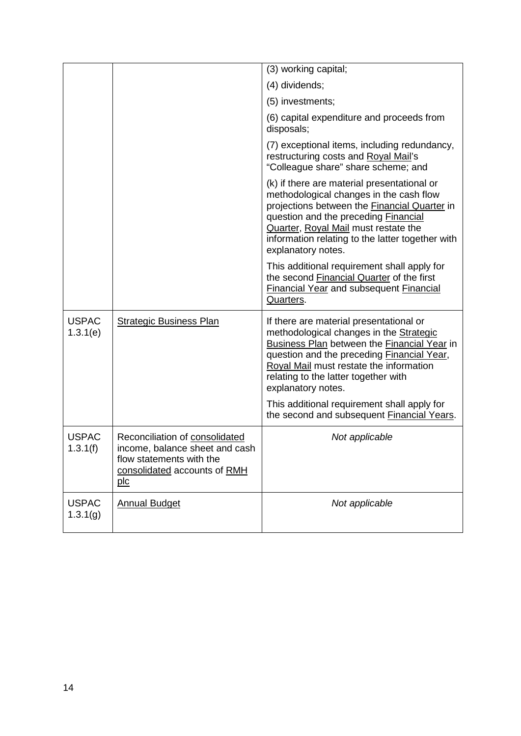|                          |                                                                                                                                     | (3) working capital;                                                                                                                                                                                                                                                                                           |
|--------------------------|-------------------------------------------------------------------------------------------------------------------------------------|----------------------------------------------------------------------------------------------------------------------------------------------------------------------------------------------------------------------------------------------------------------------------------------------------------------|
|                          |                                                                                                                                     | (4) dividends;                                                                                                                                                                                                                                                                                                 |
|                          |                                                                                                                                     | (5) investments;                                                                                                                                                                                                                                                                                               |
|                          |                                                                                                                                     | (6) capital expenditure and proceeds from<br>disposals;                                                                                                                                                                                                                                                        |
|                          |                                                                                                                                     | (7) exceptional items, including redundancy,<br>restructuring costs and Royal Mail's<br>"Colleague share" share scheme; and                                                                                                                                                                                    |
|                          |                                                                                                                                     | (k) if there are material presentational or<br>methodological changes in the cash flow<br>projections between the <b>Financial Quarter</b> in<br>question and the preceding Financial<br><b>Quarter, Royal Mail must restate the</b><br>information relating to the latter together with<br>explanatory notes. |
|                          |                                                                                                                                     | This additional requirement shall apply for<br>the second Financial Quarter of the first<br><b>Financial Year and subsequent Financial</b><br>Quarters.                                                                                                                                                        |
| <b>USPAC</b><br>1.3.1(e) | <b>Strategic Business Plan</b>                                                                                                      | If there are material presentational or<br>methodological changes in the Strategic<br><b>Business Plan between the Financial Year in</b><br>question and the preceding Financial Year,<br>Royal Mail must restate the information<br>relating to the latter together with<br>explanatory notes.                |
|                          |                                                                                                                                     | This additional requirement shall apply for<br>the second and subsequent Financial Years.                                                                                                                                                                                                                      |
| <b>USPAC</b><br>1.3.1(f) | Reconciliation of consolidated<br>income, balance sheet and cash<br>flow statements with the<br>consolidated accounts of RMH<br>plc | Not applicable                                                                                                                                                                                                                                                                                                 |
| <b>USPAC</b><br>1.3.1(g) | <b>Annual Budget</b>                                                                                                                | Not applicable                                                                                                                                                                                                                                                                                                 |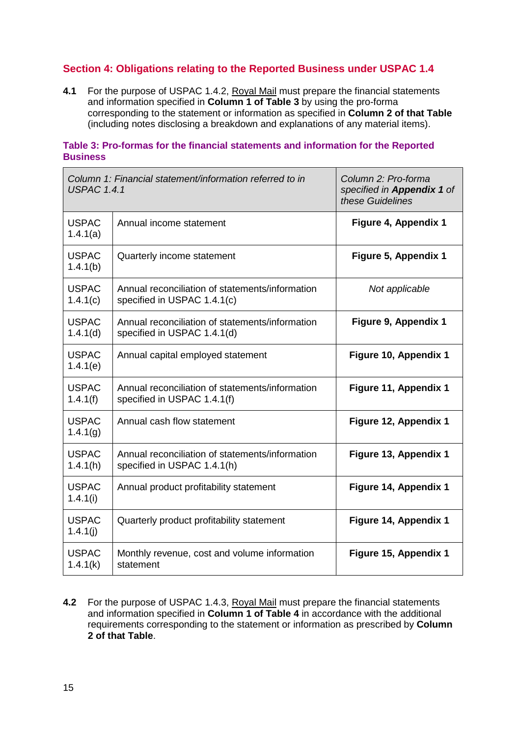### **Section 4: Obligations relating to the Reported Business under USPAC 1.4**

**4.1** For the purpose of USPAC 1.4.2, Royal Mail must prepare the financial statements and information specified in **Column 1 of Table 3** by using the pro-forma corresponding to the statement or information as specified in **Column 2 of that Table** (including notes disclosing a breakdown and explanations of any material items).

#### **Table 3: Pro-formas for the financial statements and information for the Reported Business**

| Column 1: Financial statement/information referred to in<br><b>USPAC 1.4.1</b> |                                                                                | Column 2: Pro-forma<br>specified in <b>Appendix 1</b> of<br>these Guidelines |
|--------------------------------------------------------------------------------|--------------------------------------------------------------------------------|------------------------------------------------------------------------------|
| <b>USPAC</b><br>1.4.1(a)                                                       | Annual income statement                                                        | Figure 4, Appendix 1                                                         |
| <b>USPAC</b><br>1.4.1(b)                                                       | Quarterly income statement                                                     | Figure 5, Appendix 1                                                         |
| <b>USPAC</b><br>1.4.1(c)                                                       | Annual reconciliation of statements/information<br>specified in USPAC 1.4.1(c) | Not applicable                                                               |
| <b>USPAC</b><br>1.4.1(d)                                                       | Annual reconciliation of statements/information<br>specified in USPAC 1.4.1(d) | Figure 9, Appendix 1                                                         |
| <b>USPAC</b><br>1.4.1(e)                                                       | Annual capital employed statement                                              | Figure 10, Appendix 1                                                        |
| <b>USPAC</b><br>1.4.1(f)                                                       | Annual reconciliation of statements/information<br>specified in USPAC 1.4.1(f) | Figure 11, Appendix 1                                                        |
| <b>USPAC</b><br>1.4.1(g)                                                       | Annual cash flow statement                                                     | Figure 12, Appendix 1                                                        |
| <b>USPAC</b><br>1.4.1(h)                                                       | Annual reconciliation of statements/information<br>specified in USPAC 1.4.1(h) | Figure 13, Appendix 1                                                        |
| <b>USPAC</b><br>1.4.1(i)                                                       | Annual product profitability statement                                         | Figure 14, Appendix 1                                                        |
| <b>USPAC</b><br>1.4.1(j)                                                       | Quarterly product profitability statement                                      | Figure 14, Appendix 1                                                        |
| <b>USPAC</b><br>1.4.1(k)                                                       | Monthly revenue, cost and volume information<br>statement                      | Figure 15, Appendix 1                                                        |

**4.2** For the purpose of USPAC 1.4.3, Royal Mail must prepare the financial statements and information specified in **Column 1 of Table 4** in accordance with the additional requirements corresponding to the statement or information as prescribed by **Column 2 of that Table**.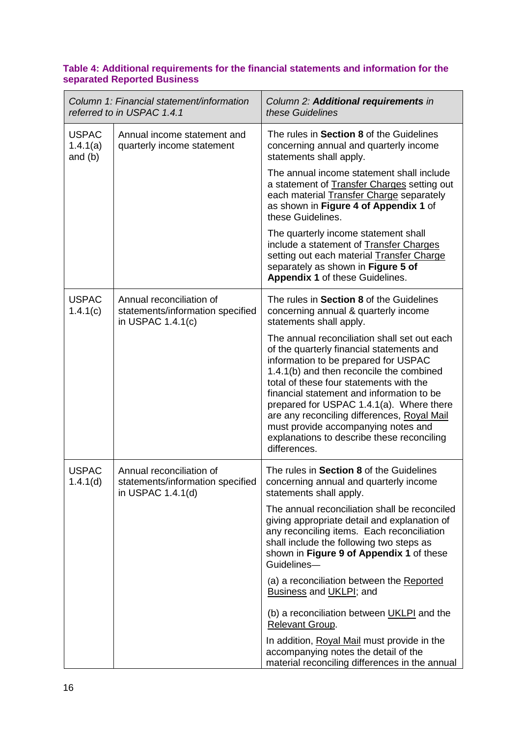#### **Table 4: Additional requirements for the financial statements and information for the separated Reported Business**

| Column 1: Financial statement/information<br>referred to in USPAC 1.4.1 |                                                                                     | Column 2: Additional requirements in<br>these Guidelines                                                                                                                                                                                                                                                                                                                                                                                                              |
|-------------------------------------------------------------------------|-------------------------------------------------------------------------------------|-----------------------------------------------------------------------------------------------------------------------------------------------------------------------------------------------------------------------------------------------------------------------------------------------------------------------------------------------------------------------------------------------------------------------------------------------------------------------|
| <b>USPAC</b><br>1.4.1(a)<br>and $(b)$                                   | Annual income statement and<br>quarterly income statement                           | The rules in Section 8 of the Guidelines<br>concerning annual and quarterly income<br>statements shall apply.                                                                                                                                                                                                                                                                                                                                                         |
|                                                                         |                                                                                     | The annual income statement shall include<br>a statement of Transfer Charges setting out<br>each material <b>Transfer Charge</b> separately<br>as shown in Figure 4 of Appendix 1 of<br>these Guidelines.                                                                                                                                                                                                                                                             |
|                                                                         |                                                                                     | The quarterly income statement shall<br>include a statement of Transfer Charges<br>setting out each material Transfer Charge<br>separately as shown in Figure 5 of<br>Appendix 1 of these Guidelines.                                                                                                                                                                                                                                                                 |
| <b>USPAC</b><br>1.4.1(c)                                                | Annual reconciliation of<br>statements/information specified<br>in USPAC $1.4.1(c)$ | The rules in Section 8 of the Guidelines<br>concerning annual & quarterly income<br>statements shall apply.                                                                                                                                                                                                                                                                                                                                                           |
|                                                                         |                                                                                     | The annual reconciliation shall set out each<br>of the quarterly financial statements and<br>information to be prepared for USPAC<br>1.4.1(b) and then reconcile the combined<br>total of these four statements with the<br>financial statement and information to be<br>prepared for USPAC 1.4.1(a). Where there<br>are any reconciling differences, Royal Mail<br>must provide accompanying notes and<br>explanations to describe these reconciling<br>differences. |
| <b>USPAC</b><br>1.4.1(d)                                                | Annual reconciliation of<br>statements/information specified<br>in USPAC 1.4.1(d)   | The rules in Section 8 of the Guidelines<br>concerning annual and quarterly income<br>statements shall apply.                                                                                                                                                                                                                                                                                                                                                         |
|                                                                         |                                                                                     | The annual reconciliation shall be reconciled<br>giving appropriate detail and explanation of<br>any reconciling items. Each reconciliation<br>shall include the following two steps as<br>shown in Figure 9 of Appendix 1 of these<br>Guidelines-                                                                                                                                                                                                                    |
|                                                                         |                                                                                     | (a) a reconciliation between the Reported<br>Business and UKLPI; and                                                                                                                                                                                                                                                                                                                                                                                                  |
|                                                                         |                                                                                     | (b) a reconciliation between UKLPI and the<br>Relevant Group.                                                                                                                                                                                                                                                                                                                                                                                                         |
|                                                                         |                                                                                     | In addition, Royal Mail must provide in the<br>accompanying notes the detail of the<br>material reconciling differences in the annual                                                                                                                                                                                                                                                                                                                                 |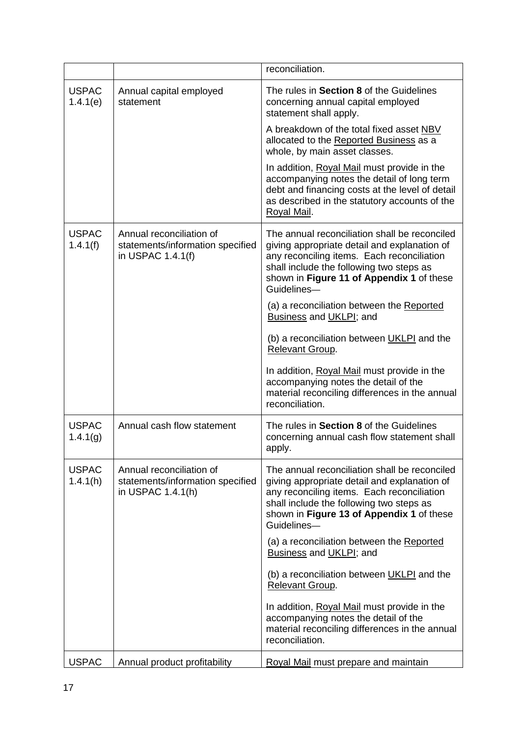|                          |                                                                                   | reconciliation.                                                                                                                                                                                                                                     |
|--------------------------|-----------------------------------------------------------------------------------|-----------------------------------------------------------------------------------------------------------------------------------------------------------------------------------------------------------------------------------------------------|
| <b>USPAC</b><br>1.4.1(e) | Annual capital employed<br>statement                                              | The rules in Section 8 of the Guidelines<br>concerning annual capital employed<br>statement shall apply.                                                                                                                                            |
|                          |                                                                                   | A breakdown of the total fixed asset NBV<br>allocated to the Reported Business as a<br>whole, by main asset classes.                                                                                                                                |
|                          |                                                                                   | In addition, Royal Mail must provide in the<br>accompanying notes the detail of long term<br>debt and financing costs at the level of detail<br>as described in the statutory accounts of the<br>Royal Mail.                                        |
| <b>USPAC</b><br>1.4.1(f) | Annual reconciliation of<br>statements/information specified<br>in USPAC 1.4.1(f) | The annual reconciliation shall be reconciled<br>giving appropriate detail and explanation of<br>any reconciling items. Each reconciliation<br>shall include the following two steps as<br>shown in Figure 11 of Appendix 1 of these<br>Guidelines- |
|                          |                                                                                   | (a) a reconciliation between the Reported<br>Business and UKLPI; and                                                                                                                                                                                |
|                          |                                                                                   | (b) a reconciliation between UKLPI and the<br>Relevant Group.                                                                                                                                                                                       |
|                          |                                                                                   | In addition, Royal Mail must provide in the<br>accompanying notes the detail of the<br>material reconciling differences in the annual<br>reconciliation.                                                                                            |
| <b>USPAC</b><br>1.4.1(g) | Annual cash flow statement                                                        | The rules in <b>Section 8</b> of the Guidelines<br>concerning annual cash flow statement shall<br>apply.                                                                                                                                            |
| <b>USPAC</b><br>1.4.1(h) | Annual reconciliation of<br>statements/information specified<br>in USPAC 1.4.1(h) | The annual reconciliation shall be reconciled<br>giving appropriate detail and explanation of<br>any reconciling items. Each reconciliation<br>shall include the following two steps as<br>shown in Figure 13 of Appendix 1 of these<br>Guidelines- |
|                          |                                                                                   | (a) a reconciliation between the Reported<br><b>Business and UKLPI; and</b>                                                                                                                                                                         |
|                          |                                                                                   | (b) a reconciliation between UKLPI and the<br>Relevant Group.                                                                                                                                                                                       |
|                          |                                                                                   | In addition, Royal Mail must provide in the<br>accompanying notes the detail of the<br>material reconciling differences in the annual<br>reconciliation.                                                                                            |
| <b>USPAC</b>             | Annual product profitability                                                      | Royal Mail must prepare and maintain                                                                                                                                                                                                                |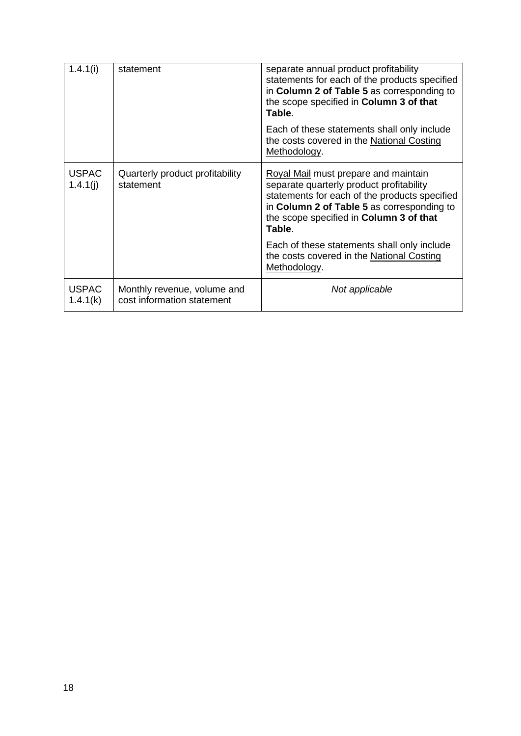| 1.4.1(i)                 | statement                                                 | separate annual product profitability<br>statements for each of the products specified<br>in Column 2 of Table 5 as corresponding to<br>the scope specified in Column 3 of that<br>Table.                                            |
|--------------------------|-----------------------------------------------------------|--------------------------------------------------------------------------------------------------------------------------------------------------------------------------------------------------------------------------------------|
|                          |                                                           | Each of these statements shall only include<br>the costs covered in the National Costing<br>Methodology.                                                                                                                             |
| <b>USPAC</b><br>1.4.1(j) | Quarterly product profitability<br>statement              | Royal Mail must prepare and maintain<br>separate quarterly product profitability<br>statements for each of the products specified<br>in Column 2 of Table 5 as corresponding to<br>the scope specified in Column 3 of that<br>Table. |
|                          |                                                           | Each of these statements shall only include<br>the costs covered in the National Costing<br>Methodology.                                                                                                                             |
| <b>USPAC</b><br>1.4.1(k) | Monthly revenue, volume and<br>cost information statement | Not applicable                                                                                                                                                                                                                       |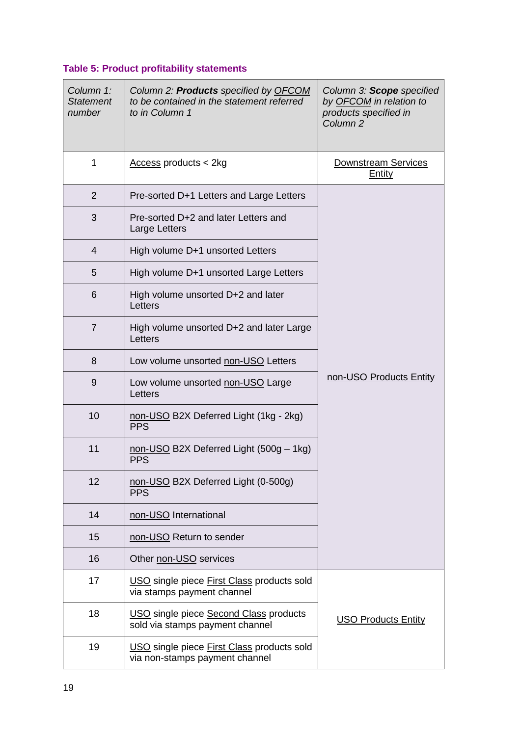# **Table 5: Product profitability statements**

| Column 1:<br><b>Statement</b><br>number | Column 2: <b>Products</b> specified by <b>OFCOM</b><br>to be contained in the statement referred<br>to in Column 1 | Column 3: Scope specified<br>by OFCOM in relation to<br>products specified in<br>Column <sub>2</sub> |
|-----------------------------------------|--------------------------------------------------------------------------------------------------------------------|------------------------------------------------------------------------------------------------------|
| 1                                       | Access products < 2kg                                                                                              | Downstream Services<br><b>Entity</b>                                                                 |
| $\overline{2}$                          | Pre-sorted D+1 Letters and Large Letters                                                                           |                                                                                                      |
| 3                                       | Pre-sorted D+2 and later Letters and<br>Large Letters                                                              |                                                                                                      |
| 4                                       | High volume D+1 unsorted Letters                                                                                   |                                                                                                      |
| 5                                       | High volume D+1 unsorted Large Letters                                                                             |                                                                                                      |
| 6                                       | High volume unsorted D+2 and later<br>Letters                                                                      |                                                                                                      |
| $\overline{7}$                          | High volume unsorted D+2 and later Large<br>Letters                                                                |                                                                                                      |
| 8                                       | Low volume unsorted non-USO Letters                                                                                |                                                                                                      |
| 9                                       | Low volume unsorted non-USO Large<br>Letters                                                                       | non-USO Products Entity                                                                              |
| 10                                      | non-USO B2X Deferred Light (1kg - 2kg)<br><b>PPS</b>                                                               |                                                                                                      |
| 11                                      | non-USO B2X Deferred Light (500g - 1kg)<br><b>PPS</b>                                                              |                                                                                                      |
| 12                                      | non-USO B2X Deferred Light (0-500g)<br><b>PPS</b>                                                                  |                                                                                                      |
| 14                                      | non-USO International                                                                                              |                                                                                                      |
| 15                                      | non-USO Return to sender                                                                                           |                                                                                                      |
| 16                                      | Other non-USO services                                                                                             |                                                                                                      |
| 17                                      | USO single piece First Class products sold<br>via stamps payment channel                                           |                                                                                                      |
| 18                                      | USO single piece Second Class products<br>sold via stamps payment channel                                          | <b>USO Products Entity</b>                                                                           |
| 19                                      | USO single piece First Class products sold<br>via non-stamps payment channel                                       |                                                                                                      |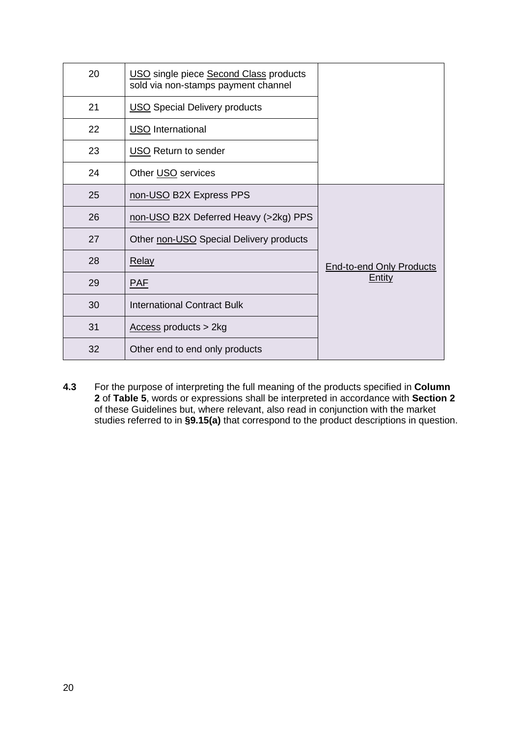| 20 | USO single piece Second Class products<br>sold via non-stamps payment channel |                                 |
|----|-------------------------------------------------------------------------------|---------------------------------|
| 21 | <b>USO</b> Special Delivery products                                          |                                 |
| 22 | <b>USO</b> International                                                      |                                 |
| 23 | <b>USO</b> Return to sender                                                   |                                 |
| 24 | Other USO services                                                            |                                 |
| 25 | non-USO B2X Express PPS                                                       |                                 |
| 26 | non-USO B2X Deferred Heavy (>2kg) PPS                                         |                                 |
| 27 | Other non-USO Special Delivery products                                       |                                 |
| 28 | <b>Relay</b>                                                                  | <b>End-to-end Only Products</b> |
| 29 | <b>PAF</b>                                                                    | <b>Entity</b>                   |
| 30 | <b>International Contract Bulk</b>                                            |                                 |
| 31 | $Access products > 2kg$                                                       |                                 |
| 32 | Other end to end only products                                                |                                 |

**4.3** For the purpose of interpreting the full meaning of the products specified in **Column**  of **Table 5**, words or expressions shall be interpreted in accordance with **Section 2** of these Guidelines but, where relevant, also read in conjunction with the market studies referred to in **§9.15(a)** that correspond to the product descriptions in question.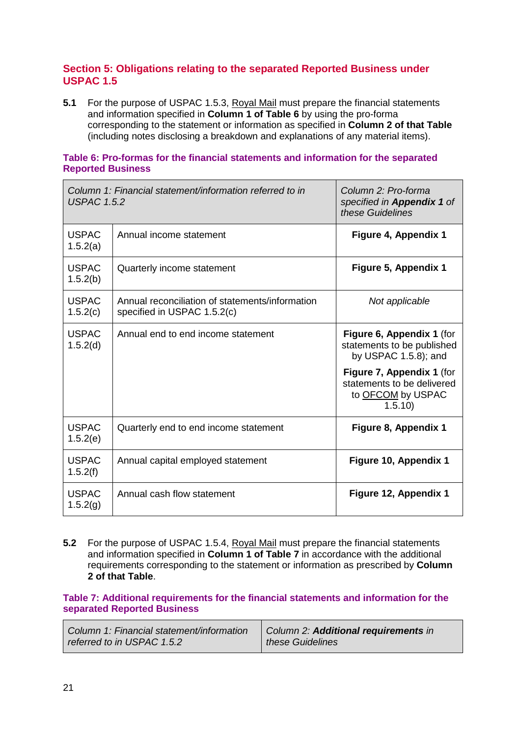#### **Section 5: Obligations relating to the separated Reported Business under USPAC 1.5**

**5.1** For the purpose of USPAC 1.5.3, Royal Mail must prepare the financial statements and information specified in **Column 1 of Table 6** by using the pro-forma corresponding to the statement or information as specified in **Column 2 of that Table** (including notes disclosing a breakdown and explanations of any material items).

#### **Table 6: Pro-formas for the financial statements and information for the separated Reported Business**

| Column 1: Financial statement/information referred to in<br><b>USPAC 1.5.2</b> |                                                                                | Column 2: Pro-forma<br>specified in <b>Appendix 1</b> of<br>these Guidelines           |
|--------------------------------------------------------------------------------|--------------------------------------------------------------------------------|----------------------------------------------------------------------------------------|
| <b>USPAC</b><br>1.5.2(a)                                                       | Annual income statement                                                        | Figure 4, Appendix 1                                                                   |
| <b>USPAC</b><br>1.5.2(b)                                                       | Quarterly income statement                                                     | Figure 5, Appendix 1                                                                   |
| <b>USPAC</b><br>1.5.2(c)                                                       | Annual reconciliation of statements/information<br>specified in USPAC 1.5.2(c) | Not applicable                                                                         |
| <b>USPAC</b><br>1.5.2(d)                                                       | Annual end to end income statement                                             | Figure 6, Appendix 1 (for<br>statements to be published<br>by USPAC $1.5.8$ ); and     |
|                                                                                |                                                                                | Figure 7, Appendix 1 (for<br>statements to be delivered<br>to OFCOM by USPAC<br>1.5.10 |
| <b>USPAC</b><br>1.5.2(e)                                                       | Quarterly end to end income statement                                          | Figure 8, Appendix 1                                                                   |
| <b>USPAC</b><br>1.5.2(f)                                                       | Annual capital employed statement                                              | Figure 10, Appendix 1                                                                  |
| <b>USPAC</b><br>1.5.2(g)                                                       | Annual cash flow statement                                                     | Figure 12, Appendix 1                                                                  |

**5.2** For the purpose of USPAC 1.5.4, Royal Mail must prepare the financial statements and information specified in **Column 1 of Table 7** in accordance with the additional requirements corresponding to the statement or information as prescribed by **Column 2 of that Table**.

#### **Table 7: Additional requirements for the financial statements and information for the separated Reported Business**

| Column 1: Financial statement/information<br>referred to in USPAC 1.5.2 | Column 2: Additional requirements in<br>these Guidelines |  |
|-------------------------------------------------------------------------|----------------------------------------------------------|--|
|                                                                         |                                                          |  |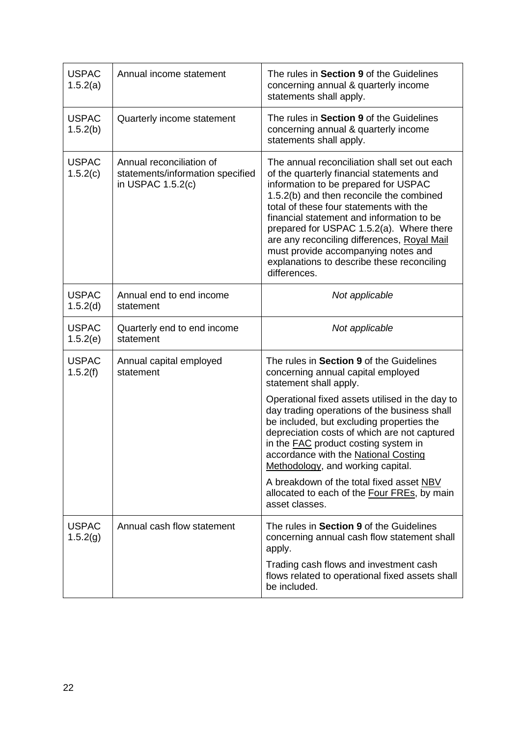| <b>USPAC</b><br>1.5.2(a) | Annual income statement                                                           | The rules in Section 9 of the Guidelines<br>concerning annual & quarterly income<br>statements shall apply.                                                                                                                                                                                                                                                                                                                                                           |  |
|--------------------------|-----------------------------------------------------------------------------------|-----------------------------------------------------------------------------------------------------------------------------------------------------------------------------------------------------------------------------------------------------------------------------------------------------------------------------------------------------------------------------------------------------------------------------------------------------------------------|--|
| <b>USPAC</b><br>1.5.2(b) | Quarterly income statement                                                        | The rules in Section 9 of the Guidelines<br>concerning annual & quarterly income<br>statements shall apply.                                                                                                                                                                                                                                                                                                                                                           |  |
| <b>USPAC</b><br>1.5.2(c) | Annual reconciliation of<br>statements/information specified<br>in USPAC 1.5.2(c) | The annual reconciliation shall set out each<br>of the quarterly financial statements and<br>information to be prepared for USPAC<br>1.5.2(b) and then reconcile the combined<br>total of these four statements with the<br>financial statement and information to be<br>prepared for USPAC 1.5.2(a). Where there<br>are any reconciling differences, Royal Mail<br>must provide accompanying notes and<br>explanations to describe these reconciling<br>differences. |  |
| <b>USPAC</b><br>1.5.2(d) | Annual end to end income<br>statement                                             | Not applicable                                                                                                                                                                                                                                                                                                                                                                                                                                                        |  |
| <b>USPAC</b><br>1.5.2(e) | Quarterly end to end income<br>statement                                          | Not applicable                                                                                                                                                                                                                                                                                                                                                                                                                                                        |  |
| <b>USPAC</b><br>1.5.2(f) | Annual capital employed<br>statement                                              | The rules in Section 9 of the Guidelines<br>concerning annual capital employed<br>statement shall apply.                                                                                                                                                                                                                                                                                                                                                              |  |
|                          |                                                                                   | Operational fixed assets utilised in the day to<br>day trading operations of the business shall<br>be included, but excluding properties the<br>depreciation costs of which are not captured<br>in the <b>FAC</b> product costing system in<br>accordance with the National Costing<br>Methodology, and working capital.                                                                                                                                              |  |
|                          |                                                                                   | A breakdown of the total fixed asset NBV<br>allocated to each of the Four FREs, by main<br>asset classes.                                                                                                                                                                                                                                                                                                                                                             |  |
| <b>USPAC</b><br>1.5.2(g) | Annual cash flow statement                                                        | The rules in Section 9 of the Guidelines<br>concerning annual cash flow statement shall<br>apply.                                                                                                                                                                                                                                                                                                                                                                     |  |
|                          |                                                                                   | Trading cash flows and investment cash<br>flows related to operational fixed assets shall<br>be included.                                                                                                                                                                                                                                                                                                                                                             |  |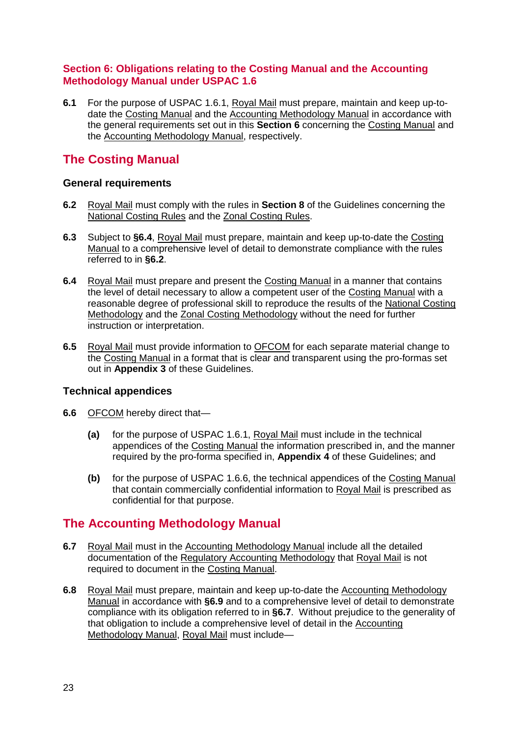### **Section 6: Obligations relating to the Costing Manual and the Accounting Methodology Manual under USPAC 1.6**

**6.1** For the purpose of USPAC 1.6.1, Royal Mail must prepare, maintain and keep up-todate the Costing Manual and the Accounting Methodology Manual in accordance with the general requirements set out in this **Section 6** concerning the Costing Manual and the Accounting Methodology Manual, respectively.

# **The Costing Manual**

### **General requirements**

- **6.2** Royal Mail must comply with the rules in **Section 8** of the Guidelines concerning the National Costing Rules and the Zonal Costing Rules.
- **6.3** Subject to **§6.4**, Royal Mail must prepare, maintain and keep up-to-date the Costing Manual to a comprehensive level of detail to demonstrate compliance with the rules referred to in **§6.2**.
- **6.4** Royal Mail must prepare and present the Costing Manual in a manner that contains the level of detail necessary to allow a competent user of the Costing Manual with a reasonable degree of professional skill to reproduce the results of the National Costing Methodology and the Zonal Costing Methodology without the need for further instruction or interpretation.
- **6.5** Royal Mail must provide information to OFCOM for each separate material change to the Costing Manual in a format that is clear and transparent using the pro-formas set out in **Appendix 3** of these Guidelines.

### **Technical appendices**

- **6.6** OFCOM hereby direct that—
	- **(a)** for the purpose of USPAC 1.6.1, Royal Mail must include in the technical appendices of the Costing Manual the information prescribed in, and the manner required by the pro-forma specified in, **Appendix 4** of these Guidelines; and
	- **(b)** for the purpose of USPAC 1.6.6, the technical appendices of the Costing Manual that contain commercially confidential information to Royal Mail is prescribed as confidential for that purpose.

# **The Accounting Methodology Manual**

- **6.7** Royal Mail must in the Accounting Methodology Manual include all the detailed documentation of the Regulatory Accounting Methodology that Royal Mail is not required to document in the Costing Manual.
- **6.8** Royal Mail must prepare, maintain and keep up-to-date the Accounting Methodology Manual in accordance with **§6.9** and to a comprehensive level of detail to demonstrate compliance with its obligation referred to in **§6.7**. Without prejudice to the generality of that obligation to include a comprehensive level of detail in the Accounting Methodology Manual, Royal Mail must include—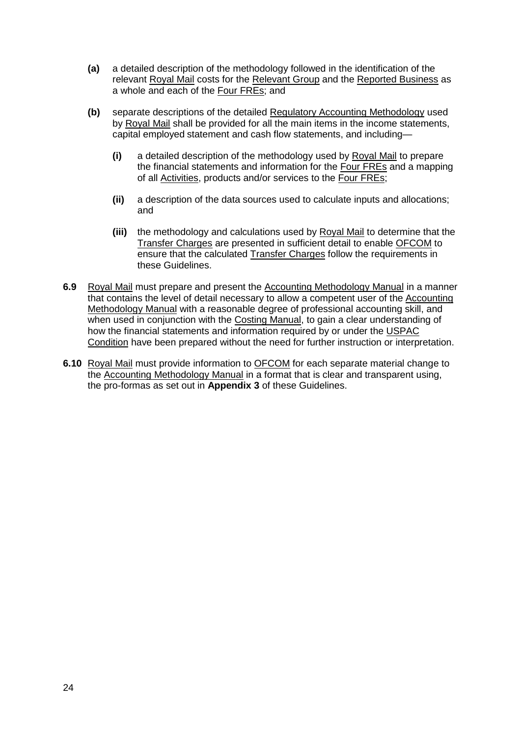- **(a)** a detailed description of the methodology followed in the identification of the relevant Royal Mail costs for the Relevant Group and the Reported Business as a whole and each of the Four FREs; and
- **(b)** separate descriptions of the detailed Regulatory Accounting Methodology used by Royal Mail shall be provided for all the main items in the income statements, capital employed statement and cash flow statements, and including—
	- **(i)** a detailed description of the methodology used by Royal Mail to prepare the financial statements and information for the Four FREs and a mapping of all Activities, products and/or services to the Four FREs;
	- **(ii)** a description of the data sources used to calculate inputs and allocations; and
	- **(iii)** the methodology and calculations used by Royal Mail to determine that the Transfer Charges are presented in sufficient detail to enable OFCOM to ensure that the calculated Transfer Charges follow the requirements in these Guidelines.
- **6.9** Royal Mail must prepare and present the Accounting Methodology Manual in a manner that contains the level of detail necessary to allow a competent user of the Accounting Methodology Manual with a reasonable degree of professional accounting skill, and when used in conjunction with the Costing Manual, to gain a clear understanding of how the financial statements and information required by or under the USPAC Condition have been prepared without the need for further instruction or interpretation.
- **6.10** Royal Mail must provide information to OFCOM for each separate material change to the Accounting Methodology Manual in a format that is clear and transparent using, the pro-formas as set out in **Appendix 3** of these Guidelines.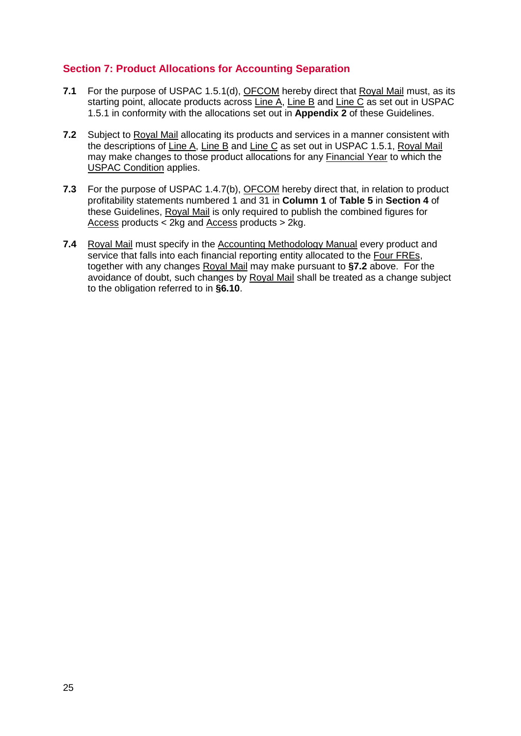### **Section 7: Product Allocations for Accounting Separation**

- **7.1** For the purpose of USPAC 1.5.1(d), OFCOM hereby direct that Royal Mail must, as its starting point, allocate products across Line A, Line B and Line C as set out in USPAC 1.5.1 in conformity with the allocations set out in **Appendix 2** of these Guidelines.
- **7.2** Subject to Royal Mail allocating its products and services in a manner consistent with the descriptions of Line A, Line B and Line C as set out in USPAC 1.5.1, Royal Mail may make changes to those product allocations for any Financial Year to which the USPAC Condition applies.
- **7.3** For the purpose of USPAC 1.4.7(b), OFCOM hereby direct that, in relation to product profitability statements numbered 1 and 31 in **Column 1** of **Table 5** in **Section 4** of these Guidelines, Royal Mail is only required to publish the combined figures for Access products < 2kg and Access products > 2kg.
- **7.4** Royal Mail must specify in the Accounting Methodology Manual every product and service that falls into each financial reporting entity allocated to the Four FREs. together with any changes Royal Mail may make pursuant to **§7.2** above. For the avoidance of doubt, such changes by Royal Mail shall be treated as a change subject to the obligation referred to in **§6.10**.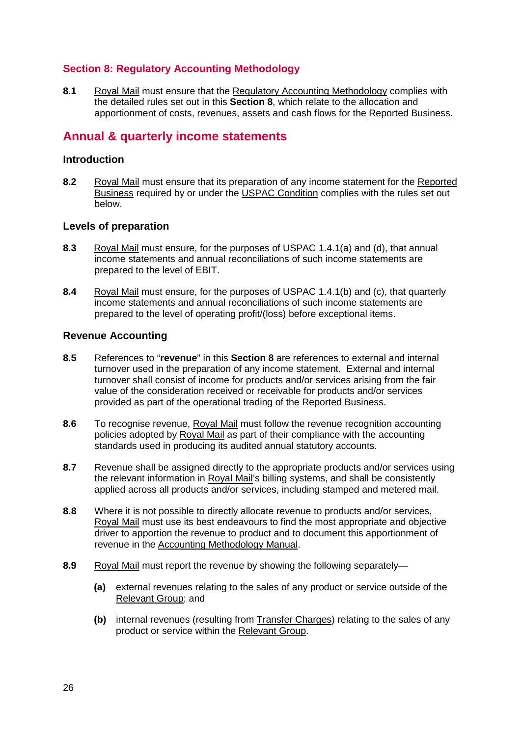### **Section 8: Regulatory Accounting Methodology**

**8.1** Royal Mail must ensure that the Regulatory Accounting Methodology complies with the detailed rules set out in this **Section 8**, which relate to the allocation and apportionment of costs, revenues, assets and cash flows for the **Reported Business**.

### **Annual & quarterly income statements**

#### **Introduction**

**8.2** Royal Mail must ensure that its preparation of any income statement for the Reported Business required by or under the USPAC Condition complies with the rules set out below.

#### **Levels of preparation**

- **8.3** Royal Mail must ensure, for the purposes of USPAC 1.4.1(a) and (d), that annual income statements and annual reconciliations of such income statements are prepared to the level of EBIT.
- **8.4** Royal Mail must ensure, for the purposes of USPAC 1.4.1(b) and (c), that quarterly income statements and annual reconciliations of such income statements are prepared to the level of operating profit/(loss) before exceptional items.

#### **Revenue Accounting**

- **8.5** References to "**revenue**" in this **Section 8** are references to external and internal turnover used in the preparation of any income statement. External and internal turnover shall consist of income for products and/or services arising from the fair value of the consideration received or receivable for products and/or services provided as part of the operational trading of the Reported Business.
- **8.6** To recognise revenue, Royal Mail must follow the revenue recognition accounting policies adopted by Royal Mail as part of their compliance with the accounting standards used in producing its audited annual statutory accounts.
- **8.7** Revenue shall be assigned directly to the appropriate products and/or services using the relevant information in Royal Mail's billing systems, and shall be consistently applied across all products and/or services, including stamped and metered mail.
- **8.8** Where it is not possible to directly allocate revenue to products and/or services, Royal Mail must use its best endeavours to find the most appropriate and objective driver to apportion the revenue to product and to document this apportionment of revenue in the Accounting Methodology Manual.
- **8.9** Royal Mail must report the revenue by showing the following separately—
	- **(a)** external revenues relating to the sales of any product or service outside of the Relevant Group; and
	- **(b)** internal revenues (resulting from Transfer Charges) relating to the sales of any product or service within the Relevant Group.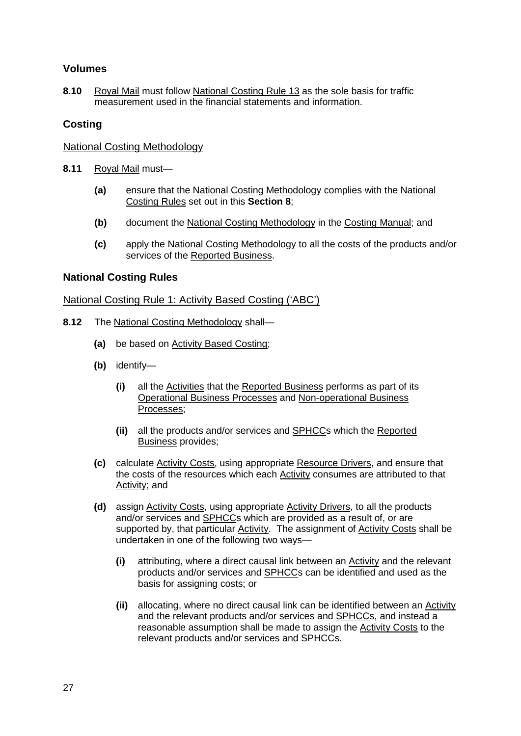### **Volumes**

**8.10** Royal Mail must follow National Costing Rule 13 as the sole basis for traffic measurement used in the financial statements and information.

#### **Costing**

#### National Costing Methodology

- **8.11** Royal Mail must—
	- **(a)** ensure that the National Costing Methodology complies with the National Costing Rules set out in this **Section 8**;
	- **(b)** document the National Costing Methodology in the Costing Manual; and
	- **(c)** apply the National Costing Methodology to all the costs of the products and/or services of the Reported Business.

#### **National Costing Rules**

#### National Costing Rule 1: Activity Based Costing ('ABC')

- **8.12** The National Costing Methodology shall—
	- **(a)** be based on Activity Based Costing;
	- **(b)** identify—
		- **(i)** all the Activities that the Reported Business performs as part of its Operational Business Processes and Non-operational Business Processes;
		- **(ii)** all the products and/or services and SPHCCs which the Reported Business provides;
	- **(c)** calculate Activity Costs, using appropriate Resource Drivers, and ensure that the costs of the resources which each Activity consumes are attributed to that Activity; and
	- **(d)** assign Activity Costs, using appropriate Activity Drivers, to all the products and/or services and SPHCCs which are provided as a result of, or are supported by, that particular Activity. The assignment of Activity Costs shall be undertaken in one of the following two ways—
		- **(i)** attributing, where a direct causal link between an Activity and the relevant products and/or services and SPHCCs can be identified and used as the basis for assigning costs; or
		- **(ii)** allocating, where no direct causal link can be identified between an Activity and the relevant products and/or services and SPHCCs, and instead a reasonable assumption shall be made to assign the Activity Costs to the relevant products and/or services and SPHCCs.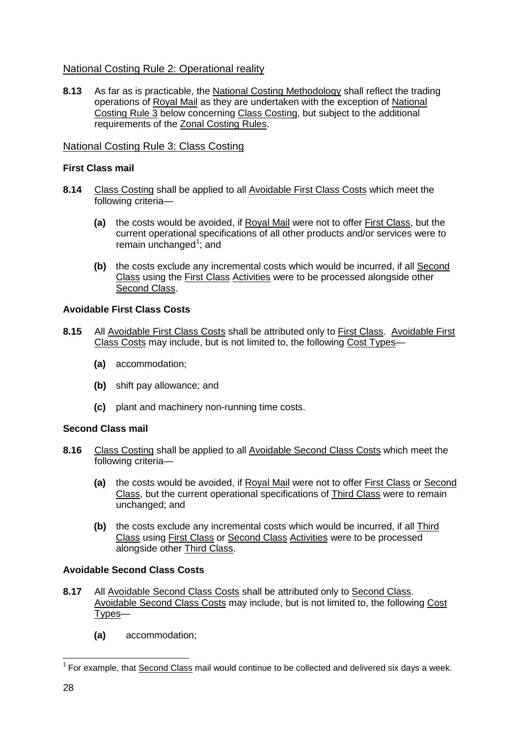### National Costing Rule 2: Operational reality

**8.13** As far as is practicable, the National Costing Methodology shall reflect the trading operations of Royal Mail as they are undertaken with the exception of National Costing Rule 3 below concerning Class Costing, but subject to the additional requirements of the Zonal Costing Rules.

### National Costing Rule 3: Class Costing

#### **First Class mail**

- **8.14** Class Costing shall be applied to all Avoidable First Class Costs which meet the following criteria—
	- **(a)** the costs would be avoided, if Royal Mail were not to offer First Class, but the current operational specifications of all other products and/or services were to remain unchanged<sup>[1](#page-27-0)</sup>; and
	- **(b)** the costs exclude any incremental costs which would be incurred, if all Second Class using the First Class Activities were to be processed alongside other Second Class.

#### **Avoidable First Class Costs**

- **8.15** All Avoidable First Class Costs shall be attributed only to First Class. Avoidable First Class Costs may include, but is not limited to, the following Cost Types—
	- **(a)** accommodation;
	- **(b)** shift pay allowance; and
	- **(c)** plant and machinery non-running time costs.

#### **Second Class mail**

- **8.16** Class Costing shall be applied to all Avoidable Second Class Costs which meet the following criteria—
	- **(a)** the costs would be avoided, if Royal Mail were not to offer First Class or Second Class, but the current operational specifications of Third Class were to remain unchanged; and
	- **(b)** the costs exclude any incremental costs which would be incurred, if all Third Class using First Class or Second Class Activities were to be processed alongside other Third Class.

### **Avoidable Second Class Costs**

- **8.17** All Avoidable Second Class Costs shall be attributed only to Second Class. Avoidable Second Class Costs may include, but is not limited to, the following Cost <u>Types</u>—
	- **(a)** accommodation;

<span id="page-27-0"></span> $<sup>1</sup>$  For example, that Second Class mail would continue to be collected and delivered six days a week.</sup>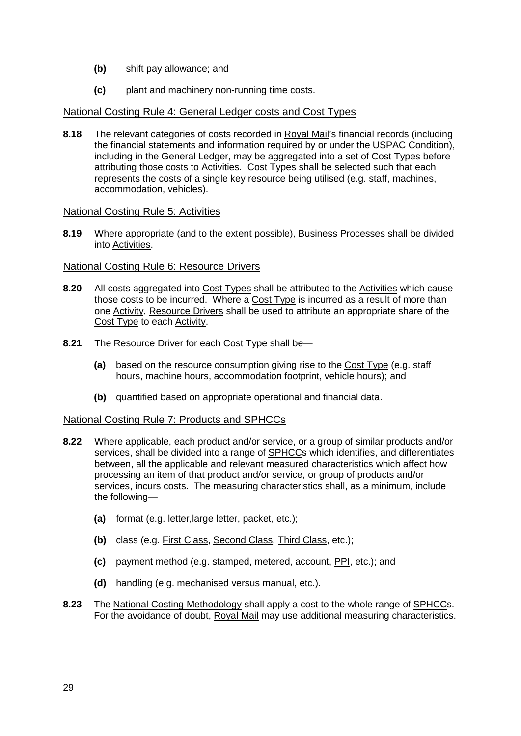- **(b)** shift pay allowance; and
- **(c)** plant and machinery non-running time costs.

#### National Costing Rule 4: General Ledger costs and Cost Types

**8.18** The relevant categories of costs recorded in Royal Mail's financial records (including the financial statements and information required by or under the USPAC Condition), including in the General Ledger, may be aggregated into a set of Cost Types before attributing those costs to Activities. Cost Types shall be selected such that each represents the costs of a single key resource being utilised (e.g. staff, machines, accommodation, vehicles).

#### National Costing Rule 5: Activities

**8.19** Where appropriate (and to the extent possible), **Business Processes** shall be divided into Activities.

#### National Costing Rule 6: Resource Drivers

- **8.20** All costs aggregated into Cost Types shall be attributed to the Activities which cause those costs to be incurred. Where a Cost Type is incurred as a result of more than one Activity, Resource Drivers shall be used to attribute an appropriate share of the Cost Type to each Activity.
- **8.21** The Resource Driver for each Cost Type shall be—
	- **(a)** based on the resource consumption giving rise to the Cost Type (e.g. staff hours, machine hours, accommodation footprint, vehicle hours); and
	- **(b)** quantified based on appropriate operational and financial data.

#### National Costing Rule 7: Products and SPHCCs

- **8.22** Where applicable, each product and/or service, or a group of similar products and/or services, shall be divided into a range of SPHCCs which identifies, and differentiates between, all the applicable and relevant measured characteristics which affect how processing an item of that product and/or service, or group of products and/or services, incurs costs. The measuring characteristics shall, as a minimum, include the following—
	- **(a)** format (e.g. letter,large letter, packet, etc.);
	- **(b)** class (e.g. First Class, Second Class, Third Class, etc.);
	- **(c)** payment method (e.g. stamped, metered, account, PPI, etc.); and
	- **(d)** handling (e.g. mechanised versus manual, etc.).
- **8.23** The National Costing Methodology shall apply a cost to the whole range of SPHCCs. For the avoidance of doubt, Royal Mail may use additional measuring characteristics.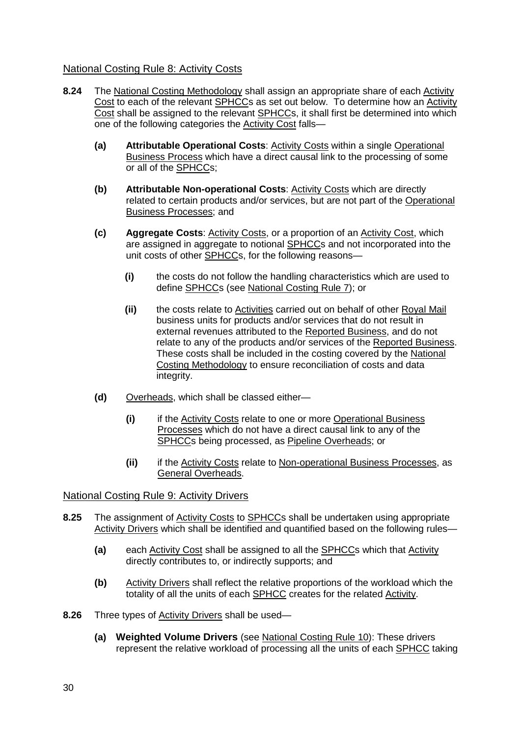### National Costing Rule 8: Activity Costs

- **8.24** The National Costing Methodology shall assign an appropriate share of each Activity Cost to each of the relevant SPHCCs as set out below. To determine how an Activity Cost shall be assigned to the relevant SPHCCs, it shall first be determined into which one of the following categories the Activity Cost falls—
	- **(a) Attributable Operational Costs**: Activity Costs within a single Operational Business Process which have a direct causal link to the processing of some or all of the SPHCCs;
	- **(b) Attributable Non-operational Costs**: Activity Costs which are directly related to certain products and/or services, but are not part of the Operational Business Processes; and
	- **(c) Aggregate Costs**: Activity Costs, or a proportion of an Activity Cost, which are assigned in aggregate to notional SPHCCs and not incorporated into the unit costs of other SPHCCs, for the following reasons—
		- **(i)** the costs do not follow the handling characteristics which are used to define SPHCCs (see National Costing Rule 7); or
		- **(ii)** the costs relate to Activities carried out on behalf of other Royal Mail business units for products and/or services that do not result in external revenues attributed to the Reported Business, and do not relate to any of the products and/or services of the Reported Business. These costs shall be included in the costing covered by the National Costing Methodology to ensure reconciliation of costs and data integrity.
	- **(d)** Overheads, which shall be classed either—
		- **(i)** if the Activity Costs relate to one or more Operational Business Processes which do not have a direct causal link to any of the SPHCCs being processed, as Pipeline Overheads; or
		- **(ii)** if the Activity Costs relate to Non-operational Business Processes, as General Overheads.

### National Costing Rule 9: Activity Drivers

- **8.25** The assignment of Activity Costs to SPHCCs shall be undertaken using appropriate Activity Drivers which shall be identified and quantified based on the following rules—
	- **(a)** each Activity Cost shall be assigned to all the SPHCCs which that Activity directly contributes to, or indirectly supports; and
	- **(b)** Activity Drivers shall reflect the relative proportions of the workload which the totality of all the units of each SPHCC creates for the related Activity.
- **8.26** Three types of Activity Drivers shall be used—
	- **(a) Weighted Volume Drivers** (see National Costing Rule 10): These drivers represent the relative workload of processing all the units of each SPHCC taking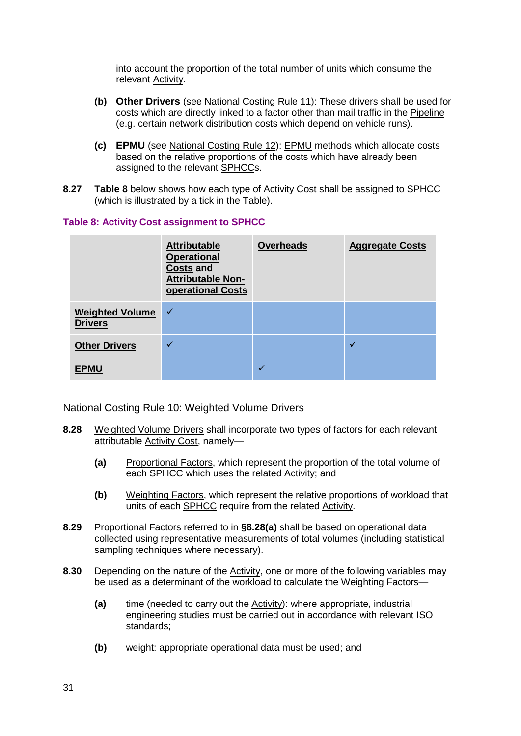into account the proportion of the total number of units which consume the relevant Activity.

- **(b) Other Drivers** (see National Costing Rule 11): These drivers shall be used for costs which are directly linked to a factor other than mail traffic in the Pipeline (e.g. certain network distribution costs which depend on vehicle runs).
- **(c) EPMU** (see National Costing Rule 12): EPMU methods which allocate costs based on the relative proportions of the costs which have already been assigned to the relevant SPHCCs.
- **8.27 Table 8** below shows how each type of Activity Cost shall be assigned to SPHCC (which is illustrated by a tick in the Table).

#### **Table 8: Activity Cost assignment to SPHCC**

|                                          | <b>Attributable</b><br><b>Operational</b><br><b>Costs and</b><br><b>Attributable Non-</b><br>operational Costs | <b>Overheads</b> | <b>Aggregate Costs</b> |
|------------------------------------------|----------------------------------------------------------------------------------------------------------------|------------------|------------------------|
| <b>Weighted Volume</b><br><b>Drivers</b> | $\checkmark$                                                                                                   |                  |                        |
| <b>Other Drivers</b>                     |                                                                                                                |                  |                        |
| <b>EPMU</b>                              |                                                                                                                |                  |                        |

#### National Costing Rule 10: Weighted Volume Drivers

- **8.28** Weighted Volume Drivers shall incorporate two types of factors for each relevant attributable Activity Cost, namely—
	- **(a)** Proportional Factors, which represent the proportion of the total volume of each SPHCC which uses the related Activity; and
	- **(b)** Weighting Factors, which represent the relative proportions of workload that units of each SPHCC require from the related Activity.
- **8.29** Proportional Factors referred to in **§8.28(a)** shall be based on operational data collected using representative measurements of total volumes (including statistical sampling techniques where necessary).
- **8.30** Depending on the nature of the Activity, one or more of the following variables may be used as a determinant of the workload to calculate the Weighting Factors—
	- **(a)** time (needed to carry out the Activity): where appropriate, industrial engineering studies must be carried out in accordance with relevant ISO standards;
	- **(b)** weight: appropriate operational data must be used; and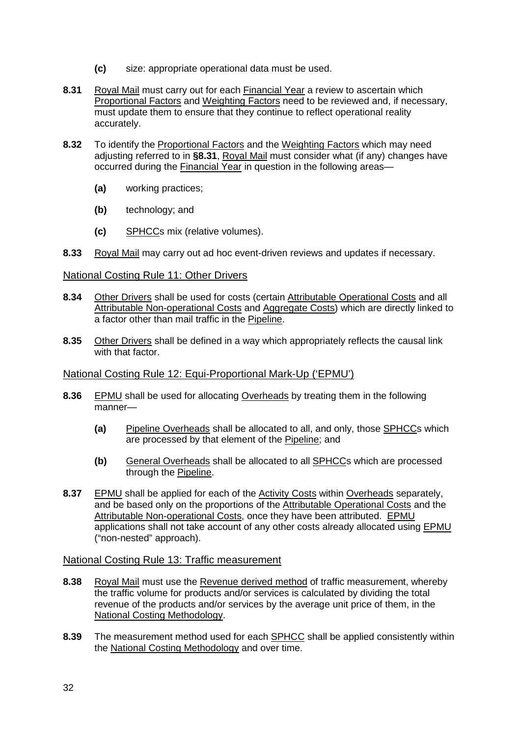- **(c)** size: appropriate operational data must be used.
- **8.31** Royal Mail must carry out for each Financial Year a review to ascertain which Proportional Factors and Weighting Factors need to be reviewed and, if necessary, must update them to ensure that they continue to reflect operational reality accurately.
- **8.32** To identify the Proportional Factors and the Weighting Factors which may need adjusting referred to in **§8.31**, Royal Mail must consider what (if any) changes have occurred during the Financial Year in question in the following areas-
	- **(a)** working practices;
	- **(b)** technology; and
	- **(c)** SPHCCs mix (relative volumes).
- **8.33** Royal Mail may carry out ad hoc event-driven reviews and updates if necessary.

#### National Costing Rule 11: Other Drivers

- **8.34** Other Drivers shall be used for costs (certain Attributable Operational Costs and all Attributable Non-operational Costs and Aggregate Costs) which are directly linked to a factor other than mail traffic in the Pipeline.
- **8.35** Other Drivers shall be defined in a way which appropriately reflects the causal link with that factor.

#### National Costing Rule 12: Equi-Proportional Mark-Up ('EPMU')

- **8.36** EPMU shall be used for allocating Overheads by treating them in the following manner-
	- **(a)** Pipeline Overheads shall be allocated to all, and only, those SPHCCs which are processed by that element of the Pipeline; and
	- **(b)** General Overheads shall be allocated to all SPHCCs which are processed through the Pipeline.
- **8.37** EPMU shall be applied for each of the Activity Costs within Overheads separately, and be based only on the proportions of the Attributable Operational Costs and the Attributable Non-operational Costs, once they have been attributed. EPMU applications shall not take account of any other costs already allocated using EPMU ("non-nested" approach).

#### National Costing Rule 13: Traffic measurement

- **8.38** Royal Mail must use the Revenue derived method of traffic measurement, whereby the traffic volume for products and/or services is calculated by dividing the total revenue of the products and/or services by the average unit price of them, in the National Costing Methodology.
- **8.39** The measurement method used for each SPHCC shall be applied consistently within the National Costing Methodology and over time.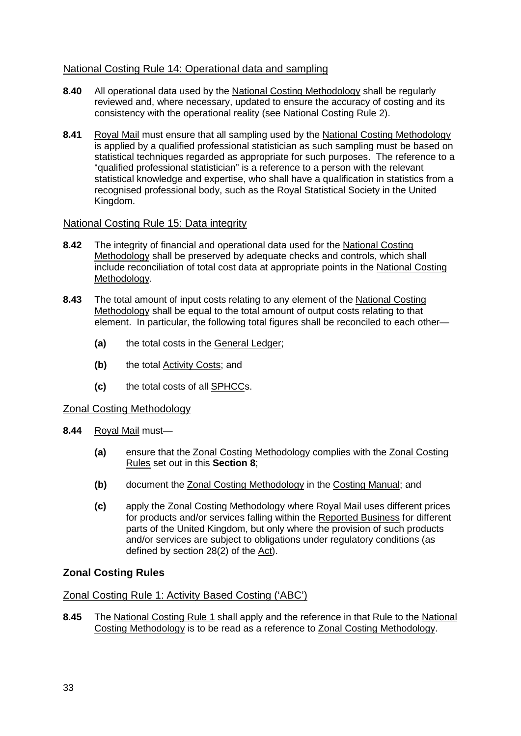### National Costing Rule 14: Operational data and sampling

- **8.40** All operational data used by the National Costing Methodology shall be regularly reviewed and, where necessary, updated to ensure the accuracy of costing and its consistency with the operational reality (see National Costing Rule 2).
- **8.41** Royal Mail must ensure that all sampling used by the National Costing Methodology recognisedprofessional body, such as the Royal Statistical Society in the United is applied by a qualified professional statistician as such sampling must be based on statistical techniques regarded as appropriate for such purposes. The reference to a "qualified professional statistician" is a reference to a person with the relevant statistical knowledge and expertise, who shall have a qualification in statistics from a [Kingdom.](http://en.wikipedia.org/wiki/United_Kingdom)

#### National Costing Rule 15: Data integrity

- **8.42** The integrity of financial and operational data used for the National Costing Methodology shall be preserved by adequate checks and controls, which shall include reconciliation of total cost data at appropriate points in the National Costing Methodology.
- **8.43** The total amount of input costs relating to any element of the National Costing Methodology shall be equal to the total amount of output costs relating to that element. In particular, the following total figures shall be reconciled to each other—
	- **(a)** the total costs in the General Ledger;
	- **(b)** the total Activity Costs; and
	- **(c)** the total costs of all SPHCCs.

#### Zonal Costing Methodology

- **8.44** Royal Mail must—
	- **(a)** ensure that the Zonal Costing Methodology complies with the Zonal Costing Rules set out in this **Section 8**;
	- **(b)** document the Zonal Costing Methodology in the Costing Manual; and
	- **(c)** apply the Zonal Costing Methodology where Royal Mail uses different prices for products and/or services falling within the Reported Business for different parts of the United Kingdom, but only where the provision of such products and/or services are subject to obligations under regulatory conditions (as defined by section 28(2) of the Act).

### **Zonal Costing Rules**

### Zonal Costing Rule 1: Activity Based Costing ('ABC')

**8.45** The National Costing Rule 1 shall apply and the reference in that Rule to the National Costing Methodology is to be read as a reference to Zonal Costing Methodology.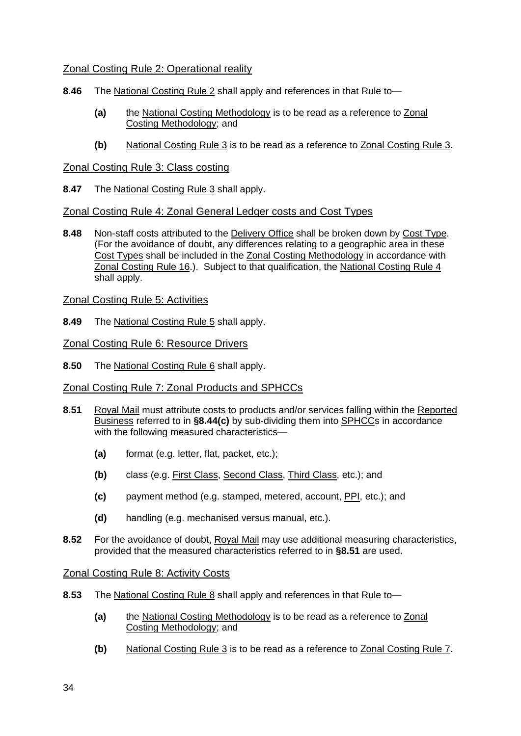#### Zonal Costing Rule 2: Operational reality

- **8.46** The National Costing Rule 2 shall apply and references in that Rule to—
	- **(a)** the National Costing Methodology is to be read as a reference to Zonal Costing Methodology; and
	- **(b)** National Costing Rule 3 is to be read as a reference to Zonal Costing Rule 3.

#### Zonal Costing Rule 3: Class costing

**8.47** The National Costing Rule 3 shall apply.

#### Zonal Costing Rule 4: Zonal General Ledger costs and Cost Types

**8.48** Non-staff costs attributed to the Delivery Office shall be broken down by Cost Type. (For the avoidance of doubt, any differences relating to a geographic area in these Cost Types shall be included in the Zonal Costing Methodology in accordance with Zonal Costing Rule 16.). Subject to that qualification, the National Costing Rule 4 shall apply.

#### Zonal Costing Rule 5: Activities

**8.49** The National Costing Rule 5 shall apply.

#### Zonal Costing Rule 6: Resource Drivers

**8.50** The National Costing Rule 6 shall apply.

### Zonal Costing Rule 7: Zonal Products and SPHCCs

- **8.51** Royal Mail must attribute costs to products and/or services falling within the Reported Business referred to in **§8.44(c)** by sub-dividing them into SPHCCs in accordance with the following measured characteristics—
	- **(a)** format (e.g. letter, flat, packet, etc.);
	- **(b)** class (e.g. First Class, Second Class, Third Class, etc.); and
	- **(c)** payment method (e.g. stamped, metered, account, PPI, etc.); and
	- **(d)** handling (e.g. mechanised versus manual, etc.).
- **8.52** For the avoidance of doubt, Royal Mail may use additional measuring characteristics, provided that the measured characteristics referred to in **§8.51** are used.

#### Zonal Costing Rule 8: Activity Costs

- **8.53** The National Costing Rule 8 shall apply and references in that Rule to—
	- **(a)** the National Costing Methodology is to be read as a reference to Zonal Costing Methodology; and
	- **(b)** National Costing Rule 3 is to be read as a reference to Zonal Costing Rule 7.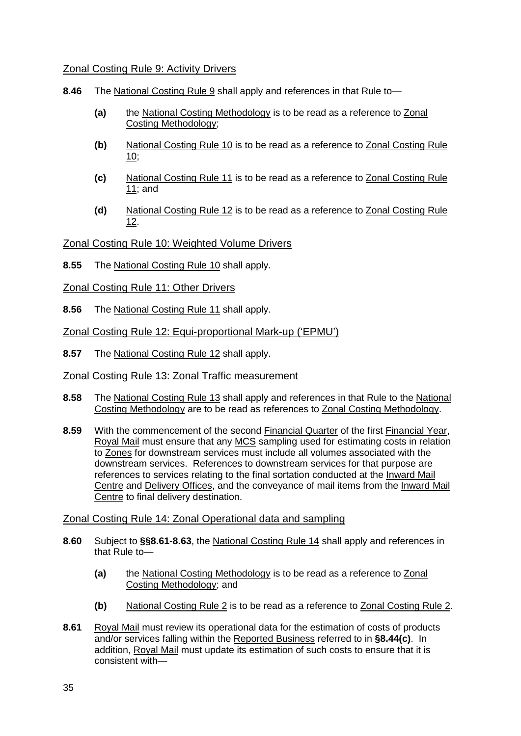#### Zonal Costing Rule 9: Activity Drivers

- **8.46** The National Costing Rule 9 shall apply and references in that Rule to—
	- **(a)** the National Costing Methodology is to be read as a reference to Zonal Costing Methodology;
	- **(b)** National Costing Rule 10 is to be read as a reference to Zonal Costing Rule 10;
	- **(c)** National Costing Rule 11 is to be read as a reference to Zonal Costing Rule 11; and
	- **(d)** National Costing Rule 12 is to be read as a reference to Zonal Costing Rule 12.

Zonal Costing Rule 10: Weighted Volume Drivers

- **8.55** The National Costing Rule 10 shall apply.
- Zonal Costing Rule 11: Other Drivers
- **8.56** The National Costing Rule 11 shall apply.

Zonal Costing Rule 12: Equi-proportional Mark-up ('EPMU')

**8.57** The National Costing Rule 12 shall apply.

Zonal Costing Rule 13: Zonal Traffic measurement

- **8.58** The National Costing Rule 13 shall apply and references in that Rule to the National Costing Methodology are to be read as references to Zonal Costing Methodology.
- **8.59** With the commencement of the second Financial Quarter of the first Financial Year, Royal Mail must ensure that any MCS sampling used for estimating costs in relation to Zones for downstream services must include all volumes associated with the downstream services. References to downstream services for that purpose are references to services relating to the final sortation conducted at the Inward Mail Centre and Delivery Offices, and the conveyance of mail items from the Inward Mail Centre to final delivery destination.

#### Zonal Costing Rule 14: Zonal Operational data and sampling

- **8.60** Subject to **§§8.61-8.63**, the National Costing Rule 14 shall apply and references in that Rule to—
	- **(a)** the National Costing Methodology is to be read as a reference to Zonal Costing Methodology; and
	- **(b)** National Costing Rule 2 is to be read as a reference to Zonal Costing Rule 2.
- **8.61** Royal Mail must review its operational data for the estimation of costs of products and/or services falling within the Reported Business referred to in **§8.44(c)**. In addition, Royal Mail must update its estimation of such costs to ensure that it is consistent with—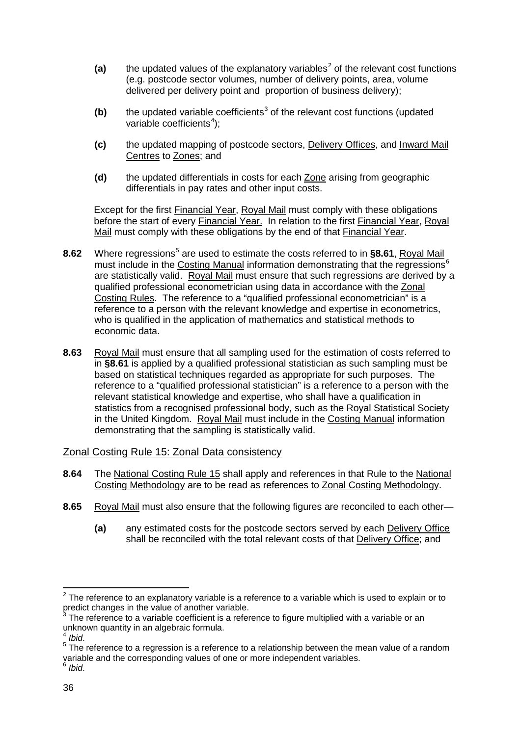- $(a)$  the updated values of the explanatory variables<sup>[2](#page-35-0)</sup> of the relevant cost functions (e.g. postcode sector volumes, number of delivery points, area, volume delivered per delivery point and proportion of business delivery);
- **(b)** the updated variable coefficients [3](#page-35-1) of the relevant cost functions (updated variable coefficients<sup>[4](#page-35-2)</sup>);
- **(c)** the updated mapping of postcode sectors, Delivery Offices, and Inward Mail Centres to Zones; and
- **(d)** the updated differentials in costs for each Zone arising from geographic differentials in pay rates and other input costs.

Except for the first **Financial Year, Royal Mail** must comply with these obligations before the start of every <u>Financial Year.</u> In relation to the first Financial Year, Royal <u>Mail</u> must comply with these obligations by the end of that <u>Financial Year</u>.

- 8.62 Where regressions<sup>[5](#page-35-3)</sup> are used to estimate the costs referred to in §8.61, Royal Mail must include in the Costing Manual information demonstrating that the regressions<sup>[6](#page-35-4)</sup> are statistically valid. Royal Mail must ensure that such regressions are derived by a qualified professional econometrician using data in accordance with the Zonal Costing Rules . The reference to a "qualified professional econometrician" is a whois qualified in the application of mathematics and [statistical methods](http://en.wikipedia.org/wiki/Statistical_methods) to reference to a person with the relevant knowledge and expertise in econometrics, economic data.
- **8.63** Royal Mail must ensure that all sampling used for the estimation of costs referred to statistics from a recognised professional body, such as the [Royal Statistical Society](http://en.wikipedia.org/wiki/Royal_Statistical_Society) in **§8.61** is applied by a qualified professional statistician as such sampling must be based on statistical techniques regarded as appropriate for such purposes. The reference to a "qualified professional statistician" is a reference to a person with the relevant statistical knowledge and expertise, who shall have a qualification in in the [United Kingdom.](http://en.wikipedia.org/wiki/United_Kingdom) Royal Mail must include in the Costing Manual information demonstrating that the sampling is statistically valid.

#### Zonal Costing Rule 15: Zonal Data consistency

- **8.64** The National Costing Rule 15 shall apply and references in that Rule to the National Costing Methodology are to be read as references to Zonal Costing Methodology.
- **8.65** Royal Mail must also ensure that the following figures are reconciled to each other—
	- **(a)** any estimated costs for the postcode sectors served by each Delivery Office shall be reconciled with the total relevant costs of that **Delivery Office**; and

<span id="page-35-0"></span> $2$  The reference to an explanatory variable is a reference to a variable which is used to explain or to predict changes in the value of another variable.

<span id="page-35-1"></span>The reference to a variable coefficient is a reference to figure multiplied with a variable or an unknown quantity in an algebraic formula.

<span id="page-35-4"></span><span id="page-35-3"></span><span id="page-35-2"></span><sup>&</sup>lt;sup>4</sup> *Ibid.*<br><sup>5</sup> The reference to a regression is a reference to a relationship between the mean value of a random variable and the corresponding values of one or more independent variables. <sup>6</sup> *Ibid*.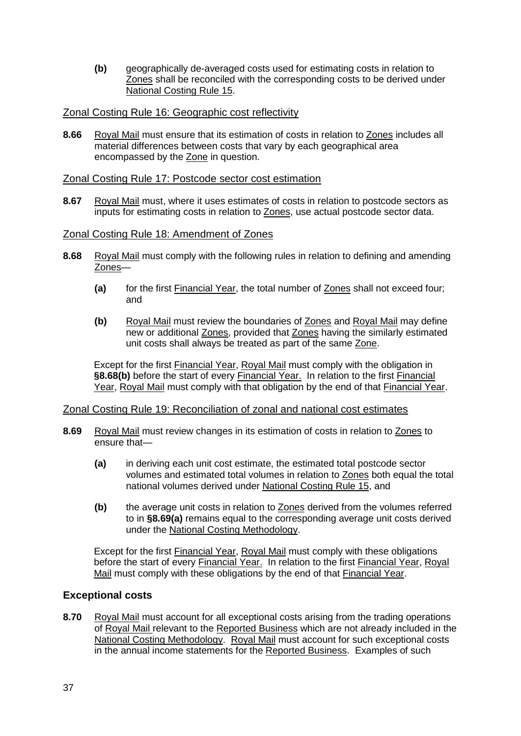**(b)** geographically de-averaged costs used for estimating costs in relation to Zones shall be reconciled with the corresponding costs to be derived under National Costing Rule 15.

#### Zonal Costing Rule 16: Geographic cost reflectivity

**8.66** Royal Mail must ensure that its estimation of costs in relation to Zones includes all material differences between costs that vary by each geographical area encompassed by the Zone in question.

#### Zonal Costing Rule 17: Postcode sector cost estimation

**8.67** Royal Mail must, where it uses estimates of costs in relation to postcode sectors as inputs for estimating costs in relation to Zones, use actual postcode sector data.

#### Zonal Costing Rule 18: Amendment of Zones

- **8.68** Royal Mail must comply with the following rules in relation to defining and amending Zones—
	- **(a)** for the first Financial Year, the total number of Zones shall not exceed four; and
	- **(b)** Royal Mail must review the boundaries of Zones and Royal Mail may define new or additional Zones, provided that Zones having the similarly estimated unit costs shall always be treated as part of the same Zone.

Except for the first Financial Year, Royal Mail must comply with the obligation in §8.68(b) before the start of every Financial Year. In relation to the first Financial Year, Royal Mail must comply with that obligation by the end of that Financial Year.

#### Zonal Costing Rule 19: Reconciliation of zonal and national cost estimates

- **8.69** Royal Mail must review changes in its estimation of costs in relation to Zones to ensure that—
	- **(a)** in deriving each unit cost estimate, the estimated total postcode sector volumes and estimated total volumes in relation to Zones both equal the total national volumes derived under National Costing Rule 15, and
	- **(b)** the average unit costs in relation to Zones derived from the volumes referred to in **§8.69(a)** remains equal to the corresponding average unit costs derived under the National Costing Methodology.

Except for the first Financial Year, Royal Mail must comply with these obligations before the start of every Financial Year. In relation to the first Financial Year, Royal <u>Mail</u> must comply with these obligations by the end of that <u>Financial Year</u>.

### **Exceptional costs**

**8.70** Royal Mail must account for all exceptional costs arising from the trading operations of Royal Mail relevant to the Reported Business which are not already included in the National Costing Methodology. Royal Mail must account for such exceptional costs in the annual income statements for the Reported Business. Examples of such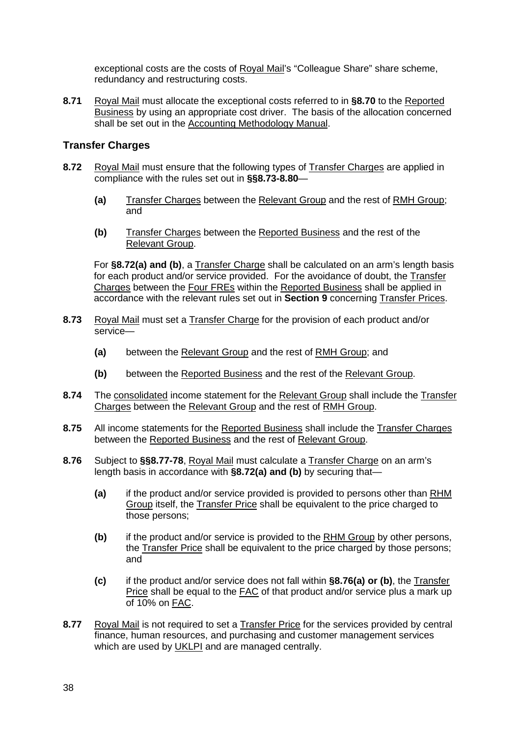exceptional costs are the costs of Royal Mail's "Colleague Share" share scheme, redundancy and restructuring costs.

**8.71** Royal Mail must allocate the exceptional costs referred to in **§8.70** to the Reported Business by using an appropriate cost driver. The basis of the allocation concerned shall be set out in the Accounting Methodology Manual.

### **Transfer Charges**

- **8.72** Royal Mail must ensure that the following types of Transfer Charges are applied in compliance with the rules set out in **§§8.73-8.80**—
	- **(a)** Transfer Charges between the Relevant Group and the rest of RMH Group; and
	- **(b)** Transfer Charges between the Reported Business and the rest of the Relevant Group.

For **§8.72(a) and (b)**, a Transfer Charge shall be calculated on an arm's length basis for each product and/or service provided. For the avoidance of doubt, the Transfer Charges between the Four FREs within the Reported Business shall be applied in accordance with the relevant rules set out in **Section 9** concerning Transfer Prices.

- **8.73** Royal Mail must set a Transfer Charge for the provision of each product and/or service—
	- **(a)** between the Relevant Group and the rest of RMH Group; and
	- **(b)** between the Reported Business and the rest of the Relevant Group.
- **8.74** The consolidated income statement for the Relevant Group shall include the Transfer Charges between the Relevant Group and the rest of RMH Group.
- **8.75** All income statements for the Reported Business shall include the Transfer Charges between the Reported Business and the rest of Relevant Group.
- **8.76** Subject to **§§8.77-78**, Royal Mail must calculate a Transfer Charge on an arm's length basis in accordance with **§8.72(a) and (b)** by securing that—
	- **(a)** if the product and/or service provided is provided to persons other than RHM Group itself, the Transfer Price shall be equivalent to the price charged to those persons;
	- **(b)** if the product and/or service is provided to the RHM Group by other persons, the Transfer Price shall be equivalent to the price charged by those persons; and
	- **(c)** if the product and/or service does not fall within **§8.76(a) or (b)**, the Transfer Price shall be equal to the FAC of that product and/or service plus a mark up of 10% on FAC.
- 8.77 Royal Mail is not required to set a Transfer Price for the services provided by central finance, human resources, and purchasing and customer management services which are used by UKLPI and are managed centrally.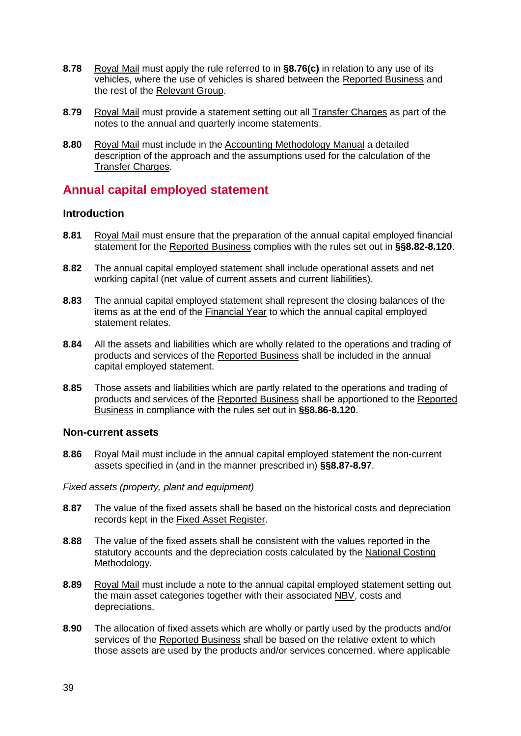- **8.78** Royal Mail must apply the rule referred to in **§8.76(c)** in relation to any use of its vehicles, where the use of vehicles is shared between the Reported Business and the rest of the Relevant Group.
- **8.79** Royal Mail must provide a statement setting out all Transfer Charges as part of the notes to the annual and quarterly income statements.
- **8.80** Royal Mail must include in the Accounting Methodology Manual a detailed description of the approach and the assumptions used for the calculation of the Transfer Charges .

# **Annual capital employed statement**

#### **Introduction**

- **8.81** Royal Mail must ensure that the preparation of the annual capital employed financial statement for the Reported Business complies with the rules set out in **§§8.82-8.120**.
- **8.82** The annual capital employed statement shall include operational assets and net working capital (net value of current assets and current liabilities).
- **8.83** The annual capital employed statement shall represent the closing balances of the items as at the end of the Financial Year to which the annual capital employed statement relates.
- **8.84** All the assets and liabilities which are wholly related to the operations and trading of products and services of the Reported Business shall be included in the annual capital employed statement.
- **8.85** Those assets and liabilities which are partly related to the operations and trading of products and services of the Reported Business shall be apportioned to the Reported Business in compliance with the rules set out in **§§8.86-8.120**.

#### **Non-current assets**

**8.86** Royal Mail must include in the annual capital employed statement the non-current assets specified in (and in the manner prescribed in) **§§8.87-8.97**.

*Fixed assets (property, plant and equipment)*

- **8.87** The value of the fixed assets shall be based on the historical costs and depreciation records kept in the Fixed Asset Register.
- **8.88** The value of the fixed assets shall be consistent with the values reported in the statutory accounts and the depreciation costs calculated by the National Costing Methodology.
- **8.89** Royal Mail must include a note to the annual capital employed statement setting out the main asset categories together with their associated NBV, costs and depreciations.
- **8.90** The allocation of fixed assets which are wholly or partly used by the products and/or services of the Reported Business shall be based on the relative extent to which those assets are used by the products and/or services concerned, where applicable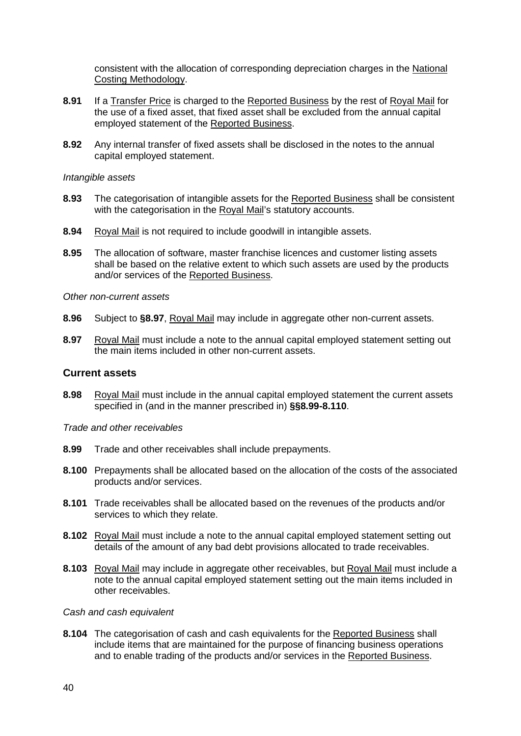consistent with the allocation of corresponding depreciation charges in the National Costing Methodology.

- **8.91** If a Transfer Price is charged to the Reported Business by the rest of Royal Mail for the use of a fixed asset, that fixed asset shall be excluded from the annual capital employed statement of the Reported Business.
- **8.92** Any internal transfer of fixed assets shall be disclosed in the notes to the annual capital employed statement.

#### *Intangible assets*

- **8.93** The categorisation of intangible assets for the Reported Business shall be consistent with the categorisation in the Royal Mail's statutory accounts.
- **8.94** Royal Mail is not required to include goodwill in intangible assets.
- **8.95** The allocation of software, master franchise licences and customer listing assets shall be based on the relative extent to which such assets are used by the products and/or services of the Reported Business.

*Other non-current assets*

- **8.96** Subject to **§8.97**, Royal Mail may include in aggregate other non-current assets.
- **8.97** Royal Mail must include a note to the annual capital employed statement setting out the main items included in other non-current assets.

#### **Current assets**

**8.98** Royal Mail must include in the annual capital employed statement the current assets specified in (and in the manner prescribed in) **§§8.99-8.110**.

*Trade and other receivables*

- **8.99** Trade and other receivables shall include prepayments.
- **8.100** Prepayments shall be allocated based on the allocation of the costs of the associated products and/or services.
- **8.101** Trade receivables shall be allocated based on the revenues of the products and/or services to which they relate.
- **8.102** Royal Mail must include a note to the annual capital employed statement setting out details of the amount of any bad debt provisions allocated to trade receivables.
- 8.103 Royal Mail may include in aggregate other receivables, but Royal Mail must include a note to the annual capital employed statement setting out the main items included in other receivables.

*Cash and cash equivalent*

**8.104** The categorisation of cash and cash equivalents for the Reported Business shall include items that are maintained for the purpose of financing business operations and to enable trading of the products and/or services in the Reported Business.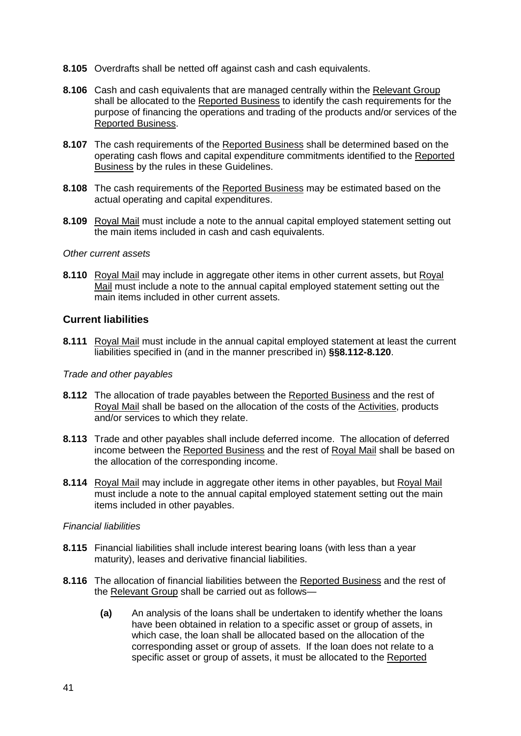- **8.105** Overdrafts shall be netted off against cash and cash equivalents.
- **8.106** Cash and cash equivalents that are managed centrally within the Relevant Group shall be allocated to the Reported Business to identify the cash requirements for the purpose of financing the operations and trading of the products and/or services of the Reported Business .
- **8.107** The cash requirements of the **Reported Business** shall be determined based on the operating cash flows and capital expenditure commitments identified to the Reported Business by the rules in these Guidelines.
- **8.108** The cash requirements of the Reported Business may be estimated based on the actual operating and capital expenditures.
- **8.109** Royal Mail must include a note to the annual capital employed statement setting out the main items included in cash and cash equivalents.

#### *Other current assets*

**8.110** Royal Mail may include in aggregate other items in other current assets, but Royal Mail must include a note to the annual capital employed statement setting out the main items included in other current assets.

#### **Current liabilities**

**8.111** Royal Mail must include in the annual capital employed statement at least the current liabilities specified in (and in the manner prescribed in) **§§8.112-8.120**.

#### *Trade and other payables*

- **8.112** The allocation of trade payables between the Reported Business and the rest of Royal Mail shall be based on the allocation of the costs of the Activities, products and/or services to which they relate.
- **8.113** Trade and other payables shall include deferred income. The allocation of deferred income between the Reported Business and the rest of Royal Mail shall be based on the allocation of the corresponding income.
- **8.114** Royal Mail may include in aggregate other items in other payables, but Royal Mail must include a note to the annual capital employed statement setting out the main items included in other payables.

#### *Financial liabilities*

- **8.115** Financial liabilities shall include interest bearing loans (with less than a year maturity), leases and derivative financial liabilities.
- **8.116** The allocation of financial liabilities between the Reported Business and the rest of the <u>Relevant Group</u> shall be carried out as follows—
	- **(a)** An analysis of the loans shall be undertaken to identify whether the loans have been obtained in relation to a specific asset or group of assets, in which case, the loan shall be allocated based on the allocation of the corresponding asset or group of assets. If the loan does not relate to a specific asset or group of assets, it must be allocated to the Reported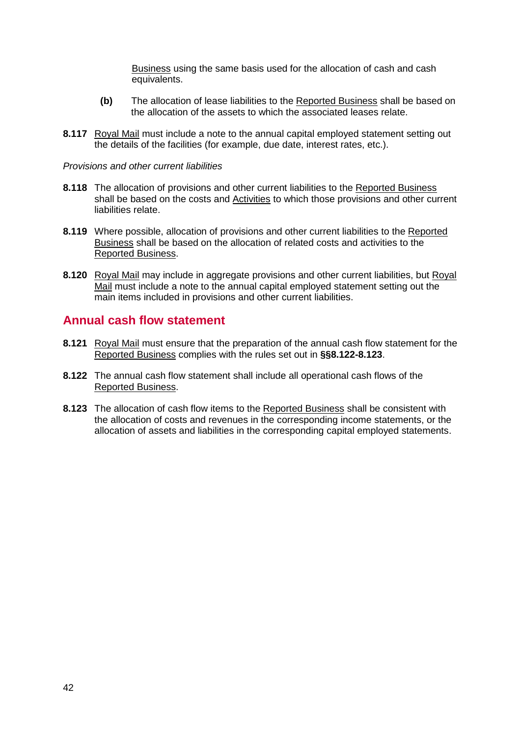Business using the same basis used for the allocation of cash and cash equivalents.

- **(b)** The allocation of lease liabilities to the Reported Business shall be based on the allocation of the assets to which the associated leases relate.
- **8.117** Royal Mail must include a note to the annual capital employed statement setting out the details of the facilities (for example, due date, interest rates, etc.).

#### *Provisions and other current liabilities*

- **8.118** The allocation of provisions and other current liabilities to the Reported Business shall be based on the costs and Activities to which those provisions and other current liabilities relate.
- **8.119** Where possible, allocation of provisions and other current liabilities to the Reported Business shall be based on the allocation of related costs and activities to the Reported Business.
- **8.120** Royal Mail may include in aggregate provisions and other current liabilities, but Royal Mail must include a note to the annual capital employed statement setting out the main items included in provisions and other current liabilities.

### **Annual cash flow statement**

- **8.121** Royal Mail must ensure that the preparation of the annual cash flow statement for the Reported Business complies with the rules set out in **§§8.122-8.123**.
- **8.122** The annual cash flow statement shall include all operational cash flows of the Reported Business.
- **8.123** The allocation of cash flow items to the Reported Business shall be consistent with the allocation of costs and revenues in the corresponding income statements, or the allocation of assets and liabilities in the corresponding capital employed statements.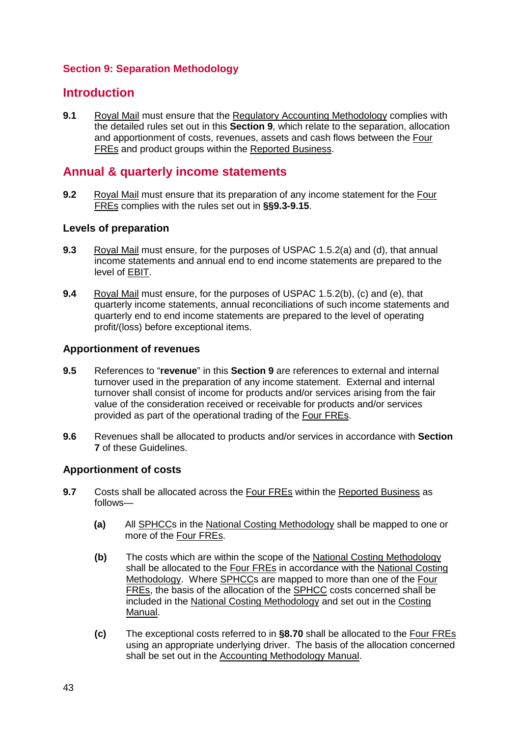### **Section 9: Separation Methodology**

### **Introduction**

**9.1** Royal Mail must ensure that the Regulatory Accounting Methodology complies with the detailed rules set out in this **Section 9**, which relate to the separation, allocation and apportionment of costs, revenues, assets and cash flows between the Four FREs and product groups within the Reported Business .

# **Annual & quarterly income statements**

**9.2** Royal Mail must ensure that its preparation of any income statement for the Four FREs complies with the rules set out in **§§9.3-9.15**.

### **Levels of preparation**

- **9.3** Royal Mail must ensure, for the purposes of USPAC 1.5.2(a) and (d), that annual income statements and annual end to end income statements are prepared to the level of EBIT.
- **9.4** Royal Mail must ensure, for the purposes of USPAC 1.5.2(b), (c) and (e), that quarterly income statements, annual reconciliations of such income statements and quarterly end to end income statements are prepared to the level of operating profit/(loss) before exceptional items.

#### **Apportionment of revenues**

- **9.5** References to "**revenue**" in this **Section 9** are references to external and internal turnover used in the preparation of any income statement. External and internal turnover shall consist of income for products and/or services arising from the fair value of the consideration received or receivable for products and/or services provided as part of the operational trading of the Four FREs.
- **9.6** Revenues shall be allocated to products and/or services in accordance with **Section 7** of these Guidelines.

### **Apportionment of costs**

- **9.7** Costs shall be allocated across the **Four FREs** within the **Reported Business** as follows—
	- **(a)** All SPHCCs in the National Costing Methodology shall be mapped to one or more of the Four FREs.
	- **(b)** The costs which are within the scope of the National Costing Methodology shall be allocated to the Four FREs in accordance with the National Costing Methodology. Where SPHCCs are mapped to more than one of the Four FREs, the basis of the allocation of the SPHCC costs concerned shall be included in the National Costing Methodology and set out in the Costing Manual.
	- **(c)** The exceptional costs referred to in **§8.70** shall be allocated to the Four FREs using an appropriate underlying driver. The basis of the allocation concerned shall be set out in the Accounting Methodology Manual.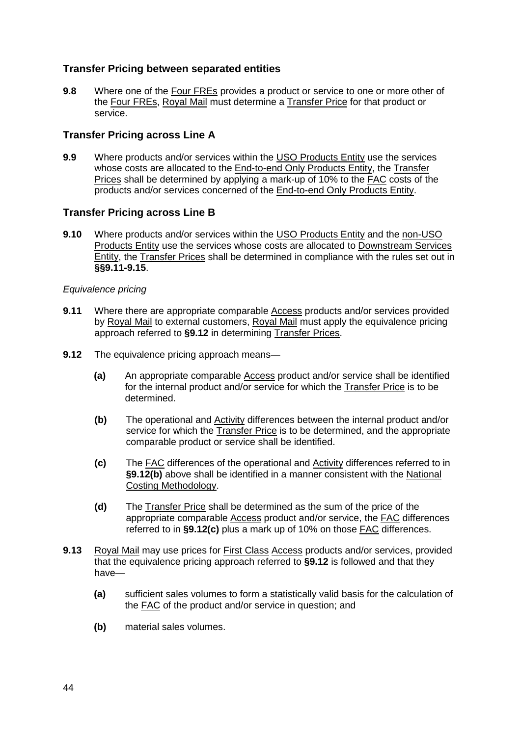### **Transfer Pricing between separated entities**

**9.8** Where one of the Four FREs provides a product or service to one or more other of the Four FREs, Royal Mail must determine a Transfer Price for that product or service.

#### **Transfer Pricing across Line A**

**9.9** Where products and/or services within the USO Products Entity use the services whose costs are allocated to the End-to-end Only Products Entity, the Transfer Prices shall be determined by applying a mark-up of 10% to the FAC costs of the products and/or services concerned of the **End-to-end Only Products Entity**.

#### **Transfer Pricing across Line B**

**9.10** Where products and/or services within the USO Products Entity and the non-USO Products Entity use the services whose costs are allocated to Downstream Services Entity, the Transfer Prices shall be determined in compliance with the rules set out in **§§9.11-9.15**.

#### *Equivalence pricing*

- **9.11** Where there are appropriate comparable Access products and/or services provided by Royal Mail to external customers, Royal Mail must apply the equivalence pricing approach referred to **§9.12** in determining Transfer Prices.
- **9.12** The equivalence pricing approach means—
	- **(a)** An appropriate comparable Access product and/or service shall be identified for the internal product and/or service for which the Transfer Price is to be determined.
	- **(b)** The operational and Activity differences between the internal product and/or service for which the Transfer Price is to be determined, and the appropriate comparable product or service shall be identified.
	- **(c)** The FAC differences of the operational and Activity differences referred to in **§9.12(b)** above shall be identified in a manner consistent with the National Costing Methodology.
	- **(d)** The Transfer Price shall be determined as the sum of the price of the appropriate comparable Access product and/or service, the FAC differences referred to in **§9.12(c)** plus a mark up of 10% on those FAC differences.
- **9.13** Royal Mail may use prices for First Class Access products and/or services, provided that the equivalence pricing approach referred to **§9.12** is followed and that they have—
	- **(a)** sufficient sales volumes to form a statistically valid basis for the calculation of the FAC of the product and/or service in question; and
	- **(b)** material sales volumes.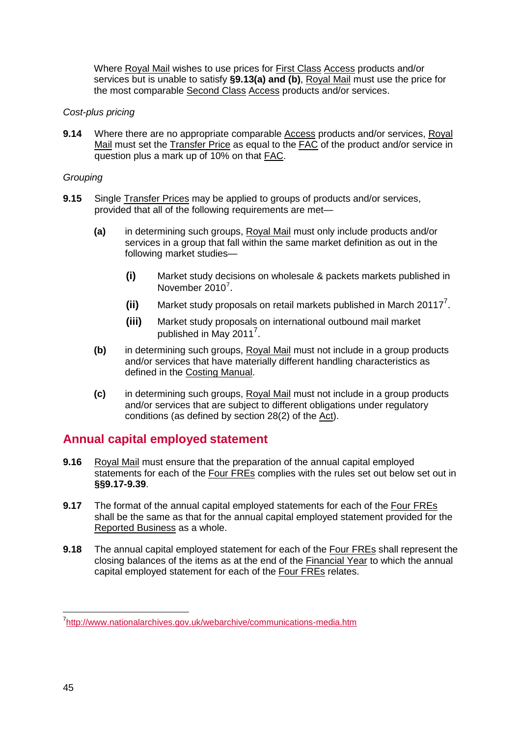Where Royal Mail wishes to use prices for First Class Access products and/or services but is unable to satisfy **§9.13(a) and (b)**, Royal Mail must use the price for the most comparable Second Class Access products and/or services.

#### *Cost-plus pricing*

**9.14** Where there are no appropriate comparable Access products and/or services, Royal Mail must set the Transfer Price as equal to the FAC of the product and/or service in question plus a mark up of 10% on that **FAC**.

#### *Grouping*

- <span id="page-44-0"></span>**9.15** Single Transfer Prices may be applied to groups of products and/or services, provided that all of the following requirements are met—
	- **(a)** in determining such groups, Royal Mail must only include products and/or services in a group that fall within the same market definition as out in the following market studies—
		- **(i)** Market study decisions on wholesale & packets markets published in November 2010<sup>[7](#page-44-1)</sup>.
		- (ii) Market study proposals on retail markets published in March 20117<sup>7</sup>.
		- **(iii)** Market study proposals on international outbound mail market published in May 2011<sup>[7](#page-44-0)</sup>.
	- **(b)** in determining such groups, Royal Mail must not include in a group products and/or services that have materially different handling characteristics as defined in the Costing Manual.
	- **(c)** in determining such groups, Royal Mail must not include in a group products and/or services that are subject to different obligations under regulatory conditions (as defined by section 28(2) of the Act).

# **Annual capital employed statement**

- **9.16** Royal Mail must ensure that the preparation of the annual capital employed statements for each of the Four FREs complies with the rules set out below set out in **§§9.17-9.39**.
- **9.17** The format of the annual capital employed statements for each of the Four FREs shall be the same as that for the annual capital employed statement provided for the Reported Business as a whole.
- **9.18** The annual capital employed statement for each of the Four FREs shall represent the closing balances of the items as at the end of the Financial Year to which the annual capital employed statement for each of the **Four FREs** relates.

<span id="page-44-1"></span>7 <http://www.nationalarchives.gov.uk/webarchive/communications-media.htm>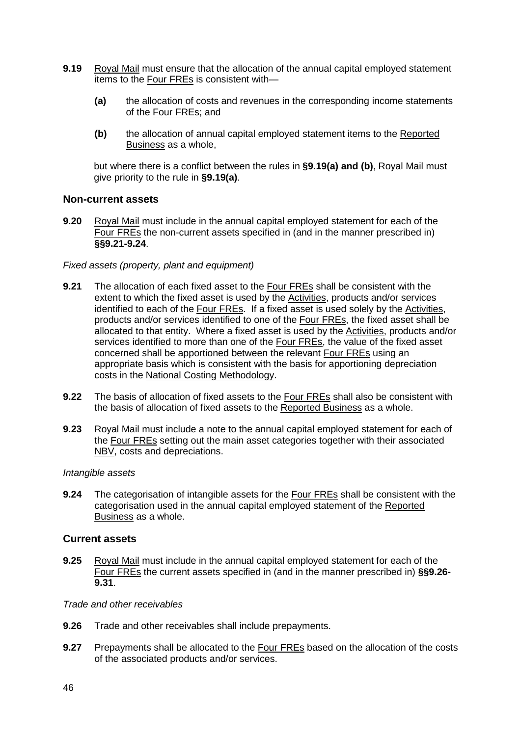- **9.19** Royal Mail must ensure that the allocation of the annual capital employed statement items to the Four FREs is consistent with—
	- **(a)** the allocation of costs and revenues in the corresponding income statements of the Four FREs; and
	- **(b)** the allocation of annual capital employed statement items to the Reported Business as a whole,

but where there is a conflict between the rules in **§9.19(a) and (b)**, Royal Mail must give priority to the rule in **§9.19(a)**.

#### **Non-current assets**

**9.20** Royal Mail must include in the annual capital employed statement for each of the Four FREs the non-current assets specified in (and in the manner prescribed in) **§§9.21-9.24**.

#### *Fixed assets (property, plant and equipment)*

- **9.21** The allocation of each fixed asset to the Four FREs shall be consistent with the extent to which the fixed asset is used by the Activities, products and/or services identified to each of the Four FREs. If a fixed asset is used solely by the Activities, products and/or services identified to one of the Four FREs, the fixed asset shall be allocated to that entity. Where a fixed asset is used by the Activities, products and/or services identified to more than one of the Four FREs, the value of the fixed asset concerned shall be apportioned between the relevant Four FREs using an appropriate basis which is consistent with the basis for apportioning depreciation costs in the National Costing Methodology.
- **9.22** The basis of allocation of fixed assets to the Four FREs shall also be consistent with the basis of allocation of fixed assets to the Reported Business as a whole.
- **9.23** Royal Mail must include a note to the annual capital employed statement for each of the Four FREs setting out the main asset categories together with their associated NBV, costs and depreciations.

#### *Intangible assets*

**9.24** The categorisation of intangible assets for the Four FREs shall be consistent with the categorisation used in the annual capital employed statement of the Reported Business as a whole.

#### **Current assets**

**9.25** Royal Mail must include in the annual capital employed statement for each of the Four FREs the current assets specified in (and in the manner prescribed in) **§§9.26- 9.31**.

#### *Trade and other receivables*

- **9.26** Trade and other receivables shall include prepayments.
- **9.27** Prepayments shall be allocated to the **Four FREs** based on the allocation of the costs of the associated products and/or services.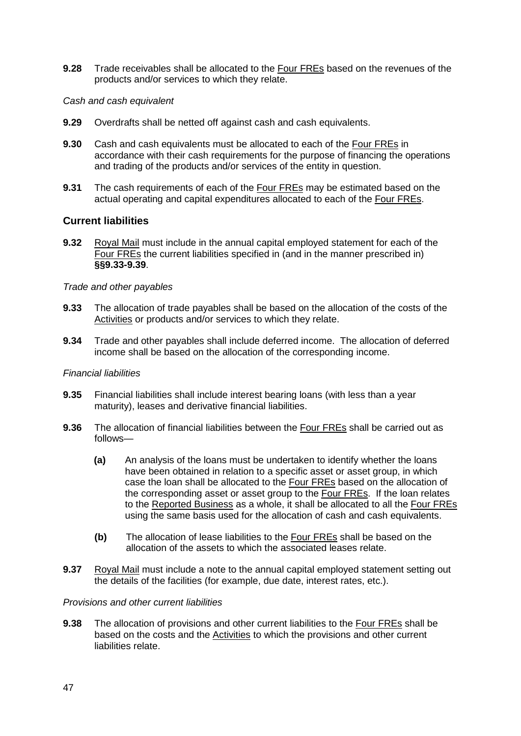**9.28** Trade receivables shall be allocated to the Four FREs based on the revenues of the products and/or services to which they relate.

#### *Cash and cash equivalent*

- **9.29** Overdrafts shall be netted off against cash and cash equivalents.
- **9.30** Cash and cash equivalents must be allocated to each of the Four FREs in accordance with their cash requirements for the purpose of financing the operations and trading of the products and/or services of the entity in question.
- **9.31** The cash requirements of each of the Four FREs may be estimated based on the actual operating and capital expenditures allocated to each of the Four FREs.

#### **Current liabilities**

**9.32** Royal Mail must include in the annual capital employed statement for each of the Four FREs the current liabilities specified in (and in the manner prescribed in) **§§9.33-9.39**.

#### *Trade and other payables*

- **9.33** The allocation of trade payables shall be based on the allocation of the costs of the Activities or products and/or services to which they relate.
- **9.34** Trade and other payables shall include deferred income. The allocation of deferred income shall be based on the allocation of the corresponding income.

#### *Financial liabilities*

- **9.35** Financial liabilities shall include interest bearing loans (with less than a year maturity), leases and derivative financial liabilities.
- **9.36** The allocation of financial liabilities between the Four FREs shall be carried out as follows—
	- **(a)** An analysis of the loans must be undertaken to identify whether the loans have been obtained in relation to a specific asset or asset group, in which case the loan shall be allocated to the Four FREs based on the allocation of the corresponding asset or asset group to the Four FREs. If the loan relates to the Reported Business as a whole, it shall be allocated to all the Four FREs using the same basis used for the allocation of cash and cash equivalents.
	- **(b)** The allocation of lease liabilities to the Four FREs shall be based on the allocation of the assets to which the associated leases relate.
- **9.37** Royal Mail must include a note to the annual capital employed statement setting out the details of the facilities (for example, due date, interest rates, etc.).

#### *Provisions and other current liabilities*

**9.38** The allocation of provisions and other current liabilities to the Four FREs shall be based on the costs and the Activities to which the provisions and other current liabilities relate.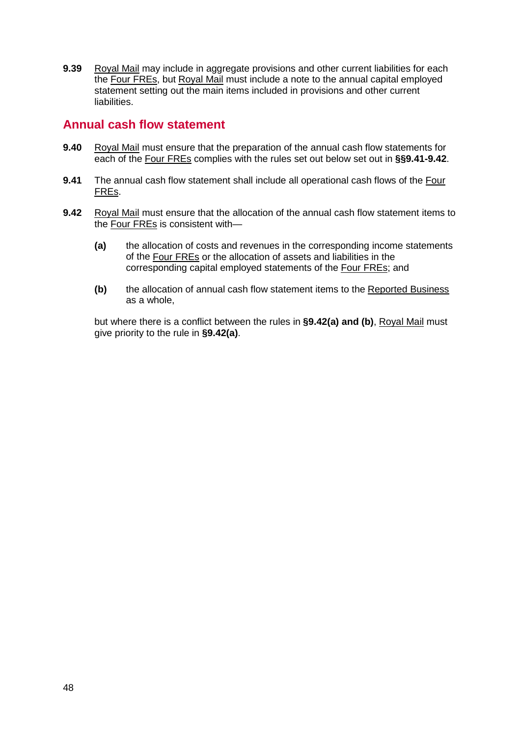**9.39** Royal Mail may include in aggregate provisions and other current liabilities for each the **Four FREs**, but Royal Mail must include a note to the annual capital employed statement setting out the main items included in provisions and other current liabilities.

### **Annual cash flow statement**

- **9.40** Royal Mail must ensure that the preparation of the annual cash flow statements for each of the Four FREs complies with the rules set out below set out in **§§9.41-9.42**.
- **9.41** The annual cash flow statement shall include all operational cash flows of the Four FREs.
- **9.42** Royal Mail must ensure that the allocation of the annual cash flow statement items to the Four FREs is consistent with—
	- **(a)** the allocation of costs and revenues in the corresponding income statements of the Four FREs or the allocation of assets and liabilities in the corresponding capital employed statements of the Four FREs; and
	- **(b)** the allocation of annual cash flow statement items to the Reported Business as a whole,

but where there is a conflict between the rules in **§9.42(a) and (b)**, Royal Mail must give priority to the rule in **§9.42(a)**.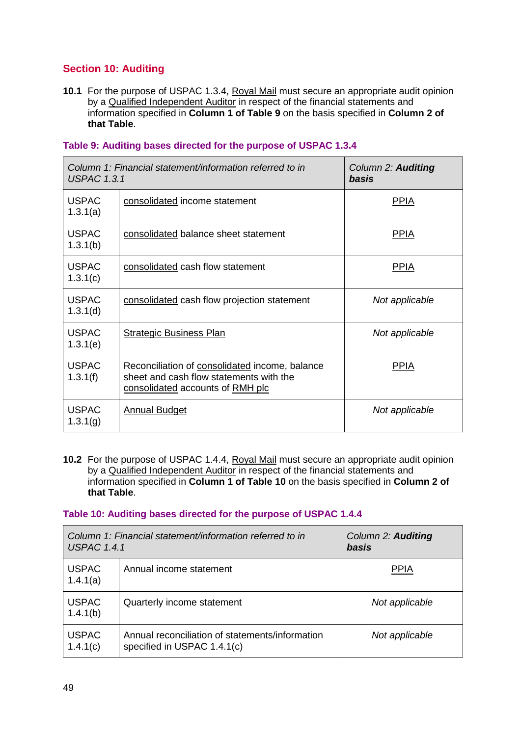### **Section 10: Auditing**

**10.1** For the purpose of USPAC 1.3.4, Royal Mail must secure an appropriate audit opinion by a Qualified Independent Auditor in respect of the financial statements and information specified in **Column 1 of Table 9** on the basis specified in **Column 2 of that Table**.

| <b>USPAC 1.3.1</b>       | Column 1: Financial statement/information referred to in                                                                      | Column 2: <b>Auditing</b><br>basis |
|--------------------------|-------------------------------------------------------------------------------------------------------------------------------|------------------------------------|
| <b>USPAC</b><br>1.3.1(a) | consolidated income statement                                                                                                 | <b>PPIA</b>                        |
| <b>USPAC</b><br>1.3.1(b) | consolidated balance sheet statement                                                                                          | <b>PPIA</b>                        |
| <b>USPAC</b><br>1.3.1(c) | consolidated cash flow statement                                                                                              | <b>PPIA</b>                        |
| <b>USPAC</b><br>1.3.1(d) | consolidated cash flow projection statement                                                                                   | Not applicable                     |
| <b>USPAC</b><br>1.3.1(e) | <b>Strategic Business Plan</b>                                                                                                | Not applicable                     |
| <b>USPAC</b><br>1.3.1(f) | Reconciliation of consolidated income, balance<br>sheet and cash flow statements with the<br>consolidated accounts of RMH plc | <b>PPIA</b>                        |
| <b>USPAC</b><br>1.3.1(g) | <b>Annual Budget</b>                                                                                                          | Not applicable                     |

#### **Table 9: Auditing bases directed for the purpose of USPAC 1.3.4**

**10.2** For the purpose of USPAC 1.4.4, Royal Mail must secure an appropriate audit opinion by a Qualified Independent Auditor in respect of the financial statements and information specified in **Column 1 of Table 10** on the basis specified in **Column 2 of that Table**.

#### **Table 10: Auditing bases directed for the purpose of USPAC 1.4.4**

| Column 1: Financial statement/information referred to in<br><b>USPAC 1.4.1</b> |                                                                                | <b>Column 2: Auditing</b><br>basis |
|--------------------------------------------------------------------------------|--------------------------------------------------------------------------------|------------------------------------|
| <b>USPAC</b><br>1.4.1(a)                                                       | Annual income statement                                                        | <b>PPIA</b>                        |
| <b>USPAC</b><br>1.4.1(b)                                                       | Quarterly income statement                                                     | Not applicable                     |
| <b>USPAC</b><br>1.4.1(c)                                                       | Annual reconciliation of statements/information<br>specified in USPAC 1.4.1(c) | Not applicable                     |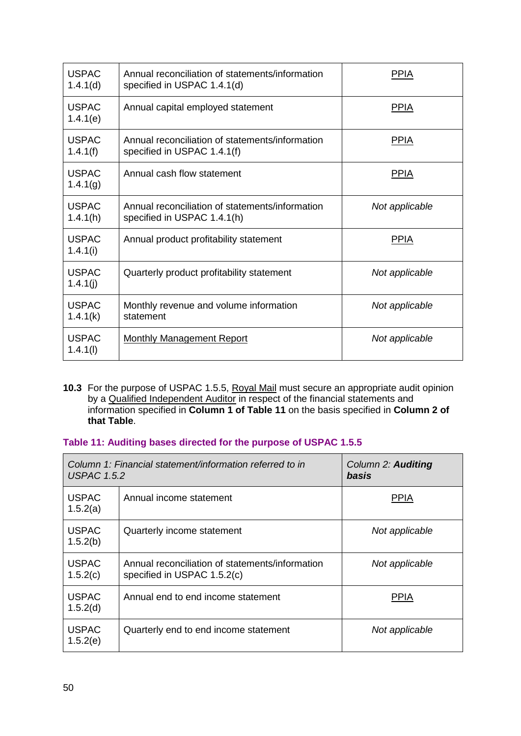| <b>USPAC</b><br>1.4.1(d) | Annual reconciliation of statements/information<br>specified in USPAC 1.4.1(d) | <b>PPIA</b>    |
|--------------------------|--------------------------------------------------------------------------------|----------------|
| <b>USPAC</b><br>1.4.1(e) | Annual capital employed statement                                              | <b>PPIA</b>    |
| <b>USPAC</b><br>1.4.1(f) | Annual reconciliation of statements/information<br>specified in USPAC 1.4.1(f) | <b>PPIA</b>    |
| <b>USPAC</b><br>1.4.1(g) | Annual cash flow statement                                                     | <u>PPIA</u>    |
| <b>USPAC</b><br>1.4.1(h) | Annual reconciliation of statements/information<br>specified in USPAC 1.4.1(h) | Not applicable |
| <b>USPAC</b><br>1.4.1(i) | Annual product profitability statement                                         | <b>PPIA</b>    |
| <b>USPAC</b><br>1.4.1(j) | Quarterly product profitability statement                                      | Not applicable |
| <b>USPAC</b><br>1.4.1(k) | Monthly revenue and volume information<br>statement                            | Not applicable |
| <b>USPAC</b><br>1.4.1(l) | <b>Monthly Management Report</b>                                               | Not applicable |

**10.3** For the purpose of USPAC 1.5.5, Royal Mail must secure an appropriate audit opinion by a Qualified Independent Auditor in respect of the financial statements and information specified in **Column 1 of Table 11** on the basis specified in **Column 2 of that Table**.

### **Table 11: Auditing bases directed for the purpose of USPAC 1.5.5**

| Column 1: Financial statement/information referred to in<br><b>USPAC 1.5.2</b> |                                                                                | Column 2: Auditing<br>basis |
|--------------------------------------------------------------------------------|--------------------------------------------------------------------------------|-----------------------------|
| <b>USPAC</b><br>1.5.2(a)                                                       | Annual income statement                                                        | <b>PPIA</b>                 |
| <b>USPAC</b><br>1.5.2(b)                                                       | Quarterly income statement                                                     | Not applicable              |
| <b>USPAC</b><br>1.5.2(c)                                                       | Annual reconciliation of statements/information<br>specified in USPAC 1.5.2(c) | Not applicable              |
| <b>USPAC</b><br>1.5.2(d)                                                       | Annual end to end income statement                                             | <b>PPIA</b>                 |
| <b>USPAC</b><br>1.5.2(e)                                                       | Quarterly end to end income statement                                          | Not applicable              |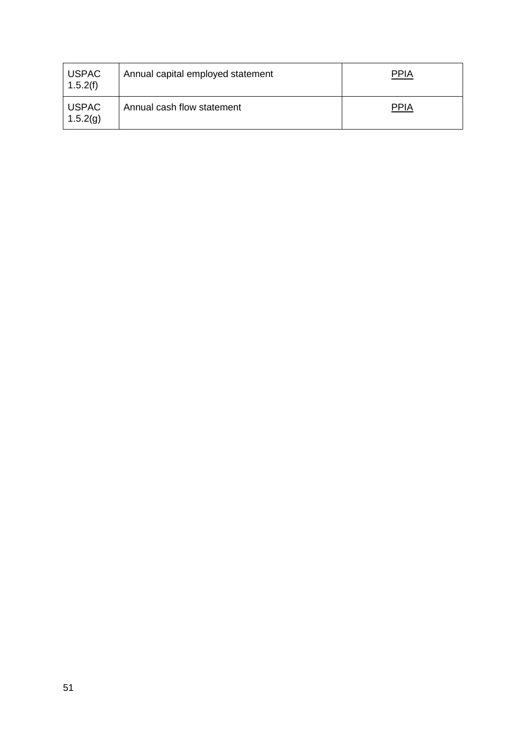| <b>USPAC</b><br>1.5.2(f) | Annual capital employed statement | <b>PPIA</b> |
|--------------------------|-----------------------------------|-------------|
| <b>USPAC</b><br>1.5.2(g) | Annual cash flow statement        | <b>PPIA</b> |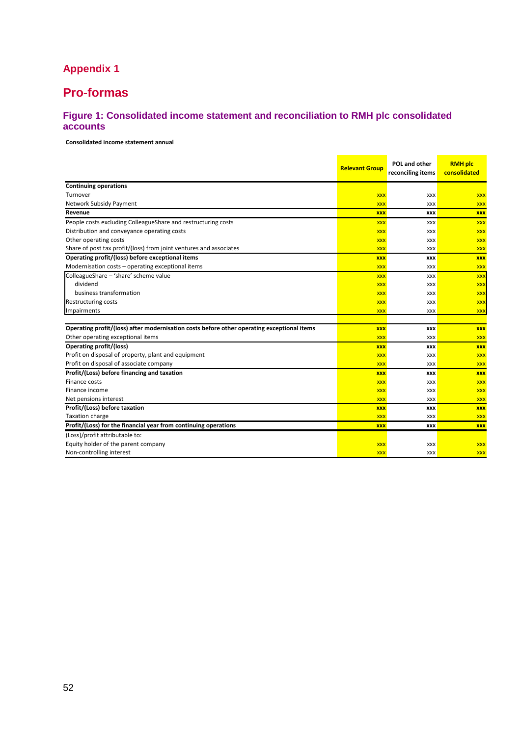# **Appendix 1**

# **Pro-formas**

### **Figure 1: Consolidated income statement and reconciliation to RMH plc consolidated accounts**

#### **Consolidated income statement annual**

|                                                                                            | <b>Relevant Group</b> | POL and other<br>reconciling items | <b>RMH plc</b><br>consolidated |
|--------------------------------------------------------------------------------------------|-----------------------|------------------------------------|--------------------------------|
| <b>Continuing operations</b>                                                               |                       |                                    |                                |
| Turnover                                                                                   | <b>XXX</b>            | XXX                                | <b>XXX</b>                     |
| Network Subsidy Payment                                                                    | <b>XXX</b>            | <b>XXX</b>                         | <b>XXX</b>                     |
| Revenue                                                                                    | <b>XXX</b>            | <b>XXX</b>                         | <b>XXX</b>                     |
| People costs excluding ColleagueShare and restructuring costs                              | <b>XXX</b>            | XXX                                | <b>XXX</b>                     |
| Distribution and conveyance operating costs                                                | <b>XXX</b>            | XXX                                | <b>XXX</b>                     |
| Other operating costs                                                                      | <b>XXX</b>            | XXX                                | <b>XXX</b>                     |
| Share of post tax profit/(loss) from joint ventures and associates                         | <b>XXX</b>            | XXX                                | <b>XXX</b>                     |
| Operating profit/(loss) before exceptional items                                           | <b>XXX</b>            | <b>XXX</b>                         | <b>XXX</b>                     |
| Modernisation costs - operating exceptional items                                          | <b>XXX</b>            | XXX                                | <b>XXX</b>                     |
| ColleagueShare - 'share' scheme value                                                      | <b>XXX</b>            | <b>XXX</b>                         | <b>XXX</b>                     |
| dividend                                                                                   | <b>XXX</b>            | XXX                                | <b>XXX</b>                     |
| business transformation                                                                    | <b>XXX</b>            | XXX                                | <b>XXX</b>                     |
| Restructuring costs                                                                        | <b>XXX</b>            | XXX                                | <b>XXX</b>                     |
| Impairments                                                                                | <b>XXX</b>            | XXX                                | <b>XXX</b>                     |
|                                                                                            |                       |                                    |                                |
| Operating profit/(loss) after modernisation costs before other operating exceptional items | <b>XXX</b>            | XXX                                | <b>XXX</b>                     |
| Other operating exceptional items                                                          | <b>XXX</b>            | <b>XXX</b>                         | <b>XXX</b>                     |
| Operating profit/(loss)                                                                    | <b>XXX</b>            | <b>XXX</b>                         | <b>XXX</b>                     |
| Profit on disposal of property, plant and equipment                                        | <b>XXX</b>            | <b>XXX</b>                         | <b>XXX</b>                     |
| Profit on disposal of associate company                                                    | <b>XXX</b>            | XXX                                | <b>XXX</b>                     |
| Profit/(Loss) before financing and taxation                                                | <b>XXX</b>            | <b>XXX</b>                         | <b>XXX</b>                     |
| Finance costs                                                                              | <b>XXX</b>            | XXX                                | <b>XXX</b>                     |
| Finance income                                                                             | <b>XXX</b>            | XXX                                | <b>XXX</b>                     |
| Net pensions interest                                                                      | <b>XXX</b>            | XXX                                | <b>XXX</b>                     |
| Profit/(Loss) before taxation                                                              | <b>XXX</b>            | XXX                                | <b>XXX</b>                     |
| <b>Taxation charge</b>                                                                     | <b>XXX</b>            | <b>XXX</b>                         | <b>XXX</b>                     |
| Profit/(Loss) for the financial year from continuing operations                            | <b>XXX</b>            | <b>XXX</b>                         | <b>XXX</b>                     |
| (Loss)/profit attributable to:                                                             |                       |                                    |                                |
| Equity holder of the parent company                                                        | <b>XXX</b>            | XXX                                | <b>XXX</b>                     |
| Non-controlling interest                                                                   | <b>XXX</b>            | <b>XXX</b>                         | <b>XXX</b>                     |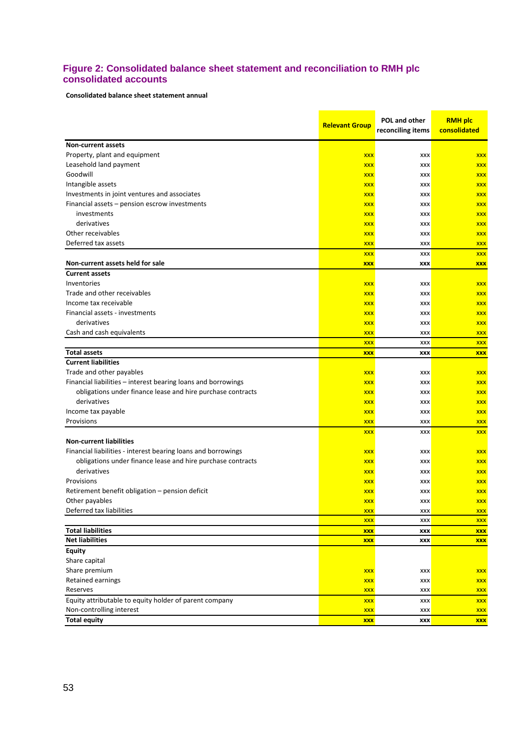#### **Figure 2: Consolidated balance sheet statement and reconciliation to RMH plc consolidated accounts**

**Consolidated balance sheet statement annual**

|                                                               | <b>Relevant Group</b> | POL and other<br>reconciling items | <b>RMH plc</b><br>consolidated |
|---------------------------------------------------------------|-----------------------|------------------------------------|--------------------------------|
| <b>Non-current assets</b>                                     |                       |                                    |                                |
| Property, plant and equipment                                 | <b>XXX</b>            | <b>XXX</b>                         | <b>XXX</b>                     |
| Leasehold land payment                                        | <b>XXX</b>            | <b>XXX</b>                         | <b>XXX</b>                     |
| Goodwill                                                      | <b>XXX</b>            | <b>XXX</b>                         | <b>XXX</b>                     |
| Intangible assets                                             | <b>XXX</b>            | XXX                                | <b>XXX</b>                     |
| Investments in joint ventures and associates                  | <b>XXX</b>            | <b>XXX</b>                         | <b>XXX</b>                     |
| Financial assets - pension escrow investments                 | <b>XXX</b>            | XXX                                | <b>XXX</b>                     |
| investments                                                   | <b>XXX</b>            | <b>XXX</b>                         | <b>XXX</b>                     |
| derivatives                                                   | <b>XXX</b>            | XXX                                | <b>XXX</b>                     |
| Other receivables                                             | <b>XXX</b>            | <b>XXX</b>                         | <b>XXX</b>                     |
| Deferred tax assets                                           | <b>XXX</b>            | <b>XXX</b>                         | <b>XXX</b>                     |
|                                                               | <b>XXX</b>            | XXX                                | <b>XXX</b>                     |
| Non-current assets held for sale                              | <b>XXX</b>            | XXX                                | <b>XXX</b>                     |
| <b>Current assets</b>                                         |                       |                                    |                                |
| Inventories                                                   | <b>XXX</b>            | <b>XXX</b>                         | <b>XXX</b>                     |
| Trade and other receivables                                   | <b>XXX</b>            | XXX                                | <b>XXX</b>                     |
| Income tax receivable                                         | <b>XXX</b>            | <b>XXX</b>                         | <b>XXX</b>                     |
| Financial assets - investments                                | <b>XXX</b>            | <b>XXX</b>                         | <b>XXX</b>                     |
| derivatives                                                   | <b>XXX</b>            | <b>XXX</b>                         | <b>XXX</b>                     |
| Cash and cash equivalents                                     | <b>XXX</b>            | <b>XXX</b>                         | <b>XXX</b>                     |
|                                                               | <b>XXX</b>            | XXX                                | <b>XXX</b>                     |
| <b>Total assets</b>                                           | <b>XXX</b>            | XXX                                | <b>XXX</b>                     |
| <b>Current liabilities</b>                                    |                       |                                    |                                |
| Trade and other payables                                      | <b>XXX</b>            | XXX                                | <b>XXX</b>                     |
| Financial liabilities - interest bearing loans and borrowings | <b>XXX</b>            | XXX                                | <b>XXX</b>                     |
| obligations under finance lease and hire purchase contracts   | <b>XXX</b>            | <b>XXX</b>                         | <b>XXX</b>                     |
| derivatives                                                   | <b>XXX</b>            | XXX                                | <b>XXX</b>                     |
| Income tax payable                                            | <b>XXX</b>            | <b>XXX</b>                         | <b>XXX</b>                     |
| Provisions                                                    | <b>XXX</b>            | <b>XXX</b>                         | <b>XXX</b>                     |
|                                                               | <b>XXX</b>            | <b>XXX</b>                         | <b>XXX</b>                     |
| <b>Non-current liabilities</b>                                |                       |                                    |                                |
| Financial liabilities - interest bearing loans and borrowings | <b>XXX</b>            | <b>XXX</b>                         | <b>XXX</b>                     |
| obligations under finance lease and hire purchase contracts   | <b>XXX</b>            | XXX                                | <b>XXX</b>                     |
| derivatives                                                   | <b>XXX</b>            | <b>XXX</b>                         | <b>XXX</b>                     |
| Provisions                                                    | <b>XXX</b>            | <b>XXX</b>                         | <b>XXX</b>                     |
| Retirement benefit obligation - pension deficit               | <b>XXX</b>            | <b>XXX</b>                         | <b>XXX</b>                     |
| Other payables                                                | <b>XXX</b>            | <b>XXX</b>                         | <b>XXX</b>                     |
| Deferred tax liabilities                                      | <b>XXX</b>            | XXX                                | <b>XXX</b>                     |
|                                                               | <b>XXX</b>            | <b>XXX</b>                         | <b>XXX</b>                     |
| <b>Total liabilities</b>                                      | <b>XXX</b>            | XXX                                | <b>XXX</b>                     |
| <b>Net liabilities</b>                                        | <b>XXX</b>            | XXX                                | <b>XXX</b>                     |
| <b>Equity</b>                                                 |                       |                                    |                                |
| Share capital                                                 |                       |                                    |                                |
| Share premium                                                 | <b>XXX</b>            | XXX                                | <b>XXX</b>                     |
| Retained earnings                                             | <b>XXX</b>            | XXX                                | <b>XXX</b>                     |
| Reserves                                                      | <b>XXX</b>            | XXX                                | <b>XXX</b>                     |
| Equity attributable to equity holder of parent company        | <b>XXX</b>            | XXX                                | <b>XXX</b>                     |
| Non-controlling interest                                      | <b>XXX</b>            | XXX                                | <b>XXX</b>                     |
| <b>Total equity</b>                                           | <b>XXX</b>            | XXX                                | <b>XXX</b>                     |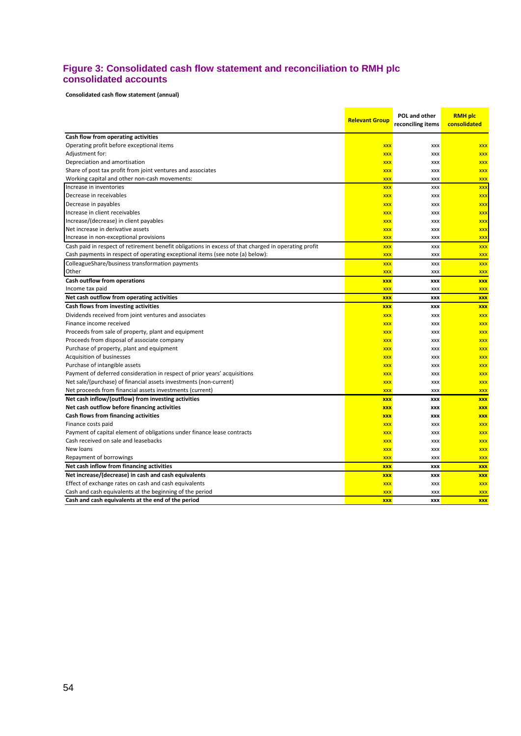#### **Figure 3: Consolidated cash flow statement and reconciliation to RMH plc consolidated accounts**

**Consolidated cash flow statement (annual)**

|                                                                                                      | <b>Relevant Group</b> | POL and other     | <b>RMH plc</b> |
|------------------------------------------------------------------------------------------------------|-----------------------|-------------------|----------------|
|                                                                                                      |                       | reconciling items | consolidated   |
| Cash flow from operating activities                                                                  |                       |                   |                |
| Operating profit before exceptional items                                                            | <b>XXX</b>            | <b>XXX</b>        | <b>XXX</b>     |
| Adjustment for:                                                                                      | <b>XXX</b>            | XXX               | <b>XXX</b>     |
| Depreciation and amortisation                                                                        | <b>XXX</b>            | XXX               | <b>XXX</b>     |
| Share of post tax profit from joint ventures and associates                                          | <b>XXX</b>            | <b>XXX</b>        | <b>XXX</b>     |
| Working capital and other non-cash movements:                                                        | <b>XXX</b>            | XXX               | <b>XXX</b>     |
| Increase in inventories                                                                              | <b>XXX</b>            | <b>XXX</b>        | <b>XXX</b>     |
| Decrease in receivables                                                                              | <b>XXX</b>            | <b>XXX</b>        | <b>XXX</b>     |
| Decrease in payables                                                                                 | <b>XXX</b>            | <b>XXX</b>        | <b>XXX</b>     |
| Increase in client receivables                                                                       | <b>XXX</b>            | XXX               | <b>XXX</b>     |
| Increase/(decrease) in client payables                                                               | <b>XXX</b>            | XXX               | <b>XXX</b>     |
| Net increase in derivative assets                                                                    | <b>XXX</b>            | XXX               | <b>XXX</b>     |
| Increase in non-exceptional provisions                                                               | <b>XXX</b>            | XXX               | <b>XXX</b>     |
| Cash paid in respect of retirement benefit obligations in excess of that charged in operating profit | <b>XXX</b>            | <b>XXX</b>        | <b>XXX</b>     |
| Cash payments in respect of operating exceptional items (see note (a) below):                        | <b>XXX</b>            | <b>XXX</b>        | <b>XXX</b>     |
| ColleagueShare/business transformation payments                                                      | <b>XXX</b>            | XXX               | <b>XXX</b>     |
| Other                                                                                                | <b>XXX</b>            | <b>XXX</b>        | <b>XXX</b>     |
| Cash outflow from operations                                                                         | <b>XXX</b>            | <b>XXX</b>        | <b>XXX</b>     |
| Income tax paid                                                                                      | <b>XXX</b>            | <b>XXX</b>        | <b>XXX</b>     |
| Net cash outflow from operating activities                                                           | <b>XXX</b>            | <b>XXX</b>        | <b>XXX</b>     |
| Cash flows from investing activities                                                                 | <b>XXX</b>            | XXX               | <b>XXX</b>     |
| Dividends received from joint ventures and associates                                                | <b>XXX</b>            | XXX               | <b>XXX</b>     |
| Finance income received                                                                              | <b>XXX</b>            | XXX               | <b>XXX</b>     |
| Proceeds from sale of property, plant and equipment                                                  | <b>XXX</b>            | XXX               | <b>XXX</b>     |
| Proceeds from disposal of associate company                                                          | <b>XXX</b>            | XXX               | <b>XXX</b>     |
| Purchase of property, plant and equipment                                                            | <b>XXX</b>            | XXX               | <b>XXX</b>     |
| Acquisition of businesses                                                                            | <b>XXX</b>            | <b>XXX</b>        | <b>XXX</b>     |
| Purchase of intangible assets                                                                        | <b>XXX</b>            | XXX               | <b>XXX</b>     |
| Payment of deferred consideration in respect of prior years' acquisitions                            | <b>XXX</b>            | XXX               | <b>XXX</b>     |
| Net sale/(purchase) of financial assets investments (non-current)                                    | <b>XXX</b>            | <b>XXX</b>        | <b>XXX</b>     |
| Net proceeds from financial assets investments (current)                                             | <b>XXX</b>            | <b>XXX</b>        | <b>XXX</b>     |
| Net cash inflow/(outflow) from investing activities                                                  | <b>XXX</b>            | <b>XXX</b>        | <b>XXX</b>     |
| Net cash outflow before financing activities                                                         | <b>XXX</b>            | XXX               | <b>XXX</b>     |
| Cash flows from financing activities                                                                 | <b>XXX</b>            | XXX               | <b>XXX</b>     |
| Finance costs paid                                                                                   | <b>XXX</b>            | <b>XXX</b>        | <b>XXX</b>     |
| Payment of capital element of obligations under finance lease contracts                              | <b>XXX</b>            | XXX               | <b>XXX</b>     |
| Cash received on sale and leasebacks                                                                 | <b>XXX</b>            | XXX               | <b>XXX</b>     |
| New loans                                                                                            | <b>XXX</b>            | XXX               | <b>XXX</b>     |
| Repayment of borrowings                                                                              | <b>XXX</b>            | XXX               | <b>XXX</b>     |
| Net cash inflow from financing activities                                                            | <b>XXX</b>            | <b>XXX</b>        | <b>XXX</b>     |
| Net increase/(decrease) in cash and cash equivalents                                                 | <b>XXX</b>            | <b>XXX</b>        | <b>XXX</b>     |
| Effect of exchange rates on cash and cash equivalents                                                | <b>XXX</b>            | <b>XXX</b>        | <b>XXX</b>     |
| Cash and cash equivalents at the beginning of the period                                             | <b>XXX</b>            | <b>XXX</b>        | <b>XXX</b>     |
| Cash and cash equivalents at the end of the period                                                   | <b>XXX</b>            | <b>XXX</b>        | <b>XXX</b>     |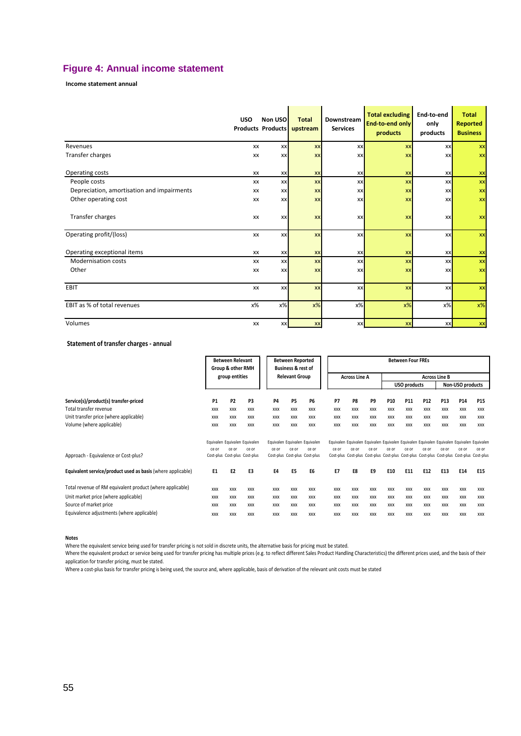### **Figure 4: Annual income statement**

**Income statement annual**

|                                            | <b>USO</b> | Non USO<br><b>Products Products</b> | <b>Total</b><br>upstream | Downstream<br><b>Services</b> | <b>Total excluding</b><br>End-to-end only<br>products | End-to-end<br>only<br>products | <b>Total</b><br><b>Reported</b><br><b>Business</b> |
|--------------------------------------------|------------|-------------------------------------|--------------------------|-------------------------------|-------------------------------------------------------|--------------------------------|----------------------------------------------------|
| Revenues                                   | XX         | <b>XX</b>                           | <b>XX</b>                | XX                            | <b>XX</b>                                             | XX                             | XX                                                 |
| Transfer charges                           | XX         | <b>XX</b>                           | <b>XX</b>                | XX                            | XX                                                    | <b>XX</b>                      | <b>XX</b>                                          |
| Operating costs                            | XX         | <b>XX</b>                           | <b>XX</b>                | XX                            | XX                                                    | XX                             | <b>XX</b>                                          |
| People costs                               | XX         | <b>XX</b>                           | <b>XX</b>                | XX                            | XX                                                    | XX                             | XX                                                 |
| Depreciation, amortisation and impairments | XX         | <b>XX</b>                           | <b>XX</b>                | XX                            | XX                                                    | XX                             | XX                                                 |
| Other operating cost                       | XX         | <b>XX</b>                           | <b>XX</b>                | XX                            | <b>XX</b>                                             | XX                             | <b>XX</b>                                          |
| Transfer charges                           | XX         | <b>XX</b>                           | XX                       | XX                            | <b>XX</b>                                             | XX                             | $\mathbf{X}$                                       |
| Operating profit/(loss)                    | XX         | <b>xx</b>                           | XX                       | XX                            | XX                                                    | XX                             | $\mathbf{X}$                                       |
| Operating exceptional items                | XX         | <b>XX</b>                           | XX                       | XX                            | XX                                                    | XX                             | XX                                                 |
| <b>Modernisation costs</b>                 | XX         | <b>XX</b>                           | XX                       | XX                            | <b>XX</b>                                             | XX                             | XX                                                 |
| Other                                      | XX         | <b>XX</b>                           | <b>XX</b>                | XX                            | XX                                                    | XX                             | XX                                                 |
| EBIT                                       | XX         | <b>xx</b>                           | XX                       | XX                            | <b>XX</b>                                             | XX                             | XX                                                 |
| EBIT as % of total revenues                | х%         | $x\%$                               | $x\%$                    | $x\%$                         | $x\%$                                                 | $x\%$                          | $x\%$                                              |
| Volumes                                    | XX         | <b>xx</b>                           | <b>XX</b>                | <b>XX</b>                     | <b>XX</b>                                             | <b>XX</b>                      | <b>XX</b>                                          |

#### **Statement of transfer charges - annual**

|                                                             |                | <b>Between Relevant</b><br><b>Between Reported</b><br>Group & other RMH<br><b>Business &amp; rest of</b> |                               |            | <b>Between Four FREs</b> |                               |            |                      |            |            |                      |                 |                                                                                           |                  |            |  |
|-------------------------------------------------------------|----------------|----------------------------------------------------------------------------------------------------------|-------------------------------|------------|--------------------------|-------------------------------|------------|----------------------|------------|------------|----------------------|-----------------|-------------------------------------------------------------------------------------------|------------------|------------|--|
|                                                             |                | group entities                                                                                           |                               |            | <b>Relevant Group</b>    |                               |            | <b>Across Line A</b> |            |            | <b>Across Line B</b> |                 |                                                                                           |                  |            |  |
|                                                             |                |                                                                                                          |                               |            |                          |                               |            |                      |            |            | <b>USO products</b>  |                 |                                                                                           | Non-USO products |            |  |
| Service(s)/product(s) transfer-priced                       | <b>P1</b>      | <b>P2</b>                                                                                                | P3                            | <b>P4</b>  | P <sub>5</sub>           | <b>P6</b>                     | P7         | P8                   | P9         | P10        | P11                  | P <sub>12</sub> | P <sub>13</sub>                                                                           | P14              | P15        |  |
| Total transfer revenue                                      | <b>XXX</b>     | <b>XXX</b>                                                                                               | <b>XXX</b>                    | <b>XXX</b> | <b>XXX</b>               | <b>XXX</b>                    | <b>XXX</b> | <b>XXX</b>           | <b>XXX</b> | <b>XXX</b> | <b>XXX</b>           | <b>XXX</b>      | <b>XXX</b>                                                                                | <b>XXX</b>       | <b>XXX</b> |  |
| Unit transfer price (where applicable)                      | XXX            | <b>XXX</b>                                                                                               | <b>XXX</b>                    | <b>XXX</b> | <b>XXX</b>               | <b>XXX</b>                    | <b>XXX</b> | <b>XXX</b>           | <b>XXX</b> | <b>XXX</b> | <b>XXX</b>           | <b>XXX</b>      | <b>XXX</b>                                                                                | <b>XXX</b>       | <b>XXX</b> |  |
| Volume (where applicable)                                   | XXX            | XXX                                                                                                      | <b>XXX</b>                    | XXX        | XXX                      | <b>XXX</b>                    | XXX        | <b>XXX</b>           | XXX        | XXX        | XXX                  | XXX             | <b>XXX</b>                                                                                | XXX              | <b>XXX</b> |  |
|                                                             |                |                                                                                                          | Equivalen Equivalen Equivalen |            |                          | Equivalen Equivalen Equivalen |            |                      |            |            |                      |                 | Equivalen Equivalen Equivalen Equivalen Equivalen Equivalen Equivalen Equivalen Equivalen |                  |            |  |
|                                                             | ce or          | ce or                                                                                                    | ce or                         | ce or      | ce or                    | ce or                         | ce or      | ce or                | ce or      | ce or      | ce or                | ce or           | ce or                                                                                     | ce or            | ce or      |  |
| Approach - Equivalence or Cost-plus?                        |                |                                                                                                          | Cost-plus Cost-plus Cost-plus |            |                          | Cost-plus Cost-plus Cost-plus |            |                      |            |            |                      |                 | Cost-plus Cost-plus Cost-plus Cost-plus Cost-plus Cost-plus Cost-plus Cost-plus Cost-plus |                  |            |  |
| Equivalent service/product used as basis (where applicable) | E <sub>1</sub> | E2                                                                                                       | E3                            | E4         | E5                       | E6                            | <b>E7</b>  | E8                   | E9         | E10        | E11                  | E12             | E13                                                                                       | E14              | E15        |  |
| Total revenue of RM equivalent product (where applicable)   | <b>XXX</b>     | <b>XXX</b>                                                                                               | <b>XXX</b>                    | <b>XXX</b> | <b>XXX</b>               | <b>XXX</b>                    | <b>XXX</b> | <b>XXX</b>           | <b>XXX</b> | <b>XXX</b> | <b>XXX</b>           | <b>XXX</b>      | <b>XXX</b>                                                                                | <b>XXX</b>       | <b>XXX</b> |  |
| Unit market price (where applicable)                        | <b>XXX</b>     | <b>XXX</b>                                                                                               | <b>XXX</b>                    | <b>XXX</b> | <b>XXX</b>               | <b>XXX</b>                    | <b>XXX</b> | <b>XXX</b>           | <b>XXX</b> | <b>XXX</b> | <b>XXX</b>           | <b>XXX</b>      | <b>XXX</b>                                                                                | <b>XXX</b>       | <b>XXX</b> |  |
| Source of market price                                      | XXX            | <b>XXX</b>                                                                                               | <b>XXX</b>                    | <b>XXX</b> | <b>XXX</b>               | <b>XXX</b>                    | <b>XXX</b> | <b>XXX</b>           | <b>XXX</b> | <b>XXX</b> | <b>XXX</b>           | XXX             | <b>XXX</b>                                                                                | <b>XXX</b>       | <b>XXX</b> |  |
| Equivalence adjustments (where applicable)                  | <b>XXX</b>     | <b>XXX</b>                                                                                               | <b>XXX</b>                    | <b>XXX</b> | <b>XXX</b>               | <b>XXX</b>                    | <b>XXX</b> | <b>XXX</b>           | <b>XXX</b> | <b>XXX</b> | <b>XXX</b>           | <b>XXX</b>      | <b>XXX</b>                                                                                | <b>XXX</b>       | <b>XXX</b> |  |

**Notes**

Where the equivalent service being used for transfer pricing is not sold in discrete units, the alternative basis for pricing must be stated.

Where the equivalent product or service being used for transfer pricing has multiple prices (e.g. to reflect different Sales Product Handling Characteristics) the different prices used, and the basis of their application for transfer pricing, must be stated.

Where a cost-plus basis for transfer pricing is being used, the source and, where applicable, basis of derivation of the relevant unit costs must be stated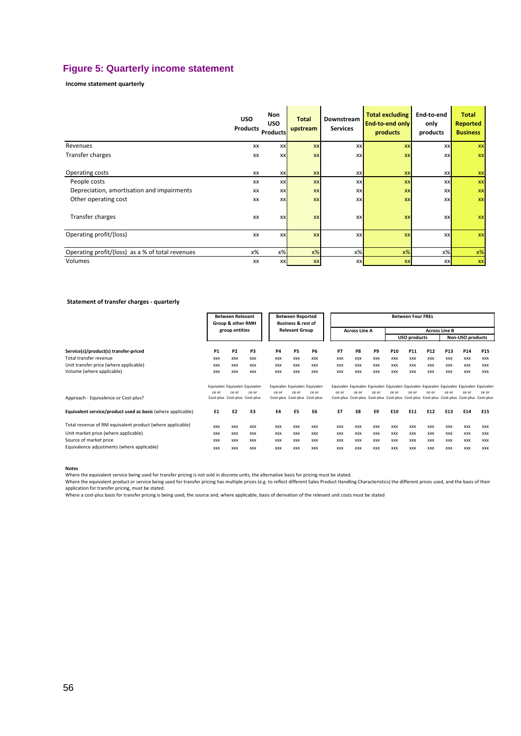### **Figure 5: Quarterly income statement**

**Income statement quarterly**

|                                                  | <b>USO</b><br>Products | Non<br><b>USO</b><br><b>Products</b> | <b>Total</b><br>upstream | Downstream<br><b>Services</b> | <b>Total excluding</b><br>End-to-end only<br>products | End-to-end<br>only<br>products | <b>Total</b><br><b>Reported</b><br><b>Business</b> |
|--------------------------------------------------|------------------------|--------------------------------------|--------------------------|-------------------------------|-------------------------------------------------------|--------------------------------|----------------------------------------------------|
| Revenues                                         | <b>XX</b>              | <b>XX</b>                            | <b>XX</b>                | <b>XX</b>                     | <b>XX</b>                                             | XX                             | XX                                                 |
| Transfer charges                                 | XX                     | XX                                   | <b>XX</b>                | <b>XX</b>                     | <b>XX</b>                                             | XX                             | <b>XX</b>                                          |
| Operating costs                                  | <b>XX</b>              | <b>XX</b>                            | XX                       | <b>XX</b>                     | XX                                                    | XX                             | XX                                                 |
| People costs                                     | XX                     | <b>XX</b>                            | <b>XX</b>                | <b>XX</b>                     | XX                                                    | XX                             | XX                                                 |
| Depreciation, amortisation and impairments       | XX                     | <b>XX</b>                            | XX                       | XX                            | <b>XX</b>                                             | XX                             | XX                                                 |
| Other operating cost                             | XX                     | XX                                   | XX                       | <b>XX</b>                     | <b>XX</b>                                             | XX                             | <b>XX</b>                                          |
| Transfer charges                                 | <b>XX</b>              | <b>XX</b>                            | XX                       | <b>XX</b>                     | <b>XX</b>                                             | <b>XX</b>                      | <b>XX</b>                                          |
| Operating profit/(loss)                          | XX                     | <b>XX</b>                            | <b>XX</b>                | <b>XX</b>                     | XX                                                    | XX                             | <b>XX</b>                                          |
| Operating profit/(loss) as a % of total revenues | х%                     | $x\%$                                | $x\%$                    | $x\%$                         | $x\%$                                                 | $x\%$                          | $x\%$                                              |
| Volumes                                          | XX                     | <b>XX</b>                            | <b>XX</b>                | XX                            | <b>XX</b>                                             | XX                             | XX                                                 |

#### **Statement of transfer charges - quarterly**

|                                                             | <b>Between Relevant</b><br><b>Between Reported</b><br><b>Business &amp; rest of</b><br>Group & other RMH |                |                               | <b>Between Four FREs</b> |                       |                               |            |                                                                                           |            |                 |                     |            |                      |                  |            |
|-------------------------------------------------------------|----------------------------------------------------------------------------------------------------------|----------------|-------------------------------|--------------------------|-----------------------|-------------------------------|------------|-------------------------------------------------------------------------------------------|------------|-----------------|---------------------|------------|----------------------|------------------|------------|
|                                                             |                                                                                                          | group entities |                               |                          | <b>Relevant Group</b> |                               |            | <b>Across Line A</b>                                                                      |            |                 |                     |            | <b>Across Line B</b> |                  |            |
|                                                             |                                                                                                          |                |                               |                          |                       |                               |            |                                                                                           |            |                 | <b>USO products</b> |            |                      | Non-USO products |            |
| Service(s)/product(s) transfer-priced                       | <b>P1</b>                                                                                                | P <sub>2</sub> | P3                            | <b>P4</b>                | P <sub>5</sub>        | P6                            | P7         | P8                                                                                        | P9         | P <sub>10</sub> | P <sub>11</sub>     | P12        | P13                  | P <sub>14</sub>  | <b>P15</b> |
| Total transfer revenue                                      | XXX                                                                                                      | <b>XXX</b>     | <b>XXX</b>                    | <b>XXX</b>               | <b>XXX</b>            | <b>XXX</b>                    | <b>XXX</b> | <b>XXX</b>                                                                                | <b>XXX</b> | <b>XXX</b>      | <b>XXX</b>          | <b>XXX</b> | <b>XXX</b>           | <b>XXX</b>       | <b>XXX</b> |
| Unit transfer price (where applicable)                      | XXX                                                                                                      | <b>XXX</b>     | <b>XXX</b>                    | <b>XXX</b>               | <b>XXX</b>            | <b>XXX</b>                    | <b>XXX</b> | <b>XXX</b>                                                                                | <b>XXX</b> | <b>XXX</b>      | <b>XXX</b>          | <b>XXX</b> | <b>XXX</b>           | <b>XXX</b>       | <b>XXX</b> |
| Volume (where applicable)                                   | <b>XXX</b>                                                                                               | <b>XXX</b>     | <b>XXX</b>                    | <b>XXX</b>               | <b>XXX</b>            | <b>XXX</b>                    | <b>XXX</b> | <b>XXX</b>                                                                                | <b>XXX</b> | <b>XXX</b>      | <b>XXX</b>          | <b>XXX</b> | <b>XXX</b>           | <b>XXX</b>       | <b>XXX</b> |
|                                                             |                                                                                                          |                | Equivalen Equivalen Equivalen |                          |                       | Equivalen Equivalen Equivalen |            | Equivalen Equivalen Equivalen Equivalen Equivalen Equivalen Equivalen Equivalen Equivalen |            |                 |                     |            |                      |                  |            |
|                                                             | ce or                                                                                                    | ce or          | ce or                         | ce or                    | ce or                 | ce or                         | ce or      | ce or                                                                                     | ce or      | ce or           | ce or               | ce or      | ce or                | ce or            | ce or      |
| Approach - Equivalence or Cost-plus?                        |                                                                                                          |                | Cost-plus Cost-plus Cost-plus |                          |                       | Cost-plus Cost-plus Cost-plus |            | Cost-plus Cost-plus Cost-plus Cost-plus Cost-plus Cost-plus Cost-plus Cost-plus Cost-plus |            |                 |                     |            |                      |                  |            |
| Equivalent service/product used as basis (where applicable) | E1                                                                                                       | E <sub>2</sub> | E3                            | E4                       | E5                    | E6                            | E7         | E8                                                                                        | E9         | E10             | E11                 | E12        | E13                  | E14              | E15        |
| Total revenue of RM equivalent product (where applicable)   | <b>XXX</b>                                                                                               | <b>XXX</b>     | <b>XXX</b>                    | <b>XXX</b>               | <b>XXX</b>            | <b>XXX</b>                    | <b>XXX</b> | <b>XXX</b>                                                                                | <b>XXX</b> | <b>XXX</b>      | <b>XXX</b>          | <b>XXX</b> | <b>XXX</b>           | <b>XXX</b>       | <b>XXX</b> |
| Unit market price (where applicable)                        | <b>XXX</b>                                                                                               | <b>XXX</b>     | <b>XXX</b>                    | <b>XXX</b>               | <b>XXX</b>            | <b>XXX</b>                    | <b>XXX</b> | <b>XXX</b>                                                                                | <b>XXX</b> | <b>XXX</b>      | <b>XXX</b>          | <b>XXX</b> | <b>XXX</b>           | <b>XXX</b>       | <b>XXX</b> |
| Source of market price                                      | <b>XXX</b>                                                                                               | <b>XXX</b>     | <b>XXX</b>                    | <b>XXX</b>               | <b>XXX</b>            | <b>XXX</b>                    | <b>XXX</b> | <b>XXX</b>                                                                                | <b>XXX</b> | <b>XXX</b>      | <b>XXX</b>          | <b>XXX</b> | <b>XXX</b>           | <b>XXX</b>       | <b>XXX</b> |
| Equivalence adjustments (where applicable)                  | <b>XXX</b>                                                                                               | <b>XXX</b>     | <b>XXX</b>                    | <b>XXX</b>               | <b>XXX</b>            | <b>XXX</b>                    | <b>XXX</b> | <b>XXX</b>                                                                                | <b>XXX</b> | <b>XXX</b>      | <b>XXX</b>          | <b>XXX</b> | <b>XXX</b>           | <b>XXX</b>       | <b>XXX</b> |

**Notes**

Where the equivalent service being used for transfer pricing is not sold in discrete units, the alternative basis for pricing must be stated.

Where the equivalent product or service being used for transfer pricing has multiple prices (e.g. to reflect different Sales Product Handling Characteristics) the different prices used, and the basis of their<br>application f

Where a cost-plus basis for transfer pricing is being used, the source and, where applicable, basis of derivation of the relevant unit costs must be stated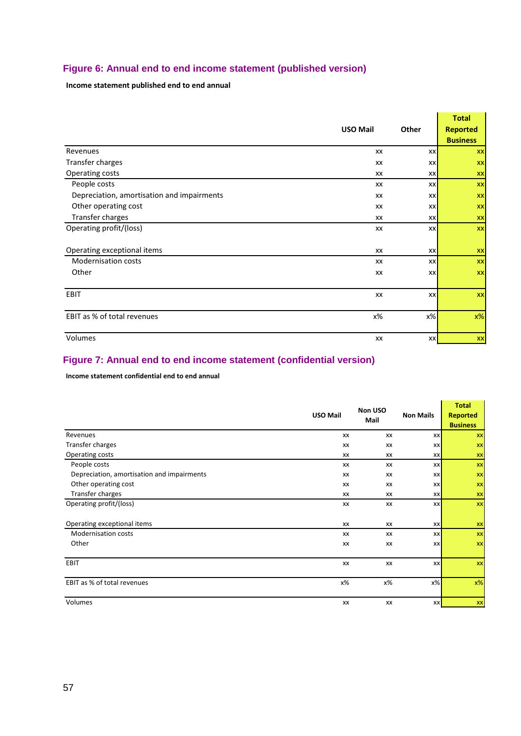### **Figure 6: Annual end to end income statement (published version)**

**Income statement published end to end annual**

|                                            |                 |       | <b>Total</b>    |
|--------------------------------------------|-----------------|-------|-----------------|
|                                            | <b>USO Mail</b> | Other | <b>Reported</b> |
|                                            |                 |       | <b>Business</b> |
| Revenues                                   | XX              | XX    | <b>XX</b>       |
| Transfer charges                           | XX              | XX    | <b>XX</b>       |
| Operating costs                            | XX              | XX    | XX              |
| People costs                               | XX              | XX    | <b>XX</b>       |
| Depreciation, amortisation and impairments | XX              | XX    | <b>XX</b>       |
| Other operating cost                       | XX              | XX    | <b>XX</b>       |
| Transfer charges                           | XX              | XX    | <b>XX</b>       |
| Operating profit/(loss)                    | XX              | XX    | <b>XX</b>       |
|                                            |                 |       |                 |
| Operating exceptional items                | XX              | XX    | <b>XX</b>       |
| <b>Modernisation costs</b>                 | XX              | XX    | <b>XX</b>       |
| Other                                      | XX              | XX    | <b>XX</b>       |
|                                            |                 |       |                 |
| EBIT                                       | XX              | XX    | <b>XX</b>       |
|                                            |                 |       |                 |
| EBIT as % of total revenues                | х%              | х%    | $x\%$           |
|                                            |                 |       |                 |
| Volumes                                    | XX              | xx    | <b>XX</b>       |

<u>and the company of the company of the company of the company of the company of the company of the company of the company of the company of the company of the company of the company of the company of the company of the com</u>

u.

### **Figure 7: Annual end to end income statement (confidential version)**

**Income statement confidential end to end annual**

|                                            | Non USO         |      |                  | <b>Total</b>    |
|--------------------------------------------|-----------------|------|------------------|-----------------|
|                                            | <b>USO Mail</b> | Mail | <b>Non Mails</b> | <b>Reported</b> |
|                                            |                 |      |                  | <b>Business</b> |
| Revenues                                   | XX              | XX   | <b>XX</b>        | XX              |
| Transfer charges                           | XX              | XX   | <b>XX</b>        | XX              |
| Operating costs                            | XX              | XX   | <b>XX</b>        | XX              |
| People costs                               | XX              | XX   | <b>XX</b>        | XX              |
| Depreciation, amortisation and impairments | XX              | XX   | <b>XX</b>        | XX              |
| Other operating cost                       | XX              | XX   | <b>XX</b>        | XX              |
| Transfer charges                           | XX              | XX   | <b>XX</b>        | XX              |
| Operating profit/(loss)                    | XX              | XX   | <b>XX</b>        | XX              |
|                                            |                 |      |                  |                 |
| Operating exceptional items                | XX              | XX   | <b>XX</b>        | XX              |
| <b>Modernisation costs</b>                 | XX              | XX   | <b>XX</b>        | XX              |
| Other                                      | XX              | XX   | <b>XX</b>        | XX              |
|                                            |                 |      |                  |                 |
| EBIT                                       | XX              | XX   | XX               | XX              |
|                                            |                 |      |                  |                 |
| EBIT as % of total revenues                | х%              | х%   | $x\%$            | $x\%$           |
|                                            |                 |      |                  |                 |
| Volumes                                    | XX              | XX   | XX               | XX              |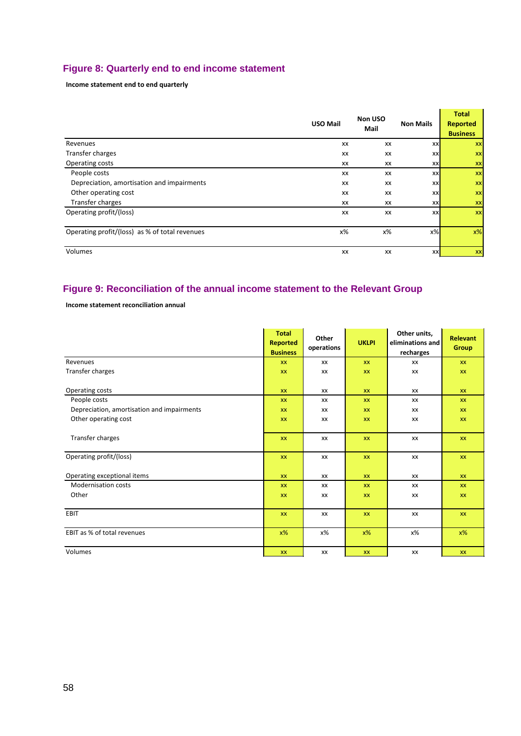### **Figure 8: Quarterly end to end income statement**

**Income statement end to end quarterly**

|                                                | <b>USO Mail</b> | Non USO<br>Mail | <b>Non Mails</b> | <b>Total</b><br><b>Reported</b><br><b>Business</b> |
|------------------------------------------------|-----------------|-----------------|------------------|----------------------------------------------------|
| Revenues                                       | XX              | XX              | XX               | XX                                                 |
| Transfer charges                               | XX              | XX              | XX               | <b>XX</b>                                          |
| Operating costs                                | XX              | XX              | XX               | XX                                                 |
| People costs                                   | XX              | XX              | XX               | <b>XX</b>                                          |
| Depreciation, amortisation and impairments     | XX              | XX              | XX               | XX                                                 |
| Other operating cost                           | XX              | XX              | XX               | XX                                                 |
| Transfer charges                               | XX              | XX              | <b>XX</b>        | XX                                                 |
| Operating profit/(loss)                        | XX              | XX              | XX               | <b>XX</b>                                          |
| Operating profit/(loss) as % of total revenues | х%              | х%              | $x\%$            | $x\%$                                              |
| Volumes                                        | XX              | XX              | XX               | XX                                                 |

### **Figure 9: Reconciliation of the annual income statement to the Relevant Group**

**Income statement reconciliation annual**

|                                            | <b>Total</b><br><b>Reported</b><br><b>Business</b> | Other<br>operations | <b>UKLPI</b> | Other units,<br>eliminations and<br>recharges | <b>Relevant</b><br><b>Group</b> |
|--------------------------------------------|----------------------------------------------------|---------------------|--------------|-----------------------------------------------|---------------------------------|
| Revenues                                   | <b>XX</b>                                          | <b>XX</b>           | <b>XX</b>    | XX                                            | <b>XX</b>                       |
| Transfer charges                           | XX                                                 | XX                  | <b>XX</b>    | XX                                            | XX                              |
| Operating costs                            | <b>XX</b>                                          | <b>XX</b>           | <b>XX</b>    | XX                                            | <b>XX</b>                       |
| People costs                               | <b>XX</b>                                          | XX                  | XX           | XX                                            | <b>XX</b>                       |
| Depreciation, amortisation and impairments | XX                                                 | XX                  | <b>XX</b>    | XX                                            | <b>XX</b>                       |
| Other operating cost                       | <b>XX</b>                                          | XX                  | <b>XX</b>    | XX                                            | <b>XX</b>                       |
| Transfer charges                           | XX                                                 | XX                  | XX           | XX                                            | <b>XX</b>                       |
| Operating profit/(loss)                    | XX                                                 | XX                  | XX           | XX                                            | XX                              |
| Operating exceptional items                | <b>XX</b>                                          | <b>XX</b>           | <b>XX</b>    | XX                                            | <b>XX</b>                       |
| <b>Modernisation costs</b>                 | XX                                                 | XX                  | XX           | XX                                            | XX                              |
| Other                                      | XX                                                 | XX                  | <b>XX</b>    | XX                                            | <b>XX</b>                       |
| EBIT                                       | <b>XX</b>                                          | XX                  | XX           | XX                                            | <b>XX</b>                       |
| EBIT as % of total revenues                | $x\%$                                              | х%                  | $x\%$        | х%                                            | $x\%$                           |
| Volumes                                    | XX                                                 | XX                  | <b>XX</b>    | XX                                            | <b>XX</b>                       |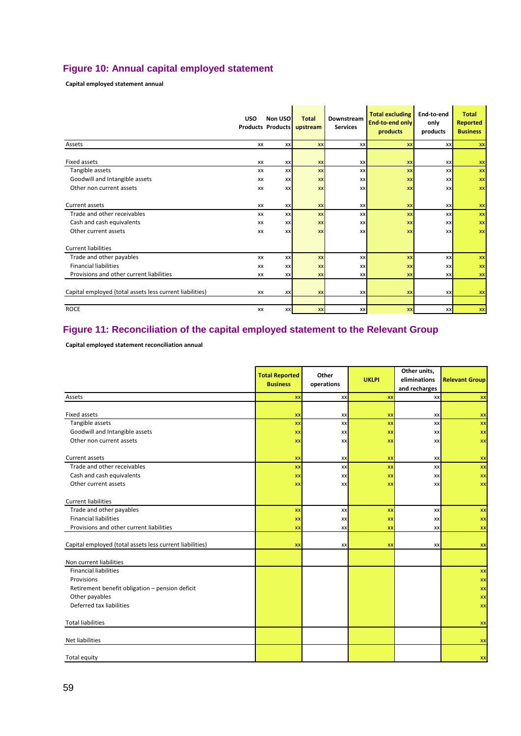### **Figure 10: Annual capital employed statement**

**Capital employed statement annual**

|                                                          | <b>USO</b>      | Non USO<br><b>Products Products</b> | <b>Total</b><br>upstream | Downstream<br><b>Services</b> | <b>Total excluding</b><br><b>End-to-end only</b><br>products | End-to-end<br>only<br>products | <b>Total</b><br><b>Reported</b><br><b>Business</b> |
|----------------------------------------------------------|-----------------|-------------------------------------|--------------------------|-------------------------------|--------------------------------------------------------------|--------------------------------|----------------------------------------------------|
| Assets                                                   | <b>XX</b>       | XX                                  | <b>XX</b>                | XX                            | XX                                                           | <b>XX</b>                      | XX                                                 |
| <b>Fixed assets</b>                                      | XX              | XX                                  | <b>XX</b>                | XX                            | XX                                                           | XX                             | XX                                                 |
| Tangible assets                                          | XX              | XX                                  | <b>XX</b>                | <b>XX</b>                     | <b>XX</b>                                                    | <b>XX</b>                      | <b>XX</b>                                          |
| Goodwill and Intangible assets                           | XX              | XX                                  | <b>XX</b>                | XX                            | XX                                                           | XX                             | <b>XX</b>                                          |
| Other non current assets                                 | XX              | XX                                  | <b>XX</b>                | XX                            | XX                                                           | XX                             | <b>XX</b>                                          |
| Current assets<br>Trade and other receivables            | XX<br><b>XX</b> | XX<br>XX                            | <b>XX</b><br><b>XX</b>   | <b>XX</b><br>XX               | XX<br><b>XX</b>                                              | <b>XX</b><br><b>XX</b>         | XX<br><b>XX</b>                                    |
| Cash and cash equivalents                                | XX              | XX                                  | <b>XX</b>                | XX                            | XX                                                           | XX                             | <b>XX</b>                                          |
| Other current assets                                     | XX              | XX                                  | <b>XX</b>                | <b>XX</b>                     | <b>XX</b>                                                    | XX                             | <b>XX</b>                                          |
| <b>Current liabilities</b>                               |                 |                                     |                          |                               |                                                              |                                |                                                    |
| Trade and other payables                                 | XX              | XX                                  | <b>XX</b>                | <b>XX</b>                     | XX                                                           | XX                             | <b>XX</b>                                          |
| <b>Financial liabilities</b>                             | XX              | XX                                  | <b>XX</b>                | XX                            | XX                                                           | XX                             | <b>XX</b>                                          |
| Provisions and other current liabilities                 | XX              | XX                                  | <b>XX</b>                | XX                            | <b>XX</b>                                                    | <b>XX</b>                      | <b>XX</b>                                          |
| Capital employed (total assets less current liabilities) | XX              | XX                                  | <b>XX</b>                | <b>XX</b>                     | <b>XX</b>                                                    | <b>XX</b>                      | XX                                                 |
| <b>ROCE</b>                                              | XX              | <b>XX</b>                           | <b>XX</b>                | XX                            | <b>XX</b>                                                    | <b>XX</b>                      | XX                                                 |

### **Figure 11: Reconciliation of the capital employed statement to the Relevant Group**

**Capital employed statement reconciliation annual**

|                                                          | <b>Total Reported</b><br><b>Business</b> | Other<br>operations | <b>UKLPI</b> | Other units,<br>eliminations<br>and recharges | <b>Relevant Group</b> |
|----------------------------------------------------------|------------------------------------------|---------------------|--------------|-----------------------------------------------|-----------------------|
| Assets                                                   | XX                                       | XX                  | XX           | XX                                            | <b>XX</b>             |
| Fixed assets                                             | XX                                       | XX                  | XX           | XX                                            | XX                    |
| Tangible assets                                          | XX                                       | XX                  | XX           | XX                                            | <b>xx</b>             |
| Goodwill and Intangible assets                           | XX                                       | XX                  | XX           | <b>XX</b>                                     | <b>XX</b>             |
| Other non current assets                                 | XX                                       | XX                  | XX           | XX                                            | <b>XX</b>             |
| Current assets                                           | XX                                       | XX                  | XX           | XX                                            | XX                    |
| Trade and other receivables                              | XX                                       | XX                  | XX           | XX                                            | XX                    |
| Cash and cash equivalents                                | XX                                       | XX                  | XX           | <b>XX</b>                                     | XX                    |
| Other current assets                                     | XX                                       | XX                  | XX           | <b>XX</b>                                     | <b>XX</b>             |
|                                                          |                                          |                     |              |                                               |                       |
| <b>Current liabilities</b>                               |                                          |                     |              |                                               |                       |
| Trade and other payables                                 | XX                                       | XX                  | XX           | XX                                            | <b>XX</b>             |
| <b>Financial liabilities</b>                             | XX                                       | XX                  | XX           | XX                                            | <b>XX</b>             |
| Provisions and other current liabilities                 | XX                                       | XX                  | XX           | XX                                            | <b>XX</b>             |
| Capital employed (total assets less current liabilities) | <b>XX</b>                                | XX                  | XX           | XX                                            | XX                    |
| Non current liabilities                                  |                                          |                     |              |                                               |                       |
| <b>Financial liabilities</b>                             |                                          |                     |              |                                               | XX                    |
| Provisions                                               |                                          |                     |              |                                               | <b>XX</b>             |
| Retirement benefit obligation - pension deficit          |                                          |                     |              |                                               | <b>XX</b>             |
| Other payables                                           |                                          |                     |              |                                               | <b>XX</b>             |
| Deferred tax liabilities                                 |                                          |                     |              |                                               | <b>XX</b>             |
|                                                          |                                          |                     |              |                                               |                       |
| <b>Total liabilities</b>                                 |                                          |                     |              |                                               | XX                    |
| Net liabilities                                          |                                          |                     |              |                                               | XX                    |
| Total equity                                             |                                          |                     |              |                                               | <b>XX</b>             |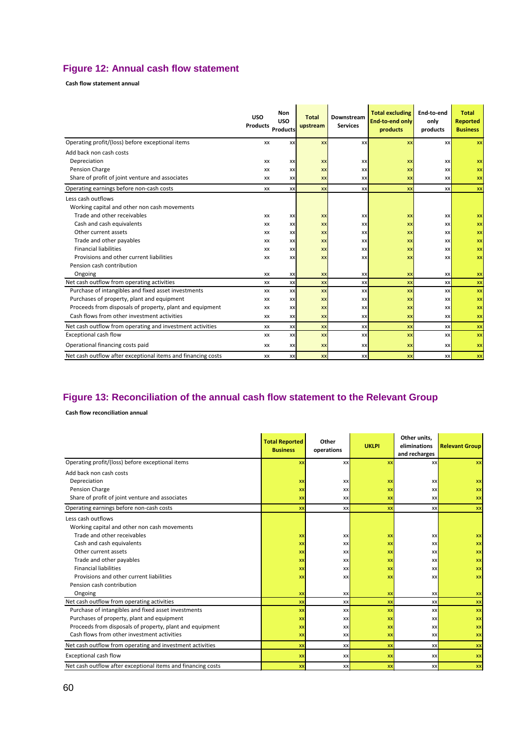### **Figure 12: Annual cash flow statement**

**Cash flow statement annual**

|                                                              | <b>USO</b><br><b>Products</b> | Non<br><b>USO</b><br><b>Products</b> | <b>Total</b><br>upstream | Downstream<br><b>Services</b> | <b>Total excluding</b><br><b>End-to-end only</b><br>products | End-to-end<br>only<br>products | <b>Total</b><br>Reported<br><b>Business</b> |
|--------------------------------------------------------------|-------------------------------|--------------------------------------|--------------------------|-------------------------------|--------------------------------------------------------------|--------------------------------|---------------------------------------------|
| Operating profit/(loss) before exceptional items             | XX                            | XX                                   | <b>XX</b>                | XX                            | <b>XX</b>                                                    | xx                             | XX                                          |
| Add back non cash costs                                      |                               |                                      |                          |                               |                                                              |                                |                                             |
| Depreciation                                                 | <b>XX</b>                     | XX                                   | <b>XX</b>                | XX                            | XX                                                           | XX                             | <b>XX</b>                                   |
| Pension Charge                                               | XX                            | XX                                   | <b>XX</b>                | XX                            | XX                                                           | <b>XX</b>                      | XX                                          |
| Share of profit of joint venture and associates              | XX                            | XX                                   | <b>XX</b>                | XX                            | XX                                                           | <b>XX</b>                      | XX                                          |
| Operating earnings before non-cash costs                     | XX                            | XX                                   | <b>XX</b>                | XX                            | <b>XX</b>                                                    | XX                             | <b>XX</b>                                   |
| Less cash outflows                                           |                               |                                      |                          |                               |                                                              |                                |                                             |
| Working capital and other non cash movements                 |                               |                                      |                          |                               |                                                              |                                |                                             |
| Trade and other receivables                                  | <b>XX</b>                     | XX                                   | <b>XX</b>                | XX                            | XX                                                           | XX                             | XX                                          |
| Cash and cash equivalents                                    | XX                            | XX                                   | <b>XX</b>                | XX                            | XX                                                           | <b>XX</b>                      | XX                                          |
| Other current assets                                         | XX                            | XX                                   | <b>XX</b>                | XX                            | XX                                                           | <b>XX</b>                      | XX                                          |
| Trade and other payables                                     | XX                            | XX                                   | <b>XX</b>                | XX                            | XX                                                           | <b>xx</b>                      | XX                                          |
| <b>Financial liabilities</b>                                 | <b>XX</b>                     | <b>XX</b>                            | <b>XX</b>                | XX                            | XX                                                           | <b>XX</b>                      | XX                                          |
| Provisions and other current liabilities                     | <b>XX</b>                     | <b>XX</b>                            | <b>XX</b>                | XX                            | XX                                                           | <b>XX</b>                      | XX                                          |
| Pension cash contribution                                    |                               |                                      |                          |                               |                                                              |                                |                                             |
| Ongoing                                                      | <b>XX</b>                     | XX                                   | XX                       | XX                            | XX                                                           | <b>XX</b>                      | XX                                          |
| Net cash outflow from operating activities                   | XX                            | XX                                   | XX                       | XX                            | XX                                                           | XX                             | XX                                          |
| Purchase of intangibles and fixed asset investments          | <b>XX</b>                     | XX                                   | <b>XX</b>                | XX                            | XX                                                           | <b>XX</b>                      | XX                                          |
| Purchases of property, plant and equipment                   | XX                            | XX                                   | <b>XX</b>                | XX                            | XX                                                           | <b>xx</b>                      | XX                                          |
| Proceeds from disposals of property, plant and equipment     | XX                            | XX                                   | XX                       | XX                            | XX                                                           | <b>XX</b>                      | XX                                          |
| Cash flows from other investment activities                  | <b>XX</b>                     | <b>XX</b>                            | <b>XX</b>                | XX                            | XX                                                           | <b>xx</b>                      | XX                                          |
| Net cash outflow from operating and investment activities    | XX                            | XX                                   | XX                       | XX                            | XX                                                           | XX                             | XX                                          |
| Exceptional cash flow                                        | XX                            | XX                                   | XX                       | XX                            | XX                                                           | XX                             | XX                                          |
| Operational financing costs paid                             | XX                            | XX                                   | <b>XX</b>                | XX                            | XX                                                           | <b>XX</b>                      | XX                                          |
| Net cash outflow after exceptional items and financing costs | XX                            | XX                                   | <b>XX</b>                | XX                            | <b>XX</b>                                                    | XX                             | XX                                          |

### **Figure 13: Reconciliation of the annual cash flow statement to the Relevant Group**

**Cash flow reconciliation annual**

|                                                              | <b>Total Reported</b><br><b>Business</b> | Other<br>operations | <b>UKLPI</b> | Other units,<br>eliminations<br>and recharges | <b>Relevant Group</b> |
|--------------------------------------------------------------|------------------------------------------|---------------------|--------------|-----------------------------------------------|-----------------------|
| Operating profit/(loss) before exceptional items             | XX                                       | XX                  | XX           | <b>xx</b>                                     | <b>XX</b>             |
| Add back non cash costs                                      |                                          |                     |              |                                               |                       |
| Depreciation                                                 | XX                                       | XX                  | XX           | <b>XX</b>                                     | XX                    |
| Pension Charge                                               | XX                                       | XX                  | XX           | <b>XX</b>                                     | XX                    |
| Share of profit of joint venture and associates              | XX                                       | XX                  | <b>XX</b>    | <b>XX</b>                                     | XX                    |
| Operating earnings before non-cash costs                     | XX                                       | XX                  | <b>XX</b>    | <b>xx</b>                                     | XX                    |
| Less cash outflows                                           |                                          |                     |              |                                               |                       |
| Working capital and other non cash movements                 |                                          |                     |              |                                               |                       |
| Trade and other receivables                                  | XX                                       | XX                  | <b>XX</b>    | <b>XX</b>                                     | <b>XX</b>             |
| Cash and cash equivalents                                    | XX                                       | XX                  | XX           | <b>XX</b>                                     | XX                    |
| Other current assets                                         | XX                                       | XX                  | XX           | XX                                            | XX                    |
| Trade and other payables                                     | XX                                       | XX                  | <b>XX</b>    | <b>xx</b>                                     | <b>XX</b>             |
| <b>Financial liabilities</b>                                 | <b>XX</b>                                | XX                  | <b>XX</b>    | <b>xx</b>                                     | <b>XX</b>             |
| Provisions and other current liabilities                     | XX                                       | XX                  | XX           | XX                                            | XX                    |
| Pension cash contribution                                    |                                          |                     |              |                                               |                       |
| Ongoing                                                      | XX                                       | XX                  | XX           | <b>XX</b>                                     | XX                    |
| Net cash outflow from operating activities                   | XX                                       | XX                  | <b>XX</b>    | XX                                            | <b>XX</b>             |
| Purchase of intangibles and fixed asset investments          | XX                                       | XX                  | <b>XX</b>    | <b>XX</b>                                     | XX                    |
| Purchases of property, plant and equipment                   | XX                                       | XX                  | XX           | XX                                            | <b>XX</b>             |
| Proceeds from disposals of property, plant and equipment     | XX                                       | XX                  | <b>XX</b>    | <b>XX</b>                                     | <b>XX</b>             |
| Cash flows from other investment activities                  | XX                                       | XX                  | <b>xx</b>    | <b>xx</b>                                     | <b>XX</b>             |
| Net cash outflow from operating and investment activities    | <b>XX</b>                                | XX                  | XX           | XX                                            | <b>XX</b>             |
| Exceptional cash flow                                        | XX                                       | XX                  | XX           | <b>XX</b>                                     | XX                    |
| Net cash outflow after exceptional items and financing costs | XX                                       | XX                  | XX           | XX                                            | XX                    |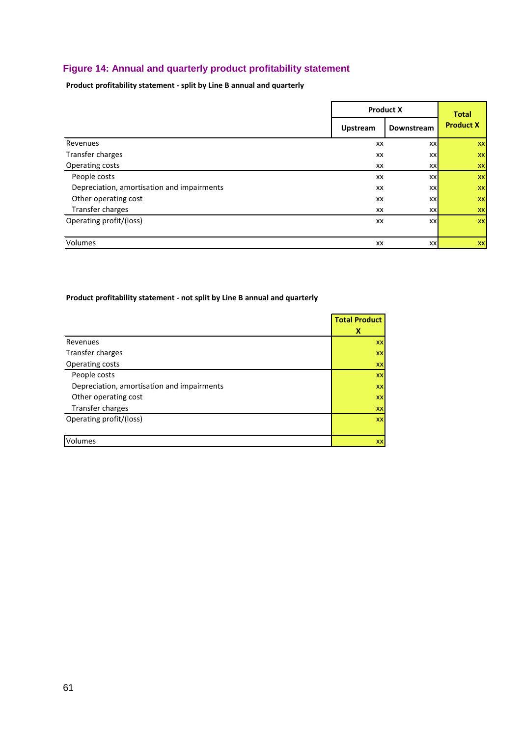### **Figure 14: Annual and quarterly product profitability statement**

**Product profitability statement - split by Line B annual and quarterly**

|                                            | <b>Product X</b> | <b>Total</b> |                  |
|--------------------------------------------|------------------|--------------|------------------|
|                                            | <b>Upstream</b>  | Downstream   | <b>Product X</b> |
| Revenues                                   | XX               | XX           | <b>XX</b>        |
| Transfer charges                           | XX               | XX           | <b>XX</b>        |
| Operating costs                            | XX               | <b>XX</b>    | <b>XX</b>        |
| People costs                               | XX               | XX           | <b>XX</b>        |
| Depreciation, amortisation and impairments | XX               | XX           | <b>XX</b>        |
| Other operating cost                       | XX               | XX           | <b>XX</b>        |
| Transfer charges                           | XX               | <b>XX</b>    | <b>XX</b>        |
| Operating profit/(loss)                    | XX               | XX           | <b>XX</b>        |
| Volumes                                    | XX               | XX           | <b>XX</b>        |

#### **Product profitability statement - not split by Line B annual and quarterly**

|                                            | <b>Total Product</b> |
|--------------------------------------------|----------------------|
|                                            | х                    |
| Revenues                                   | XX                   |
| Transfer charges                           | XX                   |
| Operating costs                            | XX                   |
| People costs                               | XX                   |
| Depreciation, amortisation and impairments | XX                   |
| Other operating cost                       | XX                   |
| Transfer charges                           | XX                   |
| Operating profit/(loss)                    | XX                   |
|                                            |                      |
| Volumes                                    | XX                   |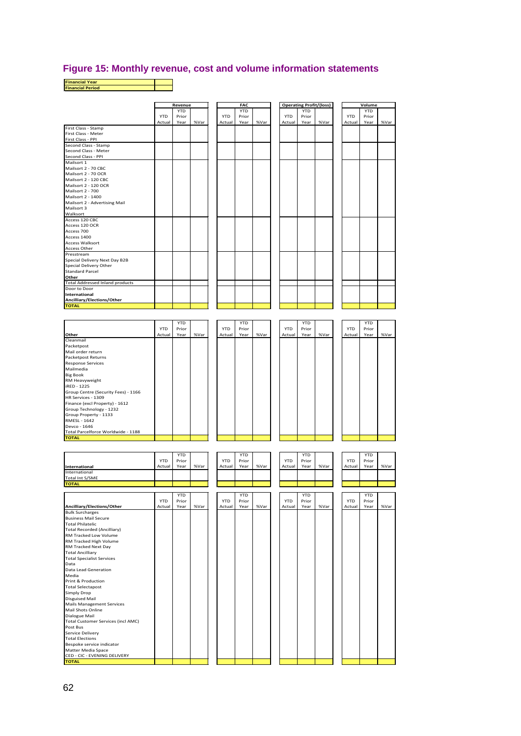#### **Figure 15: Monthly revenue, cost and volume information statements**

| FAC<br><b>Operating Profit/(loss)</b><br>Volume<br>Revenue<br><b>YTD</b><br><b>YTD</b><br><b>YTD</b><br><b>YTD</b><br><b>YTD</b><br><b>YTD</b><br><b>YTD</b><br><b>YTD</b><br>Prior<br>Prior<br>Prior<br>Prior<br>%Var<br>%Var<br>Actual<br>Year<br>%Var<br>Actual<br>Year<br>Actual<br>Year<br>Actual<br>Year<br>%Var<br>First Class - Meter<br>First Class - PPI<br>Second Class - Stamp<br>Second Class - Meter<br>Second Class - PPI<br>Mailsort 1<br>Mailsort 2 - 70 CBC<br>Mailsort 2 - 70 OCR<br>Mailsort 2 - 120 CBC<br>Mailsort 2 - 120 OCR<br>Mailsort 2 - 700<br>Mailsort 2 - 1400<br>Mailsort 2 - Advertising Mail<br>Walksort<br>Access 120 CBC<br>Access 120 OCR<br>Access 700<br>Access 1400<br>Access Other<br>Presstream<br>Special Delivery Next Day B2B<br>Other<br><b>Total Addressed Inland products</b><br>Door to Door<br>Ancilliary/Elections/Other<br><b>YTD</b><br><b>YTD</b><br><b>YTD</b><br><b>YTD</b><br><b>YTD</b><br><b>YTD</b><br><b>YTD</b><br><b>YTD</b><br>Prior<br>Prior<br>Prior<br>Prior<br>%Var<br>Year<br>%Var<br>%Var<br>Actual<br>Year<br>Actual<br>Actual<br>Year<br>Actual<br>Year<br>Cleanmail<br>Packetpost<br>Packetpost Returns<br><b>Response Services</b><br>RM Heavyweight<br>iRED - 1225<br>Finance (excl Property) - 1612<br>Group Technology - 1232<br>Devco - 1646<br>Total Parcelforce Worldwide - 1188<br><b>YTD</b><br><b>YTD</b><br><b>YTD</b><br><b>YTD</b><br><b>YTD</b><br><b>YTD</b><br>Prior<br><b>YTD</b><br><b>YTD</b><br>Prior<br>Prior<br>Prior<br>International<br>Actual<br>Year<br>%Var<br>Actual<br>Year<br>%Var<br>Actual<br>Year<br>%Var<br>Actual<br>Year<br>International<br><b>TOTAL</b><br><b>YTD</b><br><b>YTD</b><br><b>YTD</b><br>YTD<br><b>YTD</b><br><b>YTD</b><br>Prior<br>Prior<br>YTD<br>Prior<br><b>YTD</b><br>Prior<br>Ancilliary/Elections/Other<br>Actual<br>Year<br>%Var<br>Actual<br>Year<br>%Var<br>Actual<br>%Var<br>Actual<br>Year<br>Year<br><b>Bulk Surcharges</b><br><b>Total Recorded (Ancilliary)</b><br>RM Tracked Low Volume<br><b>Total Ancilliary</b><br><b>Total Specialist Services</b><br>Media<br>Print & Production<br>Disguised Mail<br>Mail Shots Online<br>Dialogue Mail<br>Total Customer Services (incl AMC)<br>Post Bus<br>Bespoke service indicator<br><b>TOTAL</b> | <b>Financial Year</b><br><b>Financial Period</b> |  |  |  |  |  |      |
|------------------------------------------------------------------------------------------------------------------------------------------------------------------------------------------------------------------------------------------------------------------------------------------------------------------------------------------------------------------------------------------------------------------------------------------------------------------------------------------------------------------------------------------------------------------------------------------------------------------------------------------------------------------------------------------------------------------------------------------------------------------------------------------------------------------------------------------------------------------------------------------------------------------------------------------------------------------------------------------------------------------------------------------------------------------------------------------------------------------------------------------------------------------------------------------------------------------------------------------------------------------------------------------------------------------------------------------------------------------------------------------------------------------------------------------------------------------------------------------------------------------------------------------------------------------------------------------------------------------------------------------------------------------------------------------------------------------------------------------------------------------------------------------------------------------------------------------------------------------------------------------------------------------------------------------------------------------------------------------------------------------------------------------------------------------------------------------------------------------------------------------------------------------------------------------------------------------------------------------------------------------------------------------|--------------------------------------------------|--|--|--|--|--|------|
|                                                                                                                                                                                                                                                                                                                                                                                                                                                                                                                                                                                                                                                                                                                                                                                                                                                                                                                                                                                                                                                                                                                                                                                                                                                                                                                                                                                                                                                                                                                                                                                                                                                                                                                                                                                                                                                                                                                                                                                                                                                                                                                                                                                                                                                                                          |                                                  |  |  |  |  |  |      |
|                                                                                                                                                                                                                                                                                                                                                                                                                                                                                                                                                                                                                                                                                                                                                                                                                                                                                                                                                                                                                                                                                                                                                                                                                                                                                                                                                                                                                                                                                                                                                                                                                                                                                                                                                                                                                                                                                                                                                                                                                                                                                                                                                                                                                                                                                          |                                                  |  |  |  |  |  |      |
|                                                                                                                                                                                                                                                                                                                                                                                                                                                                                                                                                                                                                                                                                                                                                                                                                                                                                                                                                                                                                                                                                                                                                                                                                                                                                                                                                                                                                                                                                                                                                                                                                                                                                                                                                                                                                                                                                                                                                                                                                                                                                                                                                                                                                                                                                          |                                                  |  |  |  |  |  |      |
|                                                                                                                                                                                                                                                                                                                                                                                                                                                                                                                                                                                                                                                                                                                                                                                                                                                                                                                                                                                                                                                                                                                                                                                                                                                                                                                                                                                                                                                                                                                                                                                                                                                                                                                                                                                                                                                                                                                                                                                                                                                                                                                                                                                                                                                                                          |                                                  |  |  |  |  |  |      |
|                                                                                                                                                                                                                                                                                                                                                                                                                                                                                                                                                                                                                                                                                                                                                                                                                                                                                                                                                                                                                                                                                                                                                                                                                                                                                                                                                                                                                                                                                                                                                                                                                                                                                                                                                                                                                                                                                                                                                                                                                                                                                                                                                                                                                                                                                          | First Class - Stamp                              |  |  |  |  |  |      |
|                                                                                                                                                                                                                                                                                                                                                                                                                                                                                                                                                                                                                                                                                                                                                                                                                                                                                                                                                                                                                                                                                                                                                                                                                                                                                                                                                                                                                                                                                                                                                                                                                                                                                                                                                                                                                                                                                                                                                                                                                                                                                                                                                                                                                                                                                          |                                                  |  |  |  |  |  |      |
|                                                                                                                                                                                                                                                                                                                                                                                                                                                                                                                                                                                                                                                                                                                                                                                                                                                                                                                                                                                                                                                                                                                                                                                                                                                                                                                                                                                                                                                                                                                                                                                                                                                                                                                                                                                                                                                                                                                                                                                                                                                                                                                                                                                                                                                                                          |                                                  |  |  |  |  |  |      |
|                                                                                                                                                                                                                                                                                                                                                                                                                                                                                                                                                                                                                                                                                                                                                                                                                                                                                                                                                                                                                                                                                                                                                                                                                                                                                                                                                                                                                                                                                                                                                                                                                                                                                                                                                                                                                                                                                                                                                                                                                                                                                                                                                                                                                                                                                          |                                                  |  |  |  |  |  |      |
|                                                                                                                                                                                                                                                                                                                                                                                                                                                                                                                                                                                                                                                                                                                                                                                                                                                                                                                                                                                                                                                                                                                                                                                                                                                                                                                                                                                                                                                                                                                                                                                                                                                                                                                                                                                                                                                                                                                                                                                                                                                                                                                                                                                                                                                                                          |                                                  |  |  |  |  |  |      |
|                                                                                                                                                                                                                                                                                                                                                                                                                                                                                                                                                                                                                                                                                                                                                                                                                                                                                                                                                                                                                                                                                                                                                                                                                                                                                                                                                                                                                                                                                                                                                                                                                                                                                                                                                                                                                                                                                                                                                                                                                                                                                                                                                                                                                                                                                          |                                                  |  |  |  |  |  |      |
|                                                                                                                                                                                                                                                                                                                                                                                                                                                                                                                                                                                                                                                                                                                                                                                                                                                                                                                                                                                                                                                                                                                                                                                                                                                                                                                                                                                                                                                                                                                                                                                                                                                                                                                                                                                                                                                                                                                                                                                                                                                                                                                                                                                                                                                                                          |                                                  |  |  |  |  |  |      |
|                                                                                                                                                                                                                                                                                                                                                                                                                                                                                                                                                                                                                                                                                                                                                                                                                                                                                                                                                                                                                                                                                                                                                                                                                                                                                                                                                                                                                                                                                                                                                                                                                                                                                                                                                                                                                                                                                                                                                                                                                                                                                                                                                                                                                                                                                          |                                                  |  |  |  |  |  |      |
|                                                                                                                                                                                                                                                                                                                                                                                                                                                                                                                                                                                                                                                                                                                                                                                                                                                                                                                                                                                                                                                                                                                                                                                                                                                                                                                                                                                                                                                                                                                                                                                                                                                                                                                                                                                                                                                                                                                                                                                                                                                                                                                                                                                                                                                                                          |                                                  |  |  |  |  |  |      |
|                                                                                                                                                                                                                                                                                                                                                                                                                                                                                                                                                                                                                                                                                                                                                                                                                                                                                                                                                                                                                                                                                                                                                                                                                                                                                                                                                                                                                                                                                                                                                                                                                                                                                                                                                                                                                                                                                                                                                                                                                                                                                                                                                                                                                                                                                          |                                                  |  |  |  |  |  |      |
|                                                                                                                                                                                                                                                                                                                                                                                                                                                                                                                                                                                                                                                                                                                                                                                                                                                                                                                                                                                                                                                                                                                                                                                                                                                                                                                                                                                                                                                                                                                                                                                                                                                                                                                                                                                                                                                                                                                                                                                                                                                                                                                                                                                                                                                                                          | Mailsort 3                                       |  |  |  |  |  |      |
|                                                                                                                                                                                                                                                                                                                                                                                                                                                                                                                                                                                                                                                                                                                                                                                                                                                                                                                                                                                                                                                                                                                                                                                                                                                                                                                                                                                                                                                                                                                                                                                                                                                                                                                                                                                                                                                                                                                                                                                                                                                                                                                                                                                                                                                                                          |                                                  |  |  |  |  |  |      |
|                                                                                                                                                                                                                                                                                                                                                                                                                                                                                                                                                                                                                                                                                                                                                                                                                                                                                                                                                                                                                                                                                                                                                                                                                                                                                                                                                                                                                                                                                                                                                                                                                                                                                                                                                                                                                                                                                                                                                                                                                                                                                                                                                                                                                                                                                          |                                                  |  |  |  |  |  |      |
|                                                                                                                                                                                                                                                                                                                                                                                                                                                                                                                                                                                                                                                                                                                                                                                                                                                                                                                                                                                                                                                                                                                                                                                                                                                                                                                                                                                                                                                                                                                                                                                                                                                                                                                                                                                                                                                                                                                                                                                                                                                                                                                                                                                                                                                                                          |                                                  |  |  |  |  |  |      |
|                                                                                                                                                                                                                                                                                                                                                                                                                                                                                                                                                                                                                                                                                                                                                                                                                                                                                                                                                                                                                                                                                                                                                                                                                                                                                                                                                                                                                                                                                                                                                                                                                                                                                                                                                                                                                                                                                                                                                                                                                                                                                                                                                                                                                                                                                          | <b>Access Walksort</b>                           |  |  |  |  |  |      |
|                                                                                                                                                                                                                                                                                                                                                                                                                                                                                                                                                                                                                                                                                                                                                                                                                                                                                                                                                                                                                                                                                                                                                                                                                                                                                                                                                                                                                                                                                                                                                                                                                                                                                                                                                                                                                                                                                                                                                                                                                                                                                                                                                                                                                                                                                          |                                                  |  |  |  |  |  |      |
| %Var<br>%Var                                                                                                                                                                                                                                                                                                                                                                                                                                                                                                                                                                                                                                                                                                                                                                                                                                                                                                                                                                                                                                                                                                                                                                                                                                                                                                                                                                                                                                                                                                                                                                                                                                                                                                                                                                                                                                                                                                                                                                                                                                                                                                                                                                                                                                                                             |                                                  |  |  |  |  |  |      |
|                                                                                                                                                                                                                                                                                                                                                                                                                                                                                                                                                                                                                                                                                                                                                                                                                                                                                                                                                                                                                                                                                                                                                                                                                                                                                                                                                                                                                                                                                                                                                                                                                                                                                                                                                                                                                                                                                                                                                                                                                                                                                                                                                                                                                                                                                          | Special Delivery Other                           |  |  |  |  |  |      |
|                                                                                                                                                                                                                                                                                                                                                                                                                                                                                                                                                                                                                                                                                                                                                                                                                                                                                                                                                                                                                                                                                                                                                                                                                                                                                                                                                                                                                                                                                                                                                                                                                                                                                                                                                                                                                                                                                                                                                                                                                                                                                                                                                                                                                                                                                          | <b>Standard Parcel</b>                           |  |  |  |  |  |      |
|                                                                                                                                                                                                                                                                                                                                                                                                                                                                                                                                                                                                                                                                                                                                                                                                                                                                                                                                                                                                                                                                                                                                                                                                                                                                                                                                                                                                                                                                                                                                                                                                                                                                                                                                                                                                                                                                                                                                                                                                                                                                                                                                                                                                                                                                                          |                                                  |  |  |  |  |  |      |
|                                                                                                                                                                                                                                                                                                                                                                                                                                                                                                                                                                                                                                                                                                                                                                                                                                                                                                                                                                                                                                                                                                                                                                                                                                                                                                                                                                                                                                                                                                                                                                                                                                                                                                                                                                                                                                                                                                                                                                                                                                                                                                                                                                                                                                                                                          |                                                  |  |  |  |  |  |      |
|                                                                                                                                                                                                                                                                                                                                                                                                                                                                                                                                                                                                                                                                                                                                                                                                                                                                                                                                                                                                                                                                                                                                                                                                                                                                                                                                                                                                                                                                                                                                                                                                                                                                                                                                                                                                                                                                                                                                                                                                                                                                                                                                                                                                                                                                                          | International                                    |  |  |  |  |  |      |
|                                                                                                                                                                                                                                                                                                                                                                                                                                                                                                                                                                                                                                                                                                                                                                                                                                                                                                                                                                                                                                                                                                                                                                                                                                                                                                                                                                                                                                                                                                                                                                                                                                                                                                                                                                                                                                                                                                                                                                                                                                                                                                                                                                                                                                                                                          | <b>TOTAL</b>                                     |  |  |  |  |  |      |
|                                                                                                                                                                                                                                                                                                                                                                                                                                                                                                                                                                                                                                                                                                                                                                                                                                                                                                                                                                                                                                                                                                                                                                                                                                                                                                                                                                                                                                                                                                                                                                                                                                                                                                                                                                                                                                                                                                                                                                                                                                                                                                                                                                                                                                                                                          |                                                  |  |  |  |  |  |      |
|                                                                                                                                                                                                                                                                                                                                                                                                                                                                                                                                                                                                                                                                                                                                                                                                                                                                                                                                                                                                                                                                                                                                                                                                                                                                                                                                                                                                                                                                                                                                                                                                                                                                                                                                                                                                                                                                                                                                                                                                                                                                                                                                                                                                                                                                                          |                                                  |  |  |  |  |  |      |
|                                                                                                                                                                                                                                                                                                                                                                                                                                                                                                                                                                                                                                                                                                                                                                                                                                                                                                                                                                                                                                                                                                                                                                                                                                                                                                                                                                                                                                                                                                                                                                                                                                                                                                                                                                                                                                                                                                                                                                                                                                                                                                                                                                                                                                                                                          |                                                  |  |  |  |  |  |      |
|                                                                                                                                                                                                                                                                                                                                                                                                                                                                                                                                                                                                                                                                                                                                                                                                                                                                                                                                                                                                                                                                                                                                                                                                                                                                                                                                                                                                                                                                                                                                                                                                                                                                                                                                                                                                                                                                                                                                                                                                                                                                                                                                                                                                                                                                                          | Other                                            |  |  |  |  |  | %Var |
|                                                                                                                                                                                                                                                                                                                                                                                                                                                                                                                                                                                                                                                                                                                                                                                                                                                                                                                                                                                                                                                                                                                                                                                                                                                                                                                                                                                                                                                                                                                                                                                                                                                                                                                                                                                                                                                                                                                                                                                                                                                                                                                                                                                                                                                                                          |                                                  |  |  |  |  |  |      |
|                                                                                                                                                                                                                                                                                                                                                                                                                                                                                                                                                                                                                                                                                                                                                                                                                                                                                                                                                                                                                                                                                                                                                                                                                                                                                                                                                                                                                                                                                                                                                                                                                                                                                                                                                                                                                                                                                                                                                                                                                                                                                                                                                                                                                                                                                          | Mail order return                                |  |  |  |  |  |      |
|                                                                                                                                                                                                                                                                                                                                                                                                                                                                                                                                                                                                                                                                                                                                                                                                                                                                                                                                                                                                                                                                                                                                                                                                                                                                                                                                                                                                                                                                                                                                                                                                                                                                                                                                                                                                                                                                                                                                                                                                                                                                                                                                                                                                                                                                                          |                                                  |  |  |  |  |  |      |
|                                                                                                                                                                                                                                                                                                                                                                                                                                                                                                                                                                                                                                                                                                                                                                                                                                                                                                                                                                                                                                                                                                                                                                                                                                                                                                                                                                                                                                                                                                                                                                                                                                                                                                                                                                                                                                                                                                                                                                                                                                                                                                                                                                                                                                                                                          | Mailmedia                                        |  |  |  |  |  |      |
|                                                                                                                                                                                                                                                                                                                                                                                                                                                                                                                                                                                                                                                                                                                                                                                                                                                                                                                                                                                                                                                                                                                                                                                                                                                                                                                                                                                                                                                                                                                                                                                                                                                                                                                                                                                                                                                                                                                                                                                                                                                                                                                                                                                                                                                                                          | <b>Big Book</b>                                  |  |  |  |  |  |      |
|                                                                                                                                                                                                                                                                                                                                                                                                                                                                                                                                                                                                                                                                                                                                                                                                                                                                                                                                                                                                                                                                                                                                                                                                                                                                                                                                                                                                                                                                                                                                                                                                                                                                                                                                                                                                                                                                                                                                                                                                                                                                                                                                                                                                                                                                                          |                                                  |  |  |  |  |  |      |
|                                                                                                                                                                                                                                                                                                                                                                                                                                                                                                                                                                                                                                                                                                                                                                                                                                                                                                                                                                                                                                                                                                                                                                                                                                                                                                                                                                                                                                                                                                                                                                                                                                                                                                                                                                                                                                                                                                                                                                                                                                                                                                                                                                                                                                                                                          | Group Centre (Security Fees) - 1166              |  |  |  |  |  |      |
|                                                                                                                                                                                                                                                                                                                                                                                                                                                                                                                                                                                                                                                                                                                                                                                                                                                                                                                                                                                                                                                                                                                                                                                                                                                                                                                                                                                                                                                                                                                                                                                                                                                                                                                                                                                                                                                                                                                                                                                                                                                                                                                                                                                                                                                                                          | HR Services - 1309                               |  |  |  |  |  |      |
|                                                                                                                                                                                                                                                                                                                                                                                                                                                                                                                                                                                                                                                                                                                                                                                                                                                                                                                                                                                                                                                                                                                                                                                                                                                                                                                                                                                                                                                                                                                                                                                                                                                                                                                                                                                                                                                                                                                                                                                                                                                                                                                                                                                                                                                                                          |                                                  |  |  |  |  |  |      |
|                                                                                                                                                                                                                                                                                                                                                                                                                                                                                                                                                                                                                                                                                                                                                                                                                                                                                                                                                                                                                                                                                                                                                                                                                                                                                                                                                                                                                                                                                                                                                                                                                                                                                                                                                                                                                                                                                                                                                                                                                                                                                                                                                                                                                                                                                          | Group Property - 1133                            |  |  |  |  |  |      |
|                                                                                                                                                                                                                                                                                                                                                                                                                                                                                                                                                                                                                                                                                                                                                                                                                                                                                                                                                                                                                                                                                                                                                                                                                                                                                                                                                                                                                                                                                                                                                                                                                                                                                                                                                                                                                                                                                                                                                                                                                                                                                                                                                                                                                                                                                          | RMESL - 1642                                     |  |  |  |  |  |      |
|                                                                                                                                                                                                                                                                                                                                                                                                                                                                                                                                                                                                                                                                                                                                                                                                                                                                                                                                                                                                                                                                                                                                                                                                                                                                                                                                                                                                                                                                                                                                                                                                                                                                                                                                                                                                                                                                                                                                                                                                                                                                                                                                                                                                                                                                                          |                                                  |  |  |  |  |  |      |
|                                                                                                                                                                                                                                                                                                                                                                                                                                                                                                                                                                                                                                                                                                                                                                                                                                                                                                                                                                                                                                                                                                                                                                                                                                                                                                                                                                                                                                                                                                                                                                                                                                                                                                                                                                                                                                                                                                                                                                                                                                                                                                                                                                                                                                                                                          | <b>TOTAL</b>                                     |  |  |  |  |  |      |
|                                                                                                                                                                                                                                                                                                                                                                                                                                                                                                                                                                                                                                                                                                                                                                                                                                                                                                                                                                                                                                                                                                                                                                                                                                                                                                                                                                                                                                                                                                                                                                                                                                                                                                                                                                                                                                                                                                                                                                                                                                                                                                                                                                                                                                                                                          |                                                  |  |  |  |  |  |      |
|                                                                                                                                                                                                                                                                                                                                                                                                                                                                                                                                                                                                                                                                                                                                                                                                                                                                                                                                                                                                                                                                                                                                                                                                                                                                                                                                                                                                                                                                                                                                                                                                                                                                                                                                                                                                                                                                                                                                                                                                                                                                                                                                                                                                                                                                                          |                                                  |  |  |  |  |  |      |
|                                                                                                                                                                                                                                                                                                                                                                                                                                                                                                                                                                                                                                                                                                                                                                                                                                                                                                                                                                                                                                                                                                                                                                                                                                                                                                                                                                                                                                                                                                                                                                                                                                                                                                                                                                                                                                                                                                                                                                                                                                                                                                                                                                                                                                                                                          |                                                  |  |  |  |  |  |      |
|                                                                                                                                                                                                                                                                                                                                                                                                                                                                                                                                                                                                                                                                                                                                                                                                                                                                                                                                                                                                                                                                                                                                                                                                                                                                                                                                                                                                                                                                                                                                                                                                                                                                                                                                                                                                                                                                                                                                                                                                                                                                                                                                                                                                                                                                                          |                                                  |  |  |  |  |  |      |
|                                                                                                                                                                                                                                                                                                                                                                                                                                                                                                                                                                                                                                                                                                                                                                                                                                                                                                                                                                                                                                                                                                                                                                                                                                                                                                                                                                                                                                                                                                                                                                                                                                                                                                                                                                                                                                                                                                                                                                                                                                                                                                                                                                                                                                                                                          | Total Int S/SME                                  |  |  |  |  |  |      |
|                                                                                                                                                                                                                                                                                                                                                                                                                                                                                                                                                                                                                                                                                                                                                                                                                                                                                                                                                                                                                                                                                                                                                                                                                                                                                                                                                                                                                                                                                                                                                                                                                                                                                                                                                                                                                                                                                                                                                                                                                                                                                                                                                                                                                                                                                          |                                                  |  |  |  |  |  |      |
|                                                                                                                                                                                                                                                                                                                                                                                                                                                                                                                                                                                                                                                                                                                                                                                                                                                                                                                                                                                                                                                                                                                                                                                                                                                                                                                                                                                                                                                                                                                                                                                                                                                                                                                                                                                                                                                                                                                                                                                                                                                                                                                                                                                                                                                                                          |                                                  |  |  |  |  |  |      |
|                                                                                                                                                                                                                                                                                                                                                                                                                                                                                                                                                                                                                                                                                                                                                                                                                                                                                                                                                                                                                                                                                                                                                                                                                                                                                                                                                                                                                                                                                                                                                                                                                                                                                                                                                                                                                                                                                                                                                                                                                                                                                                                                                                                                                                                                                          |                                                  |  |  |  |  |  |      |
|                                                                                                                                                                                                                                                                                                                                                                                                                                                                                                                                                                                                                                                                                                                                                                                                                                                                                                                                                                                                                                                                                                                                                                                                                                                                                                                                                                                                                                                                                                                                                                                                                                                                                                                                                                                                                                                                                                                                                                                                                                                                                                                                                                                                                                                                                          |                                                  |  |  |  |  |  |      |
|                                                                                                                                                                                                                                                                                                                                                                                                                                                                                                                                                                                                                                                                                                                                                                                                                                                                                                                                                                                                                                                                                                                                                                                                                                                                                                                                                                                                                                                                                                                                                                                                                                                                                                                                                                                                                                                                                                                                                                                                                                                                                                                                                                                                                                                                                          | <b>Business Mail Secure</b>                      |  |  |  |  |  |      |
|                                                                                                                                                                                                                                                                                                                                                                                                                                                                                                                                                                                                                                                                                                                                                                                                                                                                                                                                                                                                                                                                                                                                                                                                                                                                                                                                                                                                                                                                                                                                                                                                                                                                                                                                                                                                                                                                                                                                                                                                                                                                                                                                                                                                                                                                                          | <b>Total Philatelic</b>                          |  |  |  |  |  |      |
|                                                                                                                                                                                                                                                                                                                                                                                                                                                                                                                                                                                                                                                                                                                                                                                                                                                                                                                                                                                                                                                                                                                                                                                                                                                                                                                                                                                                                                                                                                                                                                                                                                                                                                                                                                                                                                                                                                                                                                                                                                                                                                                                                                                                                                                                                          |                                                  |  |  |  |  |  |      |
|                                                                                                                                                                                                                                                                                                                                                                                                                                                                                                                                                                                                                                                                                                                                                                                                                                                                                                                                                                                                                                                                                                                                                                                                                                                                                                                                                                                                                                                                                                                                                                                                                                                                                                                                                                                                                                                                                                                                                                                                                                                                                                                                                                                                                                                                                          | RM Tracked High Volume                           |  |  |  |  |  |      |
|                                                                                                                                                                                                                                                                                                                                                                                                                                                                                                                                                                                                                                                                                                                                                                                                                                                                                                                                                                                                                                                                                                                                                                                                                                                                                                                                                                                                                                                                                                                                                                                                                                                                                                                                                                                                                                                                                                                                                                                                                                                                                                                                                                                                                                                                                          | RM Tracked Next Day                              |  |  |  |  |  |      |
|                                                                                                                                                                                                                                                                                                                                                                                                                                                                                                                                                                                                                                                                                                                                                                                                                                                                                                                                                                                                                                                                                                                                                                                                                                                                                                                                                                                                                                                                                                                                                                                                                                                                                                                                                                                                                                                                                                                                                                                                                                                                                                                                                                                                                                                                                          |                                                  |  |  |  |  |  |      |
|                                                                                                                                                                                                                                                                                                                                                                                                                                                                                                                                                                                                                                                                                                                                                                                                                                                                                                                                                                                                                                                                                                                                                                                                                                                                                                                                                                                                                                                                                                                                                                                                                                                                                                                                                                                                                                                                                                                                                                                                                                                                                                                                                                                                                                                                                          | Data                                             |  |  |  |  |  |      |
|                                                                                                                                                                                                                                                                                                                                                                                                                                                                                                                                                                                                                                                                                                                                                                                                                                                                                                                                                                                                                                                                                                                                                                                                                                                                                                                                                                                                                                                                                                                                                                                                                                                                                                                                                                                                                                                                                                                                                                                                                                                                                                                                                                                                                                                                                          | Data Lead Generation                             |  |  |  |  |  |      |
|                                                                                                                                                                                                                                                                                                                                                                                                                                                                                                                                                                                                                                                                                                                                                                                                                                                                                                                                                                                                                                                                                                                                                                                                                                                                                                                                                                                                                                                                                                                                                                                                                                                                                                                                                                                                                                                                                                                                                                                                                                                                                                                                                                                                                                                                                          |                                                  |  |  |  |  |  |      |
|                                                                                                                                                                                                                                                                                                                                                                                                                                                                                                                                                                                                                                                                                                                                                                                                                                                                                                                                                                                                                                                                                                                                                                                                                                                                                                                                                                                                                                                                                                                                                                                                                                                                                                                                                                                                                                                                                                                                                                                                                                                                                                                                                                                                                                                                                          | <b>Total Selectapost</b>                         |  |  |  |  |  |      |
|                                                                                                                                                                                                                                                                                                                                                                                                                                                                                                                                                                                                                                                                                                                                                                                                                                                                                                                                                                                                                                                                                                                                                                                                                                                                                                                                                                                                                                                                                                                                                                                                                                                                                                                                                                                                                                                                                                                                                                                                                                                                                                                                                                                                                                                                                          | Simply Drop                                      |  |  |  |  |  |      |
|                                                                                                                                                                                                                                                                                                                                                                                                                                                                                                                                                                                                                                                                                                                                                                                                                                                                                                                                                                                                                                                                                                                                                                                                                                                                                                                                                                                                                                                                                                                                                                                                                                                                                                                                                                                                                                                                                                                                                                                                                                                                                                                                                                                                                                                                                          | <b>Mails Management Services</b>                 |  |  |  |  |  |      |
|                                                                                                                                                                                                                                                                                                                                                                                                                                                                                                                                                                                                                                                                                                                                                                                                                                                                                                                                                                                                                                                                                                                                                                                                                                                                                                                                                                                                                                                                                                                                                                                                                                                                                                                                                                                                                                                                                                                                                                                                                                                                                                                                                                                                                                                                                          |                                                  |  |  |  |  |  |      |
|                                                                                                                                                                                                                                                                                                                                                                                                                                                                                                                                                                                                                                                                                                                                                                                                                                                                                                                                                                                                                                                                                                                                                                                                                                                                                                                                                                                                                                                                                                                                                                                                                                                                                                                                                                                                                                                                                                                                                                                                                                                                                                                                                                                                                                                                                          |                                                  |  |  |  |  |  |      |
|                                                                                                                                                                                                                                                                                                                                                                                                                                                                                                                                                                                                                                                                                                                                                                                                                                                                                                                                                                                                                                                                                                                                                                                                                                                                                                                                                                                                                                                                                                                                                                                                                                                                                                                                                                                                                                                                                                                                                                                                                                                                                                                                                                                                                                                                                          |                                                  |  |  |  |  |  |      |
|                                                                                                                                                                                                                                                                                                                                                                                                                                                                                                                                                                                                                                                                                                                                                                                                                                                                                                                                                                                                                                                                                                                                                                                                                                                                                                                                                                                                                                                                                                                                                                                                                                                                                                                                                                                                                                                                                                                                                                                                                                                                                                                                                                                                                                                                                          | Service Delivery                                 |  |  |  |  |  |      |
|                                                                                                                                                                                                                                                                                                                                                                                                                                                                                                                                                                                                                                                                                                                                                                                                                                                                                                                                                                                                                                                                                                                                                                                                                                                                                                                                                                                                                                                                                                                                                                                                                                                                                                                                                                                                                                                                                                                                                                                                                                                                                                                                                                                                                                                                                          | <b>Total Elections</b>                           |  |  |  |  |  |      |
|                                                                                                                                                                                                                                                                                                                                                                                                                                                                                                                                                                                                                                                                                                                                                                                                                                                                                                                                                                                                                                                                                                                                                                                                                                                                                                                                                                                                                                                                                                                                                                                                                                                                                                                                                                                                                                                                                                                                                                                                                                                                                                                                                                                                                                                                                          | Matter Media Space                               |  |  |  |  |  |      |
|                                                                                                                                                                                                                                                                                                                                                                                                                                                                                                                                                                                                                                                                                                                                                                                                                                                                                                                                                                                                                                                                                                                                                                                                                                                                                                                                                                                                                                                                                                                                                                                                                                                                                                                                                                                                                                                                                                                                                                                                                                                                                                                                                                                                                                                                                          | CED - CIC - EVENING DELIVERY                     |  |  |  |  |  |      |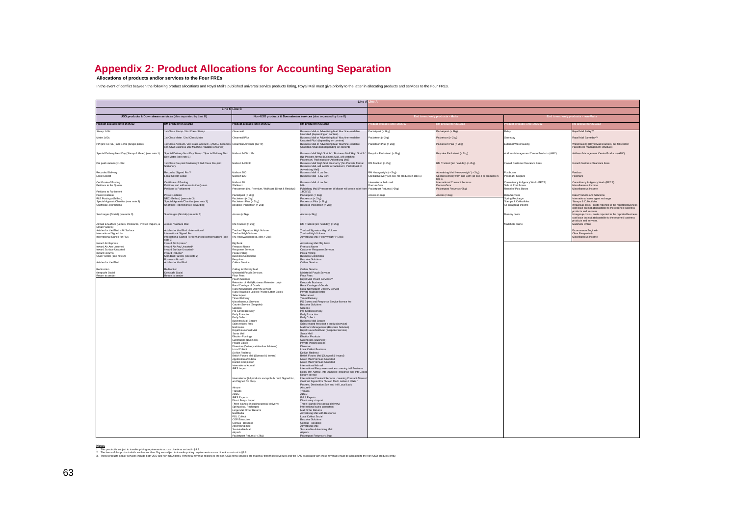# **Appendix 2: Product Allocations for Accounting Separation Allocations of products and/or services to the Four FREs**

In the event of conflict between the following product allocations and Royal Mail's published universal service products listing, Royal Mail must give priority to the latter in allocating products and services to the Four

| Line A                                                                     |                                                                                                                                      |                                                                   |                                                                                                                                                                 |                                                                             |                                                                                                         |                                            |                                                                                                                        |
|----------------------------------------------------------------------------|--------------------------------------------------------------------------------------------------------------------------------------|-------------------------------------------------------------------|-----------------------------------------------------------------------------------------------------------------------------------------------------------------|-----------------------------------------------------------------------------|---------------------------------------------------------------------------------------------------------|--------------------------------------------|------------------------------------------------------------------------------------------------------------------------|
| Line C Line C                                                              |                                                                                                                                      |                                                                   |                                                                                                                                                                 |                                                                             |                                                                                                         |                                            |                                                                                                                        |
|                                                                            | USO products & Downstream services (also separated by Line B)<br>Non-USO products & Downstream services (also separated by Line B)   |                                                                   |                                                                                                                                                                 |                                                                             | Ind to end only products - Mail                                                                         |                                            | End to end only products - non-M                                                                                       |
| Product available until 14/05/12                                           | M product for 2012/13                                                                                                                | change in the until 14/05/12                                      | M product for 2012/13                                                                                                                                           |                                                                             |                                                                                                         |                                            |                                                                                                                        |
|                                                                            |                                                                                                                                      |                                                                   |                                                                                                                                                                 |                                                                             |                                                                                                         |                                            |                                                                                                                        |
| amp 1c/2i                                                                  | Class Stamp / 2nd Class Stamp                                                                                                        |                                                                   | siness Mail or Advertising Mail 'N<br>Insorted' (depending on content)                                                                                          | ketpost (> 2kg)                                                             | cketpost (> 2kg)                                                                                        |                                            |                                                                                                                        |
| Meter 1c/2c                                                                | Let Class Meter / 2nd Class Meter                                                                                                    | Cleanmail Plus                                                    | Jusiness Mail or Advertising Mail 'Machine-readable                                                                                                             | acketsort (> 2kg)                                                           | acketsort (> 2kg)                                                                                       | <b>Jameday</b>                             | Royal Mail Sameday <sup>TM</sup>                                                                                       |
| PPI (inc ASTLL) and 1c/2c (Single piece)                                   | 1st Class Account / 2nd Class Account , (ASTLL becomes Cleanmail Advance (no "d')<br>on USO Business Mail Machine-readable unsorted) |                                                                   | Unsorted Plus' (depending on content)<br>lusiness Mail or Advertising Mail 'Machine-readable<br>Insorted Advanced (depending on content)                        | Packetsort Plus (> 2kg)                                                     | Packetsort Plus (> 2kg)                                                                                 | xternal Warehousing                        | Warehousing (Royal Mail Branded, but falls within<br>Parcelforce management structure)                                 |
| Special Delivery Next Day (Stamp & Meter) (see note 1)                     | Special Delivery Next Day Stamp / Special Delivery Next<br>Day Meter (see note 1)                                                    | Mailsort 1400 1c/2c                                               | Business Mail 'High Sort 1c' / Business Mail 'High Sort 2c'.<br>(No Packets format Business Mail, will switch to<br>Packetsort. Packetpost or Advertising Mail) | Bespoke Packetsort (> 2kg)                                                  | spoke Packetsort (> 2kg)                                                                                | Address Management Centre Products (AMC)   | Address Management Centre Products (AMC)                                                                               |
| Pre paid stationary 1c/2c                                                  | 1st Class Pre-paid Stationery / 2nd Class Pre-paid                                                                                   | Mailsort 1400 3c                                                  | Business Mail 'High Sort Economy' (No Packets format<br>lusiness Mail, will switch to Packetsort, Packetpost or<br>Advertising Mail)                            | RM Tracked (> 2kg)                                                          | M Tracked (inc next day) (> 2kg)                                                                        | ward Customs Clearance Fees                | nward Customs Clearance Fees                                                                                           |
| <b>Recorded Delivery</b><br>Local Collect                                  | tecorded Signed For <sup>TM</sup><br>oral Collect Social                                                                             | Mailsort 700<br>Mailsort 120                                      | <b>Buringer Mail - Low Sort</b><br><b>Jusiness Mail - Low Sort</b>                                                                                              | RM Heavyweight (> 2kg)<br>Special Delivery (All exc. for products in Box 1) | tvertising Mail 'Heavyweight' (> 2kg)<br>pecial Delivery 9am and 1pm (all exc. For products in<br>(x 1) | nethuene<br>nstmark Singans                | ostbus<br>Postmark                                                                                                     |
| Certificate of Posting                                                     | Certificate of Posting                                                                                                               | Mailsort 70                                                       | <b>Business Mail - Low Sort</b>                                                                                                                                 | ternational bulk mail                                                       | ernational Contract Services                                                                            | Consultancy & Agency Work (BPCS)           | Consultancy & Agency Work (BPCS)                                                                                       |
| Petitions to the Quee                                                      | etitions and addresses to the Queen<br>titions to Parliament                                                                         | Walksort<br>Presstream (inc. Premium, Walksort, Direct & Residue) | Publishing Mail (Presstream Walksort will cease exist from                                                                                                      | loor-to-Door<br>Packetpost Returns (>2kg)                                   | oor-to-Door<br>Packetpost Returns (>2kg)                                                                | Sale of Post Boxes<br>Rental of Post Boxes | Miscellaneous Income<br>Miscellaneous Income                                                                           |
| Petitions to Parliament<br><b>Poste Restante</b>                           | Poste Restante                                                                                                                       | Packetnost (« 2kg)                                                | 14/05/12)<br>Packetnost (« 2kg)                                                                                                                                 | conss (s2kg)                                                                | cess (s2kg)                                                                                             | <b>Jata Services</b>                       | <b>Data Products and Solutions</b>                                                                                     |
| <b>RLB Postings (Belfast)</b>                                              | NRC (Belfast) (see note 3)                                                                                                           | Packetsort (< 2kg)                                                | Packetsort (< 2kg)                                                                                                                                              |                                                                             |                                                                                                         | Soring Recharge                            | nternational sales agent recharge                                                                                      |
| Special Appeals/Charities (see note 3)                                     | pecial Appeals/Charities (see note 3)                                                                                                | Packetsort Plus (< 2kg)                                           | Packetsort Plus (< 2kg)                                                                                                                                         |                                                                             |                                                                                                         | <b>Stamps &amp; Collectibles</b>           | Stamps & Collectibles                                                                                                  |
| Unofficial Redirections                                                    | official Redirections (Forwarding)                                                                                                   | Bespoke Packetsort (< 2kg)                                        | lespoke Packetsort (< 2kg)                                                                                                                                      |                                                                             |                                                                                                         | Il intragroup income                       | Intragroup costs - costs reported in the reported business<br>cost base but not attribuatable to the reported business |
| Surcharges (Social) (see note 3)                                           | Surcharges (Social) (see note 3)                                                                                                     | Access (<2kg)                                                     |                                                                                                                                                                 |                                                                             |                                                                                                         |                                            | annives bos staubon<br>Intragroup costs - costs reported in the reported business                                      |
|                                                                            |                                                                                                                                      |                                                                   | Access (<2kg)                                                                                                                                                   |                                                                             |                                                                                                         | Dummy costs                                | cost base but not attribuatable to the reported business<br>products and services.                                     |
| Airmail & Surface (Letters, Postcards, Printed Papers, &<br>Small Packets) | Airmail / Surface Mail                                                                                                               | RM Tracked (< 2kg)                                                | RM Tracked (inc next day) (< 2kg)                                                                                                                               |                                                                             |                                                                                                         | Aailshots online                           | Mailshots Online                                                                                                       |
| Articles for the Blind - Air/Surface                                       | Articles for the Blind - International                                                                                               | Tracked Signature High Volume                                     | Tracked Signature High Volume                                                                                                                                   |                                                                             |                                                                                                         |                                            | E-commerce Engine®<br>Clear Prospects®                                                                                 |
| International Signed for<br>International Signed for Plus                  | ternational Signed For<br>imational Signed For (enhanced compensation) (see                                                          | Tracked High Volume<br>RM Heavyweight (exc. pkts > 2kg)           | Tracked High Volume<br>Advertising Mail 'Heavyweight' (< 2kg)                                                                                                   |                                                                             |                                                                                                         |                                            | Miscellaneous Income                                                                                                   |
|                                                                            | ote 31                                                                                                                               |                                                                   |                                                                                                                                                                 |                                                                             |                                                                                                         |                                            |                                                                                                                        |
| Inward Air Express<br>Inward Air Any Unsorted                              | ward Air Express<br>ward Air Any Unsorted                                                                                            | <b>Big Book</b><br>Freepost Name                                  | Advertising Mail 'Big Book'<br>reepost Name                                                                                                                     |                                                                             |                                                                                                         |                                            |                                                                                                                        |
| Inward Surface Unsorted                                                    | vard Surface Unsorted*                                                                                                               | Response Services                                                 | Customer Response Services                                                                                                                                      |                                                                             |                                                                                                         |                                            |                                                                                                                        |
| <b>Inward Returns</b><br>USO Parcels (see note 2)                          | ward Returns*<br>Itandard Parcels (see note 2)                                                                                       | Postal Voting<br><b>Business Collections</b>                      | Postal Voting<br><b>Rusiness Collection</b>                                                                                                                     |                                                                             |                                                                                                         |                                            |                                                                                                                        |
|                                                                            | usiness Airmail                                                                                                                      | Bespokes                                                          | Bespoke Solutions                                                                                                                                               |                                                                             |                                                                                                         |                                            |                                                                                                                        |
| Articles for the Blind                                                     | rticles for the Blind                                                                                                                | Callers Service                                                   | allers Service                                                                                                                                                  |                                                                             |                                                                                                         |                                            |                                                                                                                        |
| Redirection                                                                | Redirection                                                                                                                          | Calling for Priority Mail                                         | Callers Service                                                                                                                                                 |                                                                             |                                                                                                         |                                            |                                                                                                                        |
| Keepsafe Social<br>Return to sender                                        | leepsafe Social<br>turn to sender                                                                                                    | Ministerial Pouch Services<br>Floor Fees                          | linisterial Pouch Services<br>Floor Fees                                                                                                                        |                                                                             |                                                                                                         |                                            |                                                                                                                        |
|                                                                            |                                                                                                                                      | Pouch Services<br>tetention of Mail (Business Retention only)     | Royal Mail Pouch Services <sup>TM</sup>                                                                                                                         |                                                                             |                                                                                                         |                                            |                                                                                                                        |
|                                                                            |                                                                                                                                      | Rural Carriage of Goods                                           | eeosafe Business<br>Rural Carriage of Goods                                                                                                                     |                                                                             |                                                                                                         |                                            |                                                                                                                        |
|                                                                            |                                                                                                                                      | Rural Newspaper Delivery Service                                  | Rural Newspaper Delivery Service                                                                                                                                |                                                                             |                                                                                                         |                                            |                                                                                                                        |
|                                                                            |                                                                                                                                      | Rural Roadside Locked Private Letter Boxes<br>Selectapost         | rivate roadside letter<br>Selectapost                                                                                                                           |                                                                             |                                                                                                         |                                            |                                                                                                                        |
|                                                                            |                                                                                                                                      | <b>Timed Delivery</b>                                             | <b>Timed Delivery</b>                                                                                                                                           |                                                                             |                                                                                                         |                                            |                                                                                                                        |
|                                                                            |                                                                                                                                      | Miscellaneous Services                                            | PO Boxes and Response Service licence fee                                                                                                                       |                                                                             |                                                                                                         |                                            |                                                                                                                        |
|                                                                            |                                                                                                                                      | Courier Service (Bespoke)<br>Safebox                              | Bespoke Solutions<br>Safebox                                                                                                                                    |                                                                             |                                                                                                         |                                            |                                                                                                                        |
|                                                                            |                                                                                                                                      | Pre Sorted Delivery                                               | Pre Sorted Delivery                                                                                                                                             |                                                                             |                                                                                                         |                                            |                                                                                                                        |
|                                                                            |                                                                                                                                      | Early Extraction                                                  | Early Extraction<br>Early Collect                                                                                                                               |                                                                             |                                                                                                         |                                            |                                                                                                                        |
|                                                                            |                                                                                                                                      | Early Collect<br><b>Rusiness Mail Secure</b>                      | <b>Rusiness Mail Secure</b>                                                                                                                                     |                                                                             |                                                                                                         |                                            |                                                                                                                        |
|                                                                            |                                                                                                                                      | Sales related fees                                                | Sales related fees (not a product/service)                                                                                                                      |                                                                             |                                                                                                         |                                            |                                                                                                                        |
|                                                                            |                                                                                                                                      | Mailrooms<br>Royal Household Mail                                 | ilroom Management (Bespoke Solution)<br>Royal Household Mail (Bespoke Service)                                                                                  |                                                                             |                                                                                                         |                                            |                                                                                                                        |
|                                                                            |                                                                                                                                      | Santa Mail                                                        | Santa Mail                                                                                                                                                      |                                                                             |                                                                                                         |                                            |                                                                                                                        |
|                                                                            |                                                                                                                                      | <b>Election Postings</b><br>Surcharges (Business)                 | Election Products<br>Surcharges (Business)                                                                                                                      |                                                                             |                                                                                                         |                                            |                                                                                                                        |
|                                                                            |                                                                                                                                      | Private Boxes                                                     | Private Posting Boxes                                                                                                                                           |                                                                             |                                                                                                         |                                            |                                                                                                                        |
|                                                                            |                                                                                                                                      | Diversion (Delivery at Another Address)                           | wersion<br>oral Collect Business                                                                                                                                |                                                                             |                                                                                                         |                                            |                                                                                                                        |
|                                                                            |                                                                                                                                      | Local Collect<br>Do Not Redirect                                  | Do Not Redirect                                                                                                                                                 |                                                                             |                                                                                                         |                                            |                                                                                                                        |
|                                                                            |                                                                                                                                      | Rritish Forces Mail (Outward & Inward)                            | British Forces Mail (Outward & Inward)                                                                                                                          |                                                                             |                                                                                                         |                                            |                                                                                                                        |
|                                                                            |                                                                                                                                      | Annlication of Indicial<br>Docket Completion                      | Mixed Mail Premium Unsorted<br>fixed Mail Premium Unsorted                                                                                                      |                                                                             |                                                                                                         |                                            |                                                                                                                        |
|                                                                            |                                                                                                                                      | International Admail                                              | ternational Admail                                                                                                                                              |                                                                             |                                                                                                         |                                            |                                                                                                                        |
|                                                                            |                                                                                                                                      | <b>IBRS</b> Import                                                | mational Response services covering Inf1 Business<br>Reply, Int'l Admail, Int'l Stamped Response and Int'l Good<br>enium service                                |                                                                             |                                                                                                         |                                            |                                                                                                                        |
|                                                                            |                                                                                                                                      | international (All products except bulk mail, Signed for,         | ternational Contract Services covering Contract Airsun                                                                                                          |                                                                             |                                                                                                         |                                            |                                                                                                                        |
|                                                                            |                                                                                                                                      | and Signed for Plus)                                              | Contract Signed For / Mixed Mail / Letters / Flats /<br>Packets, Destination Sort and Infl Local Look                                                           |                                                                             |                                                                                                         |                                            |                                                                                                                        |
|                                                                            |                                                                                                                                      | Airsure                                                           | Airsure®                                                                                                                                                        |                                                                             |                                                                                                         |                                            |                                                                                                                        |
|                                                                            |                                                                                                                                      | Transits<br>ADEC                                                  | Transits<br>ADEC                                                                                                                                                |                                                                             |                                                                                                         |                                            |                                                                                                                        |
|                                                                            |                                                                                                                                      | <b>IRRS Exports</b>                                               | <b>IRRS Exports</b>                                                                                                                                             |                                                                             |                                                                                                         |                                            |                                                                                                                        |
|                                                                            |                                                                                                                                      | Direct Entry - Import                                             | Direct entry - import                                                                                                                                           |                                                                             |                                                                                                         |                                            |                                                                                                                        |
|                                                                            |                                                                                                                                      | Three Islands (including special delivery)                        | Three Islands (inc special delivery)                                                                                                                            |                                                                             |                                                                                                         |                                            |                                                                                                                        |
|                                                                            |                                                                                                                                      | Spring (exc. Recharge)<br>Large Mail Order Returns<br>MailMedia   | International sales consultant<br>Mail Order Returns                                                                                                            |                                                                             |                                                                                                         |                                            |                                                                                                                        |
|                                                                            |                                                                                                                                      |                                                                   | Advertising Mail with Response                                                                                                                                  |                                                                             |                                                                                                         |                                            |                                                                                                                        |
|                                                                            |                                                                                                                                      | POL Collect<br>COP Extraction                                     | Local Collect Social<br>lespoke Solutions                                                                                                                       |                                                                             |                                                                                                         |                                            |                                                                                                                        |
|                                                                            |                                                                                                                                      | ensus - Bespoke                                                   | Census - Bespoke                                                                                                                                                |                                                                             |                                                                                                         |                                            |                                                                                                                        |
|                                                                            |                                                                                                                                      | Advertising mail<br>Sustainable Mail                              | <b>IieM</b> poizitwerk<br>Sustainable Advertising Mail                                                                                                          |                                                                             |                                                                                                         |                                            |                                                                                                                        |
|                                                                            |                                                                                                                                      | Airnack                                                           | Airpack                                                                                                                                                         |                                                                             |                                                                                                         |                                            |                                                                                                                        |
|                                                                            |                                                                                                                                      | Packetpost Returns (< 2kg)                                        | Packetpost Returns (< 2kg)                                                                                                                                      |                                                                             |                                                                                                         |                                            |                                                                                                                        |

**Notes**<br>1. This product is subject to transfer pricing requirements across Line Ass set out in \$9.9.<br>3. The tennod this product which are than 2012 and product to the firstnament across Line A as set out in \$9.9.<br>3. These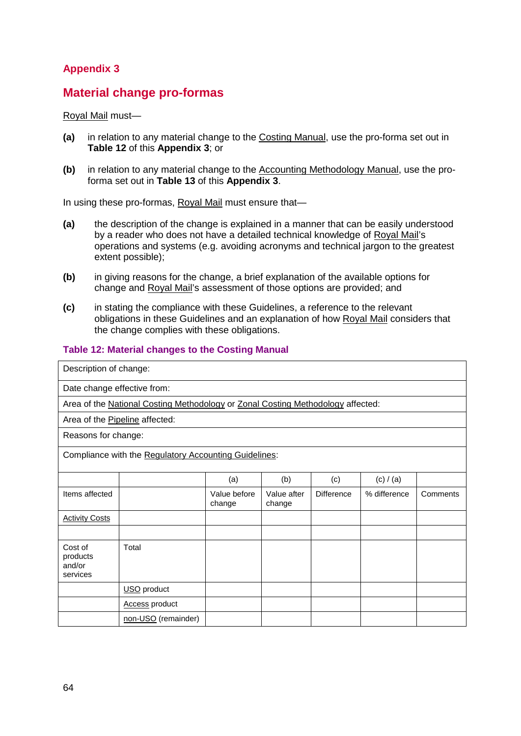# **Appendix 3**

### **Material change pro-formas**

#### Royal Mail must—

- **(a)** in relation to any material change to the Costing Manual, use the pro-forma set out in **Table 12** of this **Appendix 3**; or
- **(b)** in relation to any material change to the Accounting Methodology Manual, use the proforma set out in **Table 13** of this **Appendix 3**.

In using these pro-formas, **Royal Mail** must ensure that-

- **(a)** the description of the change is explained in a manner that can be easily understood by a reader who does not have a detailed technical knowledge of Royal Mail's operations and systems (e.g. avoiding acronyms and technical jargon to the greatest extent possible);
- **(b)** in giving reasons for the change, a brief explanation of the available options for change and Royal Mail's assessment of those options are provided; and
- **(c)** in stating the compliance with these Guidelines, a reference to the relevant obligations in these Guidelines and an explanation of how Royal Mail considers that the change complies with these obligations.

#### **Table 12: Material changes to the Costing Manual**

| Description of change:                    |                                                                                 |                        |                       |                   |              |          |
|-------------------------------------------|---------------------------------------------------------------------------------|------------------------|-----------------------|-------------------|--------------|----------|
| Date change effective from:               |                                                                                 |                        |                       |                   |              |          |
|                                           | Area of the National Costing Methodology or Zonal Costing Methodology affected: |                        |                       |                   |              |          |
| Area of the Pipeline affected:            |                                                                                 |                        |                       |                   |              |          |
| Reasons for change:                       |                                                                                 |                        |                       |                   |              |          |
|                                           | Compliance with the Regulatory Accounting Guidelines:                           |                        |                       |                   |              |          |
|                                           |                                                                                 | (a)                    | (b)                   | (c)               | (c) / (a)    |          |
| Items affected                            |                                                                                 | Value before<br>change | Value after<br>change | <b>Difference</b> | % difference | Comments |
| <b>Activity Costs</b>                     |                                                                                 |                        |                       |                   |              |          |
|                                           |                                                                                 |                        |                       |                   |              |          |
| Cost of<br>products<br>and/or<br>services | Total                                                                           |                        |                       |                   |              |          |
|                                           | USO product                                                                     |                        |                       |                   |              |          |
|                                           | <b>Access product</b>                                                           |                        |                       |                   |              |          |
|                                           | non-USO (remainder)                                                             |                        |                       |                   |              |          |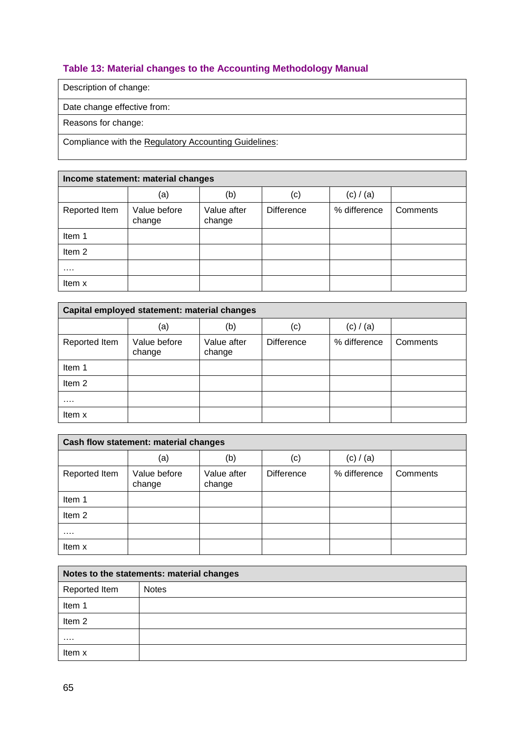### **Table 13: Material changes to the Accounting Methodology Manual**

Description of change:

Date change effective from:

Reasons for change:

Compliance with the Regulatory Accounting Guidelines:

|               | Income statement: material changes |                       |                   |              |          |  |
|---------------|------------------------------------|-----------------------|-------------------|--------------|----------|--|
|               | (a)                                | (b)                   | (c)               | (c) / (a)    |          |  |
| Reported Item | Value before<br>change             | Value after<br>change | <b>Difference</b> | % difference | Comments |  |
| Item 1        |                                    |                       |                   |              |          |  |
| Item 2        |                                    |                       |                   |              |          |  |
| .             |                                    |                       |                   |              |          |  |
| Item x        |                                    |                       |                   |              |          |  |

|                   | Capital employed statement: material changes |                       |                   |              |          |
|-------------------|----------------------------------------------|-----------------------|-------------------|--------------|----------|
|                   | (a)                                          | (b)                   | (c)               | (c) $/(a)$   |          |
| Reported Item     | Value before<br>change                       | Value after<br>change | <b>Difference</b> | % difference | Comments |
| Item 1            |                                              |                       |                   |              |          |
| Item <sub>2</sub> |                                              |                       |                   |              |          |
| $\cdots$          |                                              |                       |                   |              |          |
| Item x            |                                              |                       |                   |              |          |

|                   | Cash flow statement: material changes |                       |                   |              |          |  |
|-------------------|---------------------------------------|-----------------------|-------------------|--------------|----------|--|
|                   | (a)                                   | (b)                   | (c)               | (c) / (a)    |          |  |
| Reported Item     | Value before<br>change                | Value after<br>change | <b>Difference</b> | % difference | Comments |  |
| Item 1            |                                       |                       |                   |              |          |  |
| Item <sub>2</sub> |                                       |                       |                   |              |          |  |
|                   |                                       |                       |                   |              |          |  |
| Item x            |                                       |                       |                   |              |          |  |

| Notes to the statements: material changes |              |  |  |  |
|-------------------------------------------|--------------|--|--|--|
| Reported Item                             | <b>Notes</b> |  |  |  |
| Item 1                                    |              |  |  |  |
| Item <sub>2</sub>                         |              |  |  |  |
| .                                         |              |  |  |  |
| Item x                                    |              |  |  |  |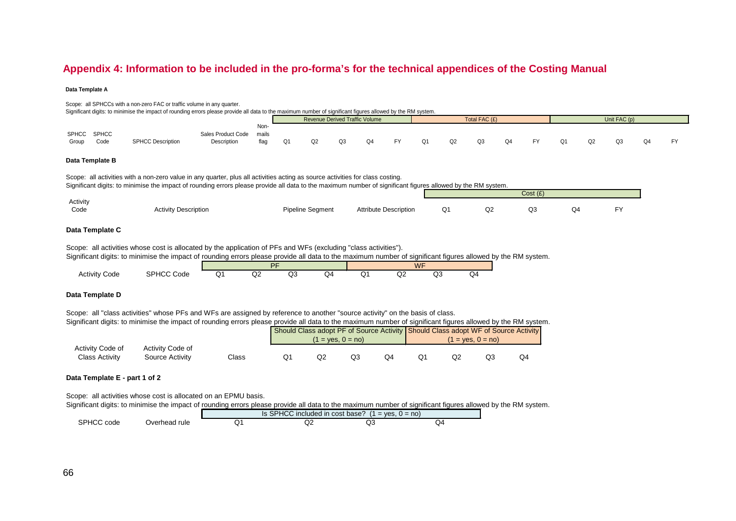### **Appendix 4: Information to be included in the pro-forma's for the technical appendices of the Costing Manual**

#### **Data Template A**

|       |                     | Scope: all SPHCCs with a non-zero FAC or traffic volume in any quarter.<br>Significant digits: to minimise the impact of rounding errors please provide all data to the maximum number of significant figures allowed by the RM system. |                                   |                       |    |    |                                       |    |    |    |    |               |    |    |    |    |              |    |    |
|-------|---------------------|-----------------------------------------------------------------------------------------------------------------------------------------------------------------------------------------------------------------------------------------|-----------------------------------|-----------------------|----|----|---------------------------------------|----|----|----|----|---------------|----|----|----|----|--------------|----|----|
|       |                     |                                                                                                                                                                                                                                         |                                   |                       |    |    | <b>Revenue Derived Traffic Volume</b> |    |    |    |    | Total FAC (£) |    |    |    |    | Unit FAC (p) |    |    |
| Group | SPHCC SPHCC<br>Code | <b>SPHCC Description</b>                                                                                                                                                                                                                | Sales Product Code<br>Description | Non-<br>mails<br>flag | Q1 | Q2 | Q3                                    | Q4 | FY | Q1 | Q2 | Q3            | Q4 | FY | Q1 | O2 | Q3           | Q4 | FY |
|       | Data Template B     |                                                                                                                                                                                                                                         |                                   |                       |    |    |                                       |    |    |    |    |               |    |    |    |    |              |    |    |

Scope: all activities with a non-zero value in any quarter, plus all activities acting as source activities for class costing. Significant digits: to minimise the impact of rounding errors please provide all data to the maximum number of significant figures allowed by the RM system.

|          |                             |                         |                              |                          |                                          | Cost(E) |                                             |     |
|----------|-----------------------------|-------------------------|------------------------------|--------------------------|------------------------------------------|---------|---------------------------------------------|-----|
| Activity |                             |                         |                              |                          |                                          |         |                                             |     |
| Code     | <b>Activity Description</b> | <b>Pipeline Segment</b> | <b>Attribute Description</b> | Ο1<br>and the control of | $\sim$<br>⊌∠<br>the contract of the con- | Q3      | $\bigcap$<br>⊬ب<br>the contract of the con- | EV. |
|          |                             |                         |                              |                          |                                          |         |                                             |     |

#### **Data Template C**

Scope: all activities whose cost is allocated by the application of PFs and WFs (excluding "class activities").

Significant digits: to minimise the impact of rounding errors please provide all data to the maximum number of significant figures allowed by the RM system.

|                             |                                     |          | DE |   |   | MCE<br>V V I  |   |    |    |
|-----------------------------|-------------------------------------|----------|----|---|---|---------------|---|----|----|
| Code<br>Activity<br>- - - - | <b>SPHCC</b><br>$\sim$<br>Code<br>. | ີ<br>$-$ | ₩  | w | æ | $\sim$ $\sim$ | ∽ | שע | Q4 |

#### **Data Template D**

Scope: all "class activities" whose PFs and WFs are assigned by reference to another "source activity" on the basis of class.

Significant digits: to minimise the impact of rounding errors please provide all data to the maximum number of significant figures allowed by the RM system.

|                                    |                                     |       |    |    | $1 = yes, 0 = no$ | Should Class adopt PF of Source Activity Should Class adopt WF of Source Activity<br>$1 = yes, 0 = no$ |  |    |    |  |
|------------------------------------|-------------------------------------|-------|----|----|-------------------|--------------------------------------------------------------------------------------------------------|--|----|----|--|
| Activity Code of<br>Class Activity | Activity Code of<br>Source Activity | Class | Ő. | Q2 |                   | Q1                                                                                                     |  | QЗ | Q4 |  |

#### **Data Template E - part 1 of 2**

Scope: all activities whose cost is allocated on an EPMU basis.

Significant digits: to minimise the impact of rounding errors please provide all data to the maximum number of significant figures allowed by the RM system.

|                      |               | Is SPHCC included in cost base?<br>$\overline{A}$<br>$1 = ves. 0 = no$ |         |    |    |  |  |  |  |
|----------------------|---------------|------------------------------------------------------------------------|---------|----|----|--|--|--|--|
| <b>SPHCC</b><br>code | Jverhead rule | `<br>◡                                                                 | v<br>₩∠ | שע | ⊿د |  |  |  |  |